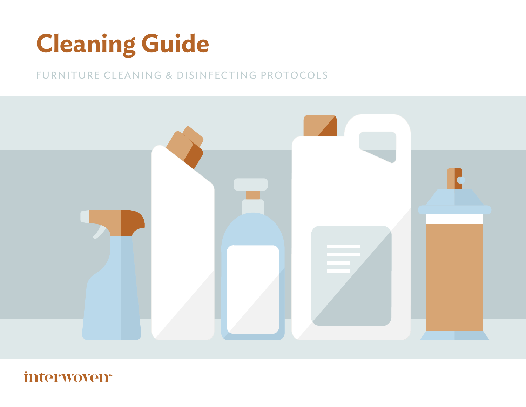# **Cleaning Guide**

### FURNITURE CLEANING & DISINFECTING PROTOCOLS



## interwoven<sup>®</sup>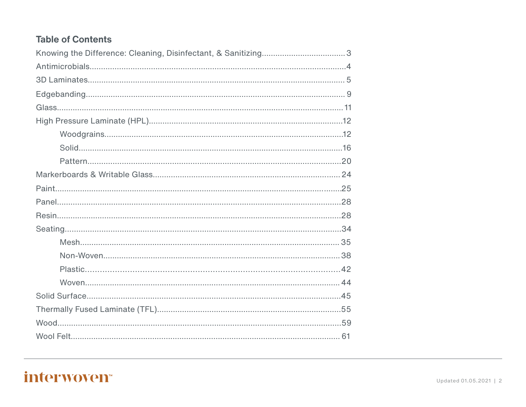#### **Table of Contents**

# interwoven<sup>®</sup>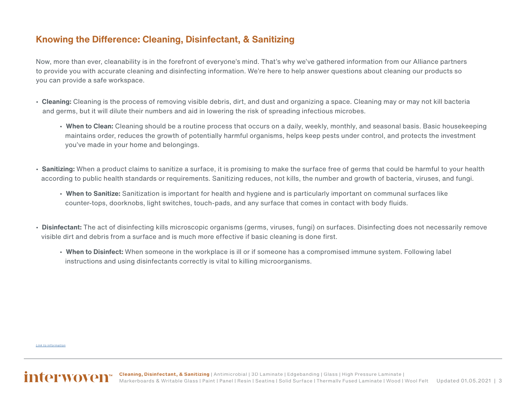#### <span id="page-2-0"></span>**Knowing the Difference: Cleaning, Disinfectant, & Sanitizing**

Now, more than ever, cleanability is in the forefront of everyone's mind. That's why we've gathered information from our Alliance partners to provide you with accurate cleaning and disinfecting information. We're here to help answer questions about cleaning our products so you can provide a safe workspace.

- **Cleaning:** Cleaning is the process of removing visible debris, dirt, and dust and organizing a space. Cleaning may or may not kill bacteria and germs, but it will dilute their numbers and aid in lowering the risk of spreading infectious microbes.
	- **When to Clean:** Cleaning should be a routine process that occurs on a daily, weekly, monthly, and seasonal basis. Basic housekeeping maintains order, reduces the growth of potentially harmful organisms, helps keep pests under control, and protects the investment you've made in your home and belongings.
- **Sanitizing:** When a product claims to sanitize a surface, it is promising to make the surface free of germs that could be harmful to your health according to public health standards or requirements. Sanitizing reduces, not kills, the number and growth of bacteria, viruses, and fungi.
	- **When to Sanitize:** Sanitization is important for health and hygiene and is particularly important on communal surfaces like counter-tops, doorknobs, light switches, touch-pads, and any surface that comes in contact with body fluids.
- **Disinfectant:** The act of disinfecting kills microscopic organisms (germs, viruses, fungi) on surfaces. Disinfecting does not necessarily remove visible dirt and debris from a surface and is much more effective if basic cleaning is done first.
	- **When to Disinfect:** When someone in the workplace is ill or if someone has a compromised immune system. Following label instructions and using disinfectants correctly is vital to killing microorganisms.

*[Link to information](https://www.thespruce.com/definition-disinfecting-sanitizing-cleaning-4799721)*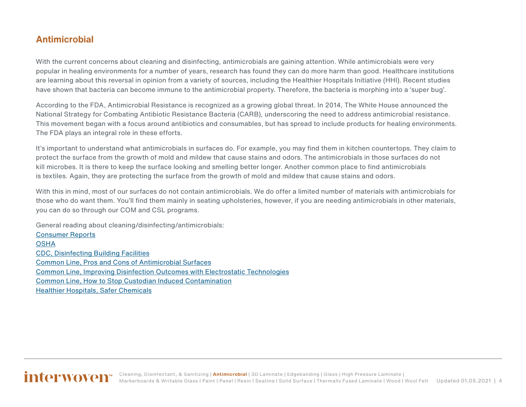#### <span id="page-3-0"></span>**Antimicrobial**

With the current concerns about cleaning and disinfecting, antimicrobials are gaining attention. While antimicrobials were very popular in healing environments for a number of years, research has found they can do more harm than good. Healthcare institutions are learning about this reversal in opinion from a variety of sources, including the Healthier Hospitals Initiative (HHI). Recent studies have shown that bacteria can become immune to the antimicrobial property. Therefore, the bacteria is morphing into a 'super bug'.

According to the FDA, Antimicrobial Resistance is recognized as a growing global threat. In 2014, The White House announced the National Strategy for Combating Antibiotic Resistance Bacteria (CARB), underscoring the need to address antimicrobial resistance. This movement began with a focus around antibiotics and consumables, but has spread to include products for healing environments. The FDA plays an integral role in these efforts.

It's important to understand what antimicrobials in surfaces do. For example, you may find them in kitchen countertops. They claim to protect the surface from the growth of mold and mildew that cause stains and odors. The antimicrobials in those surfaces do not kill microbes. It is there to keep the surface looking and smelling better longer. Another common place to find antimicrobials is textiles. Again, they are protecting the surface from the growth of mold and mildew that cause stains and odors.

With this in mind, most of our surfaces do not contain antimicrobials. We do offer a limited number of materials with antimicrobials for those who do want them. You'll find them mainly in seating upholsteries, however, if you are needing antimicrobials in other materials, you can do so through our COM and CSL programs.

General reading about cleaning/disinfecting/antimicrobials: [Consumer Reports](https://www.consumerreports.org/cleaning/common-household-products-that-can-destroy-novel-coronavirus/) [OSHA](https://www.osha.gov/Publications/OSHA3990.pdf) [CDC, Disinfecting Building Facilities](https://www.cdc.gov/coronavirus/2019-ncov/community/disinfecting-building-facility.html) [Common Line, Pros and Cons of Antimicrobial Surfaces](https://www.cmmonline.com/articles/pros-and-cons-of-antimicrobial-surface-coatings) [Common Line, Improving Disinfection Outcomes with Electrostatic Technologies](https://www.cmmonline.com/articles/improving-disinfection-outcomes-with-electrostatic-technologies) [Common Line, How to Stop Custodian Induced Contamination](https://www.cmmonline.com/articles/how-to-stop-custodian-induced-contamination) [Healthier Hospitals, Safer Chemicals](http://www.healthierhospitals.org/hhi-challenges/safer-chemicals)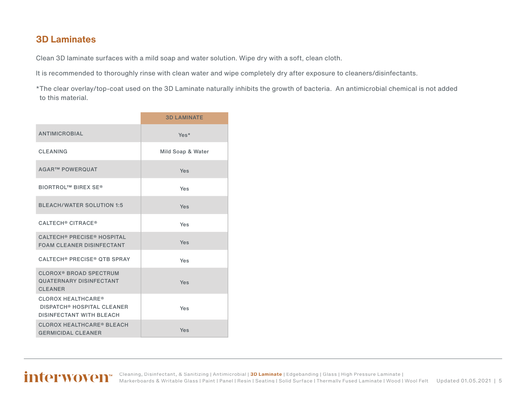#### <span id="page-4-0"></span>**3D Laminates**

Clean 3D laminate surfaces with a mild soap and water solution. Wipe dry with a soft, clean cloth.

It is recommended to thoroughly rinse with clean water and wipe completely dry after exposure to cleaners/disinfectants.

\*The clear overlay/top-coat used on the 3D Laminate naturally inhibits the growth of bacteria. An antimicrobial chemical is not added to this material.

|                                                                                                              | <b>3D LAMINATE</b> |
|--------------------------------------------------------------------------------------------------------------|--------------------|
| <b>ANTIMICROBIAL</b>                                                                                         | Yes*               |
| <b>CLEANING</b>                                                                                              | Mild Soap & Water  |
| <b>AGAR™ POWERQUAT</b>                                                                                       | Yes                |
| <b>BIORTROL™ BIREX SE®</b>                                                                                   | Yes                |
| <b>BLEACH/WATER SOLUTION 1:5</b>                                                                             | Yes                |
| CALTECH <sup>®</sup> CITRACE <sup>®</sup>                                                                    | Yes                |
| <b>CALTECH<sup>®</sup> PRECISE<sup>®</sup> HOSPITAL</b><br><b>FOAM CLEANER DISINFECTANT</b>                  | Yes                |
| <b>CALTECH<sup>®</sup> PRECISE<sup>®</sup> QTB SPRAY</b>                                                     | Yes                |
| <b>CLOROX<sup>®</sup> BROAD SPECTRUM</b><br><b>QUATERNARY DISINFECTANT</b><br><b>CLEANER</b>                 | Yes                |
| <b>CLOROX HEALTHCARE®</b><br><b>DISPATCH<sup>®</sup> HOSPITAL CLEANER</b><br><b>DISINFECTANT WITH BLEACH</b> | Yes                |
| <b>CLOROX HEALTHCARE® BLEACH</b><br><b>GERMICIDAL CLEANER</b>                                                | Yes                |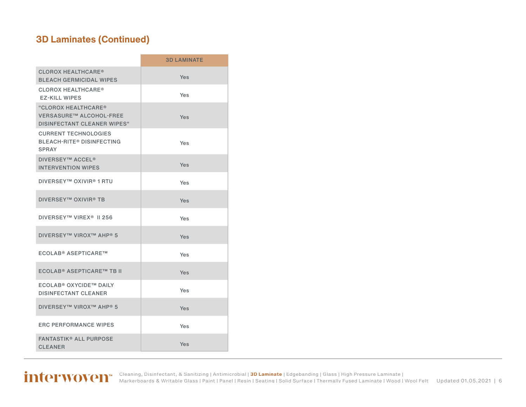### **3D Laminates (Continued)**

|                                                                                             | <b>3D LAMINATE</b> |
|---------------------------------------------------------------------------------------------|--------------------|
| <b>CLOROX HEALTHCARE®</b><br><b>BLEACH GERMICIDAL WIPES</b>                                 | Yes                |
| <b>CLOROX HEALTHCARE®</b><br><b>EZ-KILL WIPES</b>                                           | Yes                |
| "CLOROX HEALTHCARE®<br><b>VERSASURE™ ALCOHOL-FREE</b><br><b>DISINFECTANT CLEANER WIPES"</b> | Yes                |
| <b>CURRENT TECHNOLOGIES</b><br><b>BLEACH-RITE® DISINFECTING</b><br><b>SPRAY</b>             | Yes                |
| <b>DIVERSEY™ ACCEL<sup>®</sup></b><br><b>INTERVENTION WIPES</b>                             | Yes                |
| <b>DIVERSEY™ OXIVIR® 1 RTU</b>                                                              | Yes                |
| <b>DIVERSEY™ OXIVIR® TB</b>                                                                 | Yes                |
| DIVERSEY™ VIREX <sup>®</sup> II 256                                                         | Yes                |
| <b>DIVERSEY™ VIROX™ AHP® 5</b>                                                              | Yes                |
| ECOLAB® ASEPTICARE™                                                                         | Yes                |
| <b>ECOLAB® ASEPTICARE™ TB II</b>                                                            | Yes                |
| ECOLAB® OXYCIDE™ DAILY<br><b>DISINFECTANT CLEANER</b>                                       | Yes                |
| <b>DIVERSEY™ VIROX™ AHP® 5</b>                                                              | Yes                |
| <b>ERC PERFORMANCE WIPES</b>                                                                | Yes                |
| <b>FANTASTIK® ALL PURPOSE</b><br><b>CLEANER</b>                                             | Yes                |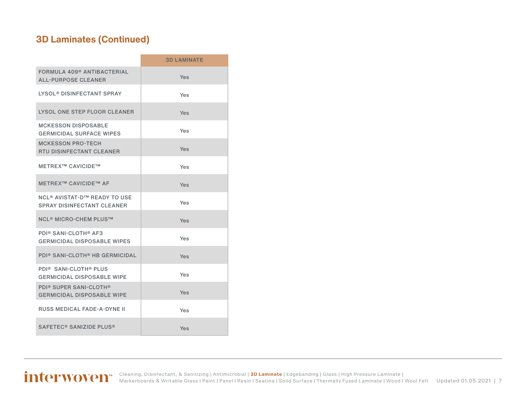### **3D Laminates (Continued)**

|                                                                                     | <b>3D LAMINATE</b> |
|-------------------------------------------------------------------------------------|--------------------|
| FORMULA 409 <sup>®</sup> ANTIBACTERIAL<br><b>ALL-PURPOSE CLEANER</b>                | Yes                |
| <b>LYSOL<sup>®</sup> DISINFECTANT SPRAY</b>                                         | Yes                |
| LYSOL ONE STEP FLOOR CLEANER                                                        | Yes                |
| <b>MCKESSON DISPOSABLE</b><br><b>GERMICIDAL SURFACE WIPES</b>                       | Yes                |
| <b>MCKESSON PRO-TECH</b><br><b>RTU DISINFECTANT CLEANER</b>                         | Yes                |
| <b>METREX™ CAVICIDE™</b>                                                            | Yes                |
| <b>METREX™ CAVICIDE™ AF</b>                                                         | Yes                |
| <b>NCL<sup>®</sup> AVISTAT-D™ READY TO USE</b><br><b>SPRAY DISINFECTANT CLEANER</b> | Yes                |
| <b>NCL<sup>®</sup> MICRO-CHEM PLUS™</b>                                             | Yes                |
| PDI® SANI-CLOTH® AF3<br><b>GERMICIDAL DISPOSABLE WIPES</b>                          | Yes                |
| <b>PDI® SANI-CLOTH® HB GERMICIDAL</b>                                               | Yes                |
| PDI <sup>®</sup> SANI-CLOTH <sup>®</sup> PLUS<br><b>GERMICIDAL DISPOSABLE WIPE</b>  | Yes                |
| <b>PDI® SUPER SANI-CLOTH®</b><br><b>GERMICIDAL DISPOSABLE WIPE</b>                  | Yes                |
| <b>RUSS MEDICAL FADE-A-DYNE II</b>                                                  | Yes                |
| SAFETEC <sup>®</sup> SANIZIDE PLUS <sup>®</sup>                                     | Yes                |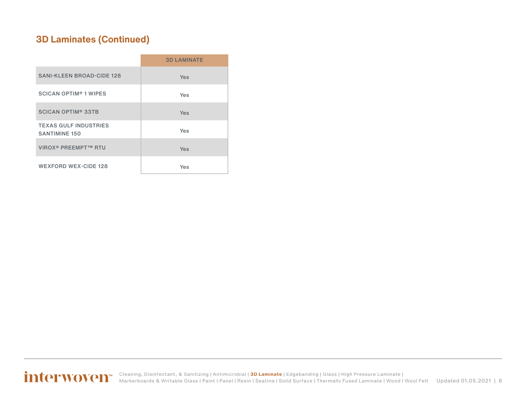### **3D Laminates (Continued)**

|                                                      | <b>3D LAMINATE</b> |
|------------------------------------------------------|--------------------|
| <b>SANI-KLEEN BROAD-CIDE 128</b>                     | <b>Yes</b>         |
| <b>SCICAN OPTIM<sup>®</sup> 1 WIPES</b>              | Yes                |
| <b>SCICAN OPTIM<sup>®</sup> 33TB</b>                 | Yes                |
| <b>TEXAS GULF INDUSTRIES</b><br><b>SANTIMINE 150</b> | Yes                |
| <b>VIROX<sup>®</sup> PREEMPT™ RTU</b>                | Yes                |
| <b>WEXFORD WEX-CIDE 128</b>                          | Yes                |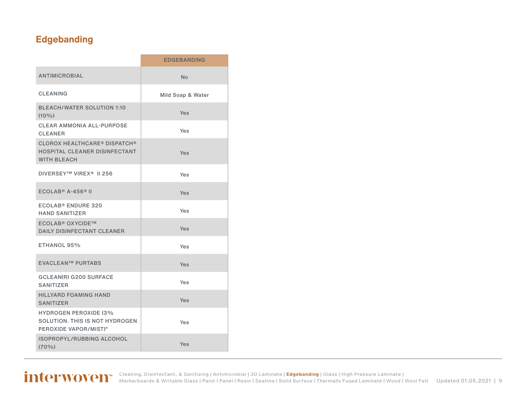### <span id="page-8-0"></span>**Edgebanding**

|                                                                                            | <b>EDGEBANDING</b> |
|--------------------------------------------------------------------------------------------|--------------------|
| <b>ANTIMICROBIAL</b>                                                                       | No                 |
| <b>CLEANING</b>                                                                            | Mild Soap & Water  |
| <b>BLEACH/WATER SOLUTION 1:10</b><br>$(10\%)$                                              | Yes                |
| <b>CLEAR AMMONIA ALL-PURPOSE</b><br><b>CLEANER</b>                                         | Yes                |
| <b>CLOROX HEALTHCARE® DISPATCH®</b><br>HOSPITAL CLEANER DISINFECTANT<br><b>WITH BLEACH</b> | Yes                |
| DIVERSEY™ VIREX <sup>®</sup> II 256                                                        | Yes                |
| $ECOLAB® A-456® II$                                                                        | Yes                |
| ECOLAB <sup>®</sup> ENDURE 320<br><b>HAND SANITIZER</b>                                    | Yes                |
| <b>ECOLAB<sup>®</sup> OXYCIDE™</b><br><b>DAILY DISINFECTANT CLEANER</b>                    | Yes                |
| ETHANOL 95%                                                                                | Yes                |
| <b>EVACLEAN™ PURTABS</b>                                                                   | Yes                |
| <b>GCLEAN(R) G200 SURFACE</b><br>SANITIZER                                                 | Yes                |
| <b>HILLYARD FOAMING HAND</b><br><b>SANITIZER</b>                                           | Yes                |
| <b>HYDROGEN PEROXIDE (3%</b><br>SOLUTION. THIS IS NOT HYDROGEN<br>PEROXIDE VAPOR/MIST)"    | Yes                |
| ISOPROPYL/RUBBING ALCOHOL<br>$(70\%)$                                                      | Yes                |
|                                                                                            |                    |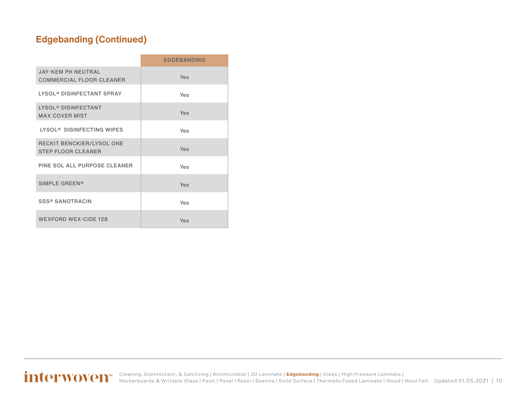### **Edgebanding (Continued)**

|                                                                | <b>EDGEBANDING</b> |
|----------------------------------------------------------------|--------------------|
| <b>JAY-KEM PH NEUTRAL</b><br><b>COMMERCIAL FLOOR CLEANER</b>   | Yes                |
| LYSOL® DISINFECTANT SPRAY                                      | Yes                |
| <b>LYSOL<sup>®</sup> DISINFECTANT</b><br><b>MAX COVER MIST</b> | Yes                |
| LYSOL <sup>®</sup> DISINFECTING WIPES                          | Yes                |
| RECKIT BENCKIER/LYSOL ONE<br><b>STEP FLOOR CLEANER</b>         | Yes                |
| PINE SOL ALL PURPOSE CLEANER                                   | Yes                |
| <b>SIMPLE GREEN®</b>                                           | Yes                |
| <b>SSS® SANOTRACIN</b>                                         | Yes                |
| <b>WEXFORD WEX-CIDE 128</b>                                    | Yes                |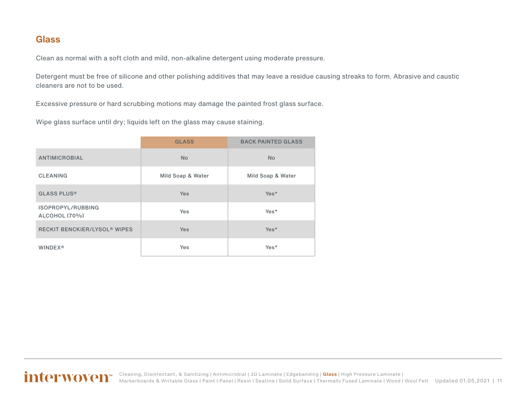#### <span id="page-10-0"></span>**Glass**

Clean as normal with a soft cloth and mild, non-alkaline detergent using moderate pressure.

Detergent must be free of silicone and other polishing additives that may leave a residue causing streaks to form. Abrasive and caustic cleaners are not to be used.

Excessive pressure or hard scrubbing motions may damage the painted frost glass surface.

Wipe glass surface until dry; liquids left on the glass may cause staining.

|                                                | <b>GLASS</b>      | <b>BACK PAINTED GLASS</b> |
|------------------------------------------------|-------------------|---------------------------|
| <b>ANTIMICROBIAL</b>                           | <b>No</b>         | <b>No</b>                 |
| <b>CLEANING</b>                                | Mild Soap & Water | Mild Soap & Water         |
| <b>GLASS PLUS®</b>                             | <b>Yes</b>        | Yes*                      |
| ISOPROPYL/RUBBING<br>ALCOHOL (70%)             | <b>Yes</b>        | Yes*                      |
| <b>RECKIT BENCKIER/LYSOL<sup>®</sup> WIPES</b> | <b>Yes</b>        | Yes*                      |
| <b>WINDEX®</b>                                 | Yes               | Yes*                      |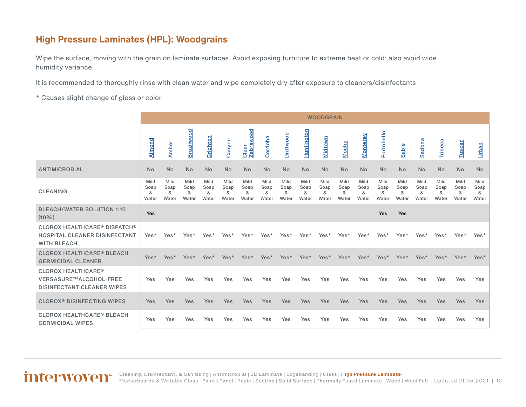#### <span id="page-11-0"></span>**High Pressure Laminates (HPL): Woodgrains**

Wipe the surface, moving with the grain on laminate surfaces. Avoid exposing furniture to extreme heat or cold; also avoid wide humidity variance.

It is recommended to thoroughly rinse with clean water and wipe completely dry after exposure to cleaners/disinfectants

\* Causes slight change of gloss or color.

|                                                                                            |                            |                            |                            |                            |                            |                            |                            |                            |                            | <b>WOODGRAIN</b>           |                            |                            |                            |                            |                            |                            |                            |                            |
|--------------------------------------------------------------------------------------------|----------------------------|----------------------------|----------------------------|----------------------------|----------------------------|----------------------------|----------------------------|----------------------------|----------------------------|----------------------------|----------------------------|----------------------------|----------------------------|----------------------------|----------------------------|----------------------------|----------------------------|----------------------------|
|                                                                                            | Almond                     | <b>Amber</b>               | Brazilwood                 | <b>Brighton</b>            | Canyon                     | Clear<br>Zebrawood         | Cordoba                    | Driftwood                  | <u>Huntington</u>          | Midtown                    | Mocha                      | Monterey                   | Portobello                 | Sable                      | <b>Sedona</b>              | Tribeca                    | <b>Tuscan</b>              | <b>Urban</b>               |
| <b>ANTIMICROBIAL</b>                                                                       | <b>No</b>                  | <b>No</b>                  | <b>No</b>                  | No                         | No                         | <b>No</b>                  | No                         | N <sub>o</sub>             | No                         | <b>No</b>                  | No                         | <b>No</b>                  | <b>No</b>                  | <b>No</b>                  | <b>No</b>                  | <b>No</b>                  | No                         | <b>No</b>                  |
| <b>CLEANING</b>                                                                            | Mild<br>Soap<br>&<br>Water | Mild<br>Soap<br>&<br>Water | Mild<br>Soap<br>&<br>Water | Mild<br>Soap<br>&<br>Water | Mild<br>Soap<br>&<br>Water | Mild<br>Soap<br>&<br>Water | Mild<br>Soap<br>&<br>Water | Mild<br>Soap<br>&<br>Water | Mild<br>Soap<br>&<br>Water | Mild<br>Soap<br>&<br>Water | Mild<br>Soap<br>&<br>Water | Mild<br>Soap<br>&<br>Water | Mild<br>Soap<br>&<br>Water | Mild<br>Soap<br>&<br>Water | Mild<br>Soap<br>&<br>Water | Mild<br>Soap<br>&<br>Water | Mild<br>Soap<br>&<br>Water | Mild<br>Soap<br>&<br>Water |
| <b>BLEACH/WATER SOLUTION 1:10</b><br>$(10\%)$                                              | Yes                        |                            |                            |                            |                            |                            |                            |                            |                            |                            |                            |                            | Yes                        | Yes                        |                            |                            |                            |                            |
| <b>CLOROX HEALTHCARE® DISPATCH®</b><br>HOSPITAL CLEANER DISINFECTANT<br><b>WITH BLEACH</b> | Yes*                       | Yes*                       | Yes*                       | Yes*                       | Yes*                       | Yes*                       | Yes*                       | Yes*                       | Yes*                       | Yes*                       | Yes*                       | Yes*                       | Yes*                       | Yes*                       | Yes*                       | Yes*                       | Yes*                       | Yes*                       |
| <b>CLOROX HEALTHCARE® BLEACH</b><br><b>GERMICIDAL CLEANER</b>                              | Yes*                       | Yes*                       | Yes*                       | Yes*                       | Yes*                       | Yes*                       | Yes*                       | Yes*                       | Yes*                       | Yes*                       | Yes*                       | Yes*                       | Yes*                       | Yes*                       | Yes*                       | Yes*                       | Yes*                       | Yes*                       |
| <b>CLOROX HEALTHCARE®</b><br>VERSASURE™ALCOHOL-FREE<br><b>DISINFECTANT CLEANER WIPES</b>   | Yes                        | Yes                        | Yes                        | Yes                        | Yes                        | Yes                        | Yes                        | Yes                        | Yes                        | Yes                        | Yes                        | Yes                        | Yes                        | Yes                        | Yes                        | Yes                        | <b>Yes</b>                 | Yes                        |
| <b>CLOROX<sup>®</sup> DISINFECTING WIPES</b>                                               | <b>Yes</b>                 | Yes                        | Yes                        | <b>Yes</b>                 | Yes                        | Yes                        | Yes                        | Yes                        | Yes                        | <b>Yes</b>                 | Yes                        | Yes                        | Yes                        | Yes                        | <b>Yes</b>                 | Yes                        | Yes                        | <b>Yes</b>                 |
| <b>CLOROX HEALTHCARE<sup>®</sup> BLEACH</b><br><b>GERMICIDAL WIPES</b>                     | Yes                        | Yes                        | Yes                        | Yes                        | Yes                        | Yes                        | Yes                        | Yes                        | Yes                        | Yes                        | Yes                        | Yes                        | Yes                        | Yes                        | Yes                        | Yes                        | Yes                        | Yes                        |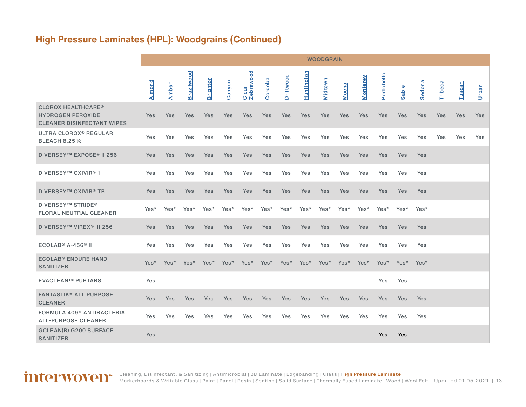### **High Pressure Laminates (HPL): Woodgrains (Continued)**

|                                                                                            |        |              |            |                 |        |                    |            |           |            | <b>WOODGRAIN</b> |       |          |            |       |               |         |        |            |
|--------------------------------------------------------------------------------------------|--------|--------------|------------|-----------------|--------|--------------------|------------|-----------|------------|------------------|-------|----------|------------|-------|---------------|---------|--------|------------|
|                                                                                            | Almond | <b>Amber</b> | Brazilwood | <b>Brighton</b> | Canyon | Clear<br>Zebrawood | Cordoba    | Driftwood | Huntington | Midtown          | Mocha | Monterey | Portobello | Sable | <b>Sedona</b> | Tribeca | Tuscan | Urban      |
| <b>CLOROX HEALTHCARE®</b><br><b>HYDROGEN PEROXIDE</b><br><b>CLEANER DISINFECTANT WIPES</b> | Yes    | Yes          | Yes        | Yes             | Yes    | Yes                | Yes        | Yes       | Yes        | <b>Yes</b>       | Yes   | Yes      | Yes        | Yes   | Yes           | Yes     | Yes    | <b>Yes</b> |
| ULTRA CLOROX <sup>®</sup> REGULAR<br><b>BLEACH 8.25%</b>                                   | Yes    | Yes          | Yes        | Yes             | Yes    | Yes                | Yes        | Yes       | Yes        | Yes              | Yes   | Yes      | Yes        | Yes   | Yes           | Yes     | Yes    | Yes        |
| DIVERSEY™ EXPOSE <sup>®</sup> II 256                                                       | Yes    | Yes          | Yes        | Yes             | Yes    | <b>Yes</b>         | <b>Yes</b> | Yes       | Yes        | <b>Yes</b>       | Yes   | Yes      | <b>Yes</b> | Yes   | Yes           |         |        |            |
| <b>DIVERSEY™ OXIVIR®1</b>                                                                  | Yes    | Yes          | Yes        | Yes             | Yes    | Yes                | Yes        | Yes       | Yes        | Yes              | Yes   | Yes      | Yes        | Yes   | Yes           |         |        |            |
| <b>DIVERSEY™ OXIVIR® TB</b>                                                                | Yes    | Yes          | Yes        | Yes             | Yes    | Yes                | Yes        | Yes       | Yes        | Yes              | Yes   | Yes      | Yes        | Yes   | Yes           |         |        |            |
| <b>DIVERSEY™ STRIDE®</b><br><b>FLORAL NEUTRAL CLEANER</b>                                  | Yes*   | Yes*         | Yes*       | Yes*            | Yes*   | Yes*               | Yes*       | Yes*      | Yes*       | Yes*             | Yes*  | Yes*     | Yes*       | Yes*  | Yes*          |         |        |            |
| DIVERSEY™ VIREX <sup>®</sup> II 256                                                        | Yes    | Yes          | Yes        | Yes             | Yes    | Yes                | Yes        | Yes       | Yes        | <b>Yes</b>       | Yes   | Yes      | Yes        | Yes   | Yes           |         |        |            |
| $ECOLAB® A-456® II$                                                                        | Yes    | Yes          | Yes        | Yes             | Yes    | Yes                | Yes        | Yes       | <b>Yes</b> | Yes              | Yes   | Yes      | Yes        | Yes   | Yes           |         |        |            |
| <b>ECOLAB<sup>®</sup> ENDURE HAND</b><br><b>SANITIZER</b>                                  | Yes*   | Yes*         | Yes*       | Yes*            | Yes*   | Yes*               | Yes*       | Yes*      | Yes*       | Yes*             | Yes*  | Yes*     | Yes*       | Yes*  | Yes*          |         |        |            |
| <b>EVACLEAN™ PURTABS</b>                                                                   | Yes    |              |            |                 |        |                    |            |           |            |                  |       |          | Yes        | Yes   |               |         |        |            |
| <b>FANTASTIK® ALL PURPOSE</b><br><b>CLEANER</b>                                            | Yes    | Yes          | <b>Yes</b> | <b>Yes</b>      | Yes    | <b>Yes</b>         | <b>Yes</b> | Yes       | Yes        | <b>Yes</b>       | Yes   | Yes      | <b>Yes</b> | Yes   | Yes           |         |        |            |
| FORMULA 409 <sup>®</sup> ANTIBACTERIAL<br><b>ALL-PURPOSE CLEANER</b>                       | Yes    | Yes          | Yes        | Yes             | Yes    | Yes                | Yes        | Yes       | Yes        | Yes              | Yes   | Yes      | Yes        | Yes   | Yes           |         |        |            |
| <b>GCLEAN(R) G200 SURFACE</b><br><b>SANITIZER</b>                                          | Yes    |              |            |                 |        |                    |            |           |            |                  |       |          | <b>Yes</b> | Yes   |               |         |        |            |

#### Updated 01.05.2021 | 13 [Cleaning, Disinfectant, & Sanitizing](#page-2-0) | [Antimicrobial](#page-3-0) | [3D Laminate](#page-4-0) | [Edgebanding](#page-8-0) | [Glass](#page-10-0) | H**[igh Pressure Laminate](#page-11-0)** | [Markerboards & Writable Glass](#page-23-0) | [Paint](#page-24-0) | [Panel](#page-27-0) | [Resin](#page-27-0) | [Seating](#page-33-0) | [Solid Surface](#page-44-0) | [Thermally Fused Laminate](#page-54-0) | [Wood](#page-58-0) | [Wool Felt](#page-60-0)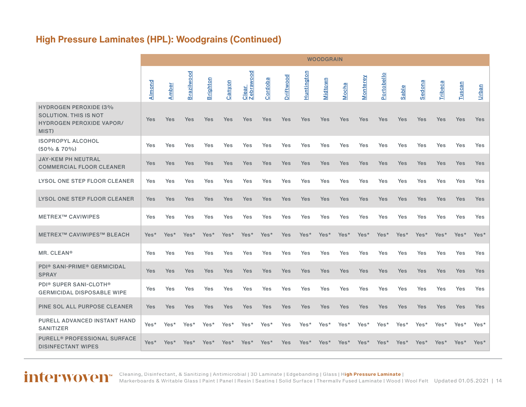### **High Pressure Laminates (HPL): Woodgrains (Continued)**

|                                                                                                   |            |              |            |                 |        |                           |            |           |                   | <b>WOODGRAIN</b> |       |            |            |            |            |         |               |            |
|---------------------------------------------------------------------------------------------------|------------|--------------|------------|-----------------|--------|---------------------------|------------|-----------|-------------------|------------------|-------|------------|------------|------------|------------|---------|---------------|------------|
|                                                                                                   | Almond     | <b>Amber</b> | Brazilwood | <b>Brighton</b> | Canyon | <b>Zebrawood</b><br>Clear | Cordoba    | Driftwood | <b>Huntington</b> | Midtown          | Mocha | Monterey   | Portobello | Sable      | Sedona     | Tribeca | <b>Tuscan</b> | Urban      |
| <b>HYDROGEN PEROXIDE (3%</b><br>SOLUTION. THIS IS NOT<br><b>HYDROGEN PEROXIDE VAPOR/</b><br>MIST) | Yes        | Yes          | Yes        | <b>Yes</b>      | Yes    | Yes                       | <b>Yes</b> | Yes       | Yes               | Yes              | Yes   | Yes        | Yes        | Yes        | Yes        | Yes     | Yes           | <b>Yes</b> |
| <b>ISOPROPYL ALCOHOL</b><br>(50% & 70%)                                                           | Yes        | Yes          | Yes        | Yes             | Yes    | Yes                       | Yes        | Yes       | Yes               | Yes              | Yes   | Yes        | Yes        | Yes        | Yes        | Yes     | Yes           | Yes        |
| <b>JAY-KEM PH NEUTRAL</b><br><b>COMMERCIAL FLOOR CLEANER</b>                                      | Yes        | Yes          | <b>Yes</b> | <b>Yes</b>      | Yes    | Yes                       | <b>Yes</b> | Yes       | Yes               | Yes              | Yes   | Yes        | Yes        | Yes        | Yes        | Yes     | Yes           | <b>Yes</b> |
| LYSOL ONE STEP FLOOR CLEANER                                                                      | Yes        | Yes          | Yes        | Yes             | Yes    | Yes                       | Yes        | Yes       | Yes               | Yes              | Yes   | Yes        | Yes        | <b>Yes</b> | Yes        | Yes     | Yes           | Yes        |
| <b>LYSOL ONE STEP FLOOR CLEANER</b>                                                               | <b>Yes</b> | Yes          | <b>Yes</b> | <b>Yes</b>      | Yes    | Yes                       | <b>Yes</b> | Yes       | Yes               | Yes              | Yes   | <b>Yes</b> | Yes        | <b>Yes</b> | <b>Yes</b> | Yes     | Yes           | <b>Yes</b> |
| <b>METREX™ CAVIWIPES</b>                                                                          | Yes        | Yes          | Yes        | Yes             | Yes    | Yes                       | <b>Yes</b> | Yes       | Yes               | Yes              | Yes   | Yes        | Yes        | Yes        | Yes        | Yes     | Yes           | Yes        |
| <b>METREX™ CAVIWIPES™ BLEACH</b>                                                                  | Yes*       | Yes*         | Yes*       | Yes*            | Yes*   | Yes*                      | Yes*       | Yes       | Yes*              | Yes*             | Yes*  | Yes*       | Yes*       | Yes*       | Yes*       | Yes*    | Yes*          | Yes*       |
| MR. CLEAN®                                                                                        | Yes        | Yes          | Yes        | Yes             | Yes    | Yes                       | Yes        | Yes       | Yes               | Yes              | Yes   | Yes        | Yes        | Yes        | <b>Yes</b> | Yes     | Yes           | Yes        |
| <b>PDI® SANI-PRIME® GERMICIDAL</b><br><b>SPRAY</b>                                                | Yes        | Yes          | Yes        | <b>Yes</b>      | Yes    | Yes                       | <b>Yes</b> | Yes       | Yes               | Yes              | Yes   | Yes        | <b>Yes</b> | <b>Yes</b> | <b>Yes</b> | Yes     | Yes           | <b>Yes</b> |
| <b>PDI® SUPER SANI-CLOTH®</b><br><b>GERMICIDAL DISPOSABLE WIPE</b>                                | Yes        | Yes          | Yes        | Yes             | Yes    | Yes                       | Yes        | Yes       | Yes               | Yes              | Yes   | Yes        | Yes        | Yes        | Yes        | Yes     | Yes           | Yes        |
| PINE SOL ALL PURPOSE CLEANER                                                                      | Yes        | Yes          | Yes        | <b>Yes</b>      | Yes    | Yes                       | <b>Yes</b> | Yes       | Yes               | Yes              | Yes   | Yes        | Yes        | <b>Yes</b> | Yes        | Yes     | Yes           | <b>Yes</b> |
| PURELL ADVANCED INSTANT HAND<br><b>SANITIZER</b>                                                  | Yes*       | Yes*         | Yes*       | Yes*            | Yes*   | Yes*                      | Yes*       | Yes       | Yes*              | Yes*             | Yes*  | Yes*       | Yes*       | Yes*       | Yes*       | Yes*    | Yes*          | Yes*       |
| PURELL® PROFESSIONAL SURFACE<br><b>DISINFECTANT WIPES</b>                                         | Yes*       | Yes*         | Yes*       | Yes*            | Yes*   | Yes*                      | Yes*       | Yes       | Yes <sup>*</sup>  | Yes*             | Yes*  | Yes*       | Yes*       | Yes*       | Yes*       | Yes*    | Yes*          | Yes*       |

Updated 01.05.2021 | 14 [Cleaning, Disinfectant, & Sanitizing](#page-2-0) | [Antimicrobial](#page-3-0) | [3D Laminate](#page-4-0) | [Edgebanding](#page-8-0) | [Glass](#page-10-0) | H**[igh Pressure Laminate](#page-11-0)** | [Markerboards & Writable Glass](#page-23-0) | [Paint](#page-24-0) | [Panel](#page-27-0) | [Resin](#page-27-0) | [Seating](#page-33-0) | [Solid Surface](#page-44-0) | [Thermally Fused Laminate](#page-54-0) | [Wood](#page-58-0) | [Wool Felt](#page-60-0)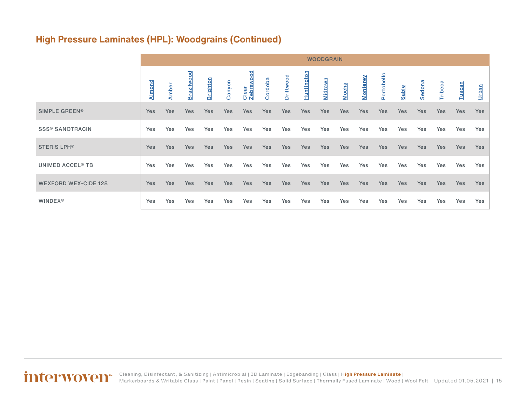### **High Pressure Laminates (HPL): Woodgrains (Continued)**

|                                    |            |              |            |                 |        |                    |            |            |                   | <b>WOODGRAIN</b> |       |          |            |            |            |         |               |              |
|------------------------------------|------------|--------------|------------|-----------------|--------|--------------------|------------|------------|-------------------|------------------|-------|----------|------------|------------|------------|---------|---------------|--------------|
|                                    | Almond     | <b>Amber</b> | Brazilwood | <b>Brighton</b> | Canyon | Clear<br>Zebrawood | Cordob     | Driftwood  | <b>Huntington</b> | <b>Midtown</b>   | Mocha | Monterey | Portobello | Sable      | Sedona     | Tribeca | <b>Tuscan</b> | <u>Urban</u> |
| SIMPLE GREEN®                      | Yes        | <b>Yes</b>   | <b>Yes</b> | <b>Yes</b>      | Yes    | Yes                | <b>Yes</b> | <b>Yes</b> | Yes               | <b>Yes</b>       | Yes   | Yes      | <b>Yes</b> | <b>Yes</b> | <b>Yes</b> | Yes     | <b>Yes</b>    | Yes          |
| <b>SSS® SANOTRACIN</b>             | Yes        | Yes          | Yes        | Yes             | Yes    | Yes                | Yes        | Yes        | Yes               | Yes              | Yes   | Yes      | Yes        | Yes        | Yes        | Yes     | Yes           | Yes          |
| <b>STERIS LPH®</b>                 | Yes        | <b>Yes</b>   | <b>Yes</b> | Yes             | Yes    | Yes                | <b>Yes</b> | Yes        | Yes               | <b>Yes</b>       | Yes   | Yes      | <b>Yes</b> | <b>Yes</b> | <b>Yes</b> | Yes     | <b>Yes</b>    | Yes          |
| <b>UNIMED ACCEL<sup>®</sup> TB</b> | Yes        | Yes          | Yes        | Yes             | Yes    | Yes                | Yes        | Yes        | Yes               | Yes              | Yes   | Yes      | Yes        | Yes        | Yes        | Yes     | Yes           | Yes          |
| <b>WEXFORD WEX-CIDE 128</b>        | <b>Yes</b> | Yes          | <b>Yes</b> | <b>Yes</b>      | Yes    | Yes                | <b>Yes</b> | Yes        | Yes               | <b>Yes</b>       | Yes   | Yes      | <b>Yes</b> | <b>Yes</b> | <b>Yes</b> | Yes     | <b>Yes</b>    | <b>Yes</b>   |
| <b>WINDEX®</b>                     | Yes        | Yes          | Yes        | Yes             | Yes    | Yes                | Yes        | Yes        | Yes               | Yes              | Yes   | Yes      | Yes        | Yes        | Yes        | Yes     | Yes           | Yes          |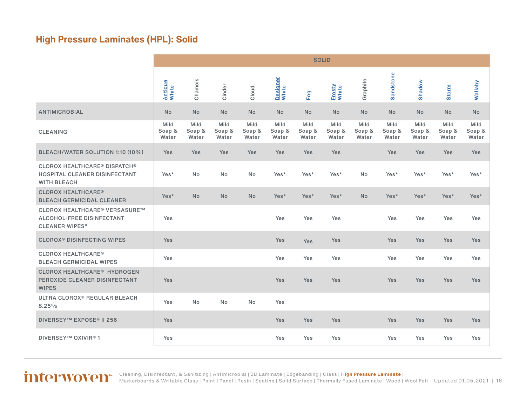### <span id="page-15-0"></span>**High Pressure Laminates (HPL): Solid**

|                                                                                                   | <b>SOLID</b>            |                         |                         |                         |                         |                         |                         |                         |                         |                         |                         |                         |
|---------------------------------------------------------------------------------------------------|-------------------------|-------------------------|-------------------------|-------------------------|-------------------------|-------------------------|-------------------------|-------------------------|-------------------------|-------------------------|-------------------------|-------------------------|
|                                                                                                   | Antique<br>White        | Chamois                 | Cinder                  | Cloud                   | Designer<br>White       | <b>Fog</b>              | Frosty<br>White         | Graphite                | Sandstone               | Shadow                  | <b>Storm</b>            | <b>Wallaby</b>          |
| <b>ANTIMICROBIAL</b>                                                                              | <b>No</b>               | <b>No</b>               | <b>No</b>               | <b>No</b>               | <b>No</b>               | <b>No</b>               | <b>No</b>               | <b>No</b>               | <b>No</b>               | <b>No</b>               | <b>No</b>               | <b>No</b>               |
| <b>CLEANING</b>                                                                                   | Mild<br>Soap &<br>Water | Mild<br>Soap &<br>Water | Mild<br>Soap &<br>Water | Mild<br>Soap &<br>Water | Mild<br>Soap &<br>Water | Mild<br>Soap &<br>Water | Mild<br>Soap &<br>Water | Mild<br>Soap &<br>Water | Mild<br>Soap &<br>Water | Mild<br>Soap &<br>Water | Mild<br>Soap &<br>Water | Mild<br>Soap &<br>Water |
| BLEACH/WATER SOLUTION 1:10 (10%)                                                                  | Yes                     | Yes                     | Yes                     | Yes                     | <b>Yes</b>              | Yes                     | <b>Yes</b>              |                         | Yes                     | <b>Yes</b>              | Yes                     | Yes                     |
| <b>CLOROX HEALTHCARE® DISPATCH®</b><br><b>HOSPITAL CLEANER DISINFECTANT</b><br><b>WITH BLEACH</b> | Yes*                    | No                      | No                      | No                      | Yes*                    | Yes*                    | Yes*                    | <b>No</b>               | Yes*                    | Yes*                    | Yes*                    | Yes*                    |
| <b>CLOROX HEALTHCARE®</b><br><b>BLEACH GERMICIDAL CLEANER</b>                                     | Yes*                    | No                      | <b>No</b>               | <b>No</b>               | Yes*                    | Yes*                    | Yes*                    | No                      | Yes*                    | Yes*                    | Yes*                    | Yes*                    |
| CLOROX HEALTHCARE <sup>®</sup> VERSASURE™<br>ALCOHOL-FREE DISINFECTANT<br><b>CLEANER WIPES"</b>   | Yes                     |                         |                         |                         | Yes                     | Yes                     | Yes                     |                         | Yes                     | Yes                     | Yes                     | Yes                     |
| <b>CLOROX<sup>®</sup> DISINFECTING WIPES</b>                                                      | <b>Yes</b>              |                         |                         |                         | <b>Yes</b>              | Yes                     | <b>Yes</b>              |                         | <b>Yes</b>              | <b>Yes</b>              | Yes                     | Yes                     |
| <b>CLOROX HEALTHCARE<sup>®</sup></b><br><b>BLEACH GERMICIDAL WIPES</b>                            | Yes                     |                         |                         |                         | Yes                     | Yes                     | Yes                     |                         | Yes                     | Yes                     | Yes                     | Yes                     |
| <b>CLOROX HEALTHCARE<sup>®</sup> HYDROGEN</b><br>PEROXIDE CLEANER DISINFECTANT<br><b>WIPES</b>    | Yes                     |                         |                         |                         | <b>Yes</b>              | Yes                     | Yes                     |                         | <b>Yes</b>              | <b>Yes</b>              | Yes                     | Yes                     |
| ULTRA CLOROX <sup>®</sup> REGULAR BLEACH<br>8.25%                                                 | Yes                     | No                      | <b>No</b>               | <b>No</b>               | Yes                     |                         |                         |                         |                         |                         |                         |                         |
| <b>DIVERSEY™ EXPOSE® II 256</b>                                                                   | <b>Yes</b>              |                         |                         |                         | <b>Yes</b>              | Yes                     | <b>Yes</b>              |                         | <b>Yes</b>              | <b>Yes</b>              | Yes                     | <b>Yes</b>              |
| DIVERSEY™ OXIVIR <sup>®</sup> 1                                                                   | Yes                     |                         |                         |                         | Yes                     | Yes                     | Yes                     |                         | Yes                     | Yes                     | Yes                     | Yes                     |

Updated 01.05.2021 | 16 [Cleaning, Disinfectant, & Sanitizing](#page-2-0) | [Antimicrobial](#page-3-0) | [3D Laminate](#page-4-0) | [Edgebanding](#page-8-0) | [Glass](#page-10-0) | H**[igh Pressure Laminate](#page-11-0)** | [Markerboards & Writable Glass](#page-23-0) | [Paint](#page-24-0) | [Panel](#page-27-0) | [Resin](#page-27-0) | [Seating](#page-33-0) | [Solid Surface](#page-44-0) | [Thermally Fused Laminate](#page-54-0) | [Wood](#page-58-0) | [Wool Felt](#page-60-0)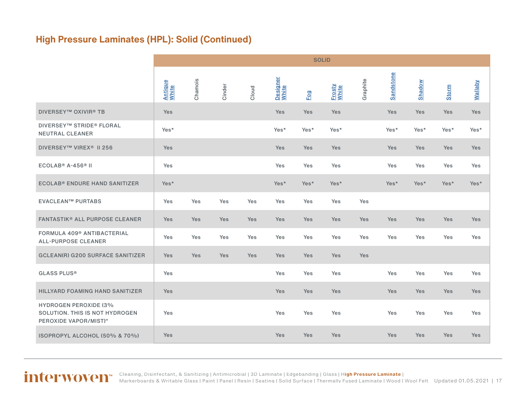### **High Pressure Laminates (HPL): Solid (Continued)**

|                                                                                         |                         | <b>SOLID</b> |        |            |                   |            |                 |          |            |               |              |                |
|-----------------------------------------------------------------------------------------|-------------------------|--------------|--------|------------|-------------------|------------|-----------------|----------|------------|---------------|--------------|----------------|
|                                                                                         | <b>Antique</b><br>White | Chamois      | Cinder | Cloud      | Designer<br>White | Fog        | Frosty<br>White | Graphite | Sandstone  | <b>Shadow</b> | <b>Storm</b> | <b>Vallaby</b> |
| <b>DIVERSEY™ OXIVIR® TB</b>                                                             | Yes                     |              |        |            | Yes               | Yes        | Yes             |          | Yes        | <b>Yes</b>    | Yes          | Yes            |
| <b>DIVERSEY™ STRIDE® FLORAL</b><br><b>NEUTRAL CLEANER</b>                               | Yes*                    |              |        |            | Yes*              | Yes*       | Yes*            |          | Yes*       | Yes*          | Yes*         | Yes*           |
| DIVERSEY™ VIREX <sup>®</sup> II 256                                                     | <b>Yes</b>              |              |        |            | Yes               | Yes        | Yes             |          | <b>Yes</b> | <b>Yes</b>    | <b>Yes</b>   | Yes            |
| ECOLAB <sup>®</sup> A-456 <sup>®</sup> II                                               | Yes                     |              |        |            | Yes               | Yes        | Yes             |          | Yes        | Yes           | Yes          | Yes            |
| <b>ECOLAB® ENDURE HAND SANITIZER</b>                                                    | Yes*                    |              |        |            | Yes*              | Yes*       | Yes*            |          | Yes*       | Yes*          | Yes*         | Yes*           |
| <b>EVACLEAN™ PURTABS</b>                                                                | Yes                     | Yes          | Yes    | Yes        | Yes               | Yes        | Yes             | Yes      |            |               |              |                |
| <b>FANTASTIK® ALL PURPOSE CLEANER</b>                                                   | Yes                     | Yes          | Yes    | Yes        | Yes               | <b>Yes</b> | Yes             | Yes      | Yes        | <b>Yes</b>    | Yes          | Yes            |
| <b>FORMULA 409® ANTIBACTERIAL</b><br><b>ALL-PURPOSE CLEANER</b>                         | Yes                     | Yes          | Yes    | Yes        | Yes               | Yes        | Yes             | Yes      | Yes        | Yes           | Yes          | Yes            |
| <b>GCLEAN(R) G200 SURFACE SANITIZER</b>                                                 | <b>Yes</b>              | Yes          | Yes    | <b>Yes</b> | Yes               | <b>Yes</b> | <b>Yes</b>      | Yes      |            |               |              |                |
| <b>GLASS PLUS®</b>                                                                      | Yes                     |              |        |            | Yes               | Yes        | Yes             |          | Yes        | Yes           | Yes          | Yes            |
| <b>HILLYARD FOAMING HAND SANITIZER</b>                                                  | Yes                     |              |        |            | Yes               | Yes        | Yes             |          | Yes        | Yes           | Yes          | Yes            |
| <b>HYDROGEN PEROXIDE (3%</b><br>SOLUTION. THIS IS NOT HYDROGEN<br>PEROXIDE VAPOR/MIST)" | Yes                     |              |        |            | Yes               | Yes        | Yes             |          | Yes        | Yes           | Yes          | Yes            |
| ISOPROPYL ALCOHOL (50% & 70%)                                                           | <b>Yes</b>              |              |        |            | Yes               | Yes        | <b>Yes</b>      |          | <b>Yes</b> | <b>Yes</b>    | Yes          | Yes            |

Updated 01.05.2021 | 17 [Cleaning, Disinfectant, & Sanitizing](#page-2-0) | [Antimicrobial](#page-3-0) | [3D Laminate](#page-4-0) | [Edgebanding](#page-8-0) | [Glass](#page-10-0) | H**[igh Pressure Laminate](#page-11-0)** | [Markerboards & Writable Glass](#page-23-0) | [Paint](#page-24-0) | [Panel](#page-27-0) | [Resin](#page-27-0) | [Seating](#page-33-0) | [Solid Surface](#page-44-0) | [Thermally Fused Laminate](#page-54-0) | [Wood](#page-58-0) | [Wool Felt](#page-60-0)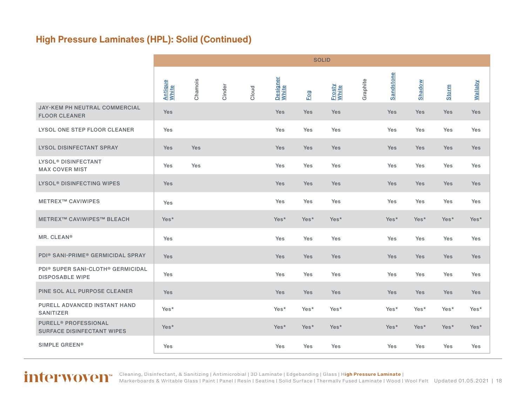### **High Pressure Laminates (HPL): Solid (Continued)**

|                                                                                     | <b>SOLID</b>            |         |        |       |                   |      |                 |          |            |            |              |                |
|-------------------------------------------------------------------------------------|-------------------------|---------|--------|-------|-------------------|------|-----------------|----------|------------|------------|--------------|----------------|
|                                                                                     | <b>Antique</b><br>White | Chamois | Cinder | Cloud | Designer<br>White | Fog  | Frosty<br>White | Graphite | Sandstone  | Shadow     | <b>Storm</b> | <b>Wallaby</b> |
| JAY-KEM PH NEUTRAL COMMERCIAL<br><b>FLOOR CLEANER</b>                               | Yes                     |         |        |       | <b>Yes</b>        | Yes  | Yes             |          | Yes        | <b>Yes</b> | Yes          | Yes            |
| LYSOL ONE STEP FLOOR CLEANER                                                        | Yes                     |         |        |       | Yes               | Yes  | Yes             |          | Yes        | Yes        | Yes          | Yes            |
| <b>LYSOL DISINFECTANT SPRAY</b>                                                     | Yes                     | Yes     |        |       | Yes               | Yes  | <b>Yes</b>      |          | Yes        | Yes        | <b>Yes</b>   | Yes            |
| <b>LYSOL<sup>®</sup> DISINFECTANT</b><br><b>MAX COVER MIST</b>                      | Yes                     | Yes     |        |       | Yes               | Yes  | Yes             |          | Yes        | Yes        | Yes          | Yes            |
| <b>LYSOL<sup>®</sup> DISINFECTING WIPES</b>                                         | Yes                     |         |        |       | <b>Yes</b>        | Yes  | <b>Yes</b>      |          | <b>Yes</b> | Yes        | <b>Yes</b>   | Yes            |
| <b>METREX™ CAVIWIPES</b>                                                            | Yes                     |         |        |       | Yes               | Yes  | Yes             |          | Yes        | Yes        | Yes          | Yes            |
| <b>METREX™ CAVIWIPES™ BLEACH</b>                                                    | Yes*                    |         |        |       | Yes*              | Yes* | Yes*            |          | Yes*       | Yes*       | Yes*         | Yes*           |
| MR. CLEAN <sup>®</sup>                                                              | Yes                     |         |        |       | <b>Yes</b>        | Yes  | Yes             |          | Yes        | Yes        | Yes          | Yes            |
| PDI® SANI-PRIME® GERMICIDAL SPRAY                                                   | Yes                     |         |        |       | Yes               | Yes  | <b>Yes</b>      |          | <b>Yes</b> | <b>Yes</b> | <b>Yes</b>   | Yes            |
| PDI <sup>®</sup> SUPER SANI-CLOTH <sup>®</sup> GERMICIDAL<br><b>DISPOSABLE WIPE</b> | Yes                     |         |        |       | Yes               | Yes  | Yes             |          | Yes        | Yes        | Yes          | Yes            |
| PINE SOL ALL PURPOSE CLEANER                                                        | Yes                     |         |        |       | <b>Yes</b>        | Yes  | Yes             |          | Yes        | Yes        | <b>Yes</b>   | Yes            |
| PURELL ADVANCED INSTANT HAND<br><b>SANITIZER</b>                                    | Yes*                    |         |        |       | Yes*              | Yes* | Yes*            |          | Yes*       | Yes*       | Yes*         | Yes*           |
| <b>PURELL<sup>®</sup> PROFESSIONAL</b><br><b>SURFACE DISINFECTANT WIPES</b>         | Yes*                    |         |        |       | Yes*              | Yes* | Yes*            |          | Yes*       | Yes*       | Yes*         | Yes*           |
| <b>SIMPLE GREEN®</b>                                                                | Yes                     |         |        |       | Yes               | Yes  | Yes             |          | Yes        | Yes        | Yes          | Yes            |

Updated 01.05.2021 | 18 [Cleaning, Disinfectant, & Sanitizing](#page-2-0) | [Antimicrobial](#page-3-0) | [3D Laminate](#page-4-0) | [Edgebanding](#page-8-0) | [Glass](#page-10-0) | H**[igh Pressure Laminate](#page-11-0)** | [Markerboards & Writable Glass](#page-23-0) | [Paint](#page-24-0) | [Panel](#page-27-0) | [Resin](#page-27-0) | [Seating](#page-33-0) | [Solid Surface](#page-44-0) | [Thermally Fused Laminate](#page-54-0) | [Wood](#page-58-0) | [Wool Felt](#page-60-0)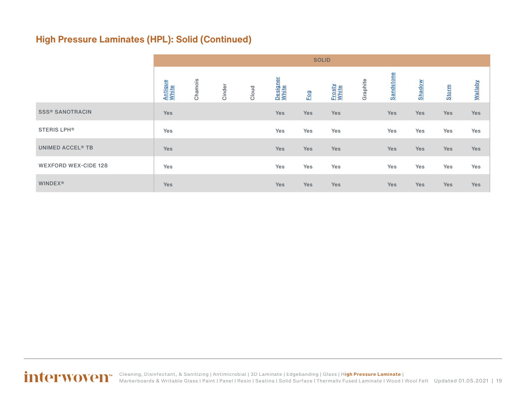### **High Pressure Laminates (HPL): Solid (Continued)**

|                                    | <b>SOLID</b>            |         |        |       |                   |            |                 |          |            |               |              |                |
|------------------------------------|-------------------------|---------|--------|-------|-------------------|------------|-----------------|----------|------------|---------------|--------------|----------------|
|                                    | <b>Antique</b><br>White | Chamois | Cinder | Cloud | Designer<br>White | Fog        | Frosty<br>White | Graphite | Sandstone  | <b>Shadow</b> | <b>Storm</b> | <b>Wallaby</b> |
| <b>SSS® SANOTRACIN</b>             | Yes                     |         |        |       | Yes               | <b>Yes</b> | <b>Yes</b>      |          | <b>Yes</b> | <b>Yes</b>    | Yes          | Yes            |
| <b>STERIS LPH®</b>                 | Yes                     |         |        |       | Yes               | Yes        | Yes             |          | Yes        | Yes           | Yes          | Yes            |
| <b>UNIMED ACCEL<sup>®</sup> TB</b> | Yes                     |         |        |       | Yes               | <b>Yes</b> | Yes             |          | Yes        | Yes           | Yes          | Yes            |
| <b>WEXFORD WEX-CIDE 128</b>        | Yes                     |         |        |       | Yes               | Yes        | Yes             |          | Yes        | Yes           | Yes          | Yes            |
| <b>WINDEX®</b>                     | Yes                     |         |        |       | Yes               | Yes        | Yes             |          | <b>Yes</b> | <b>Yes</b>    | Yes          | Yes            |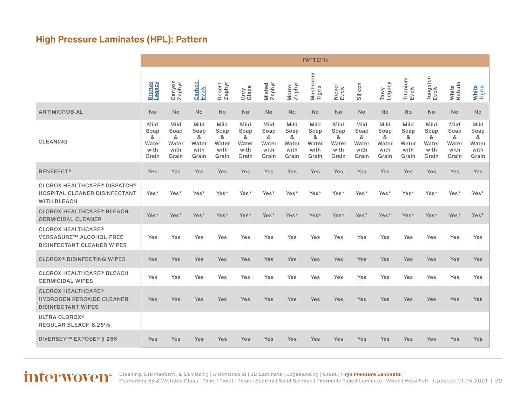### <span id="page-19-0"></span>**High Pressure Laminates (HPL): Pattern**

|                                                                                                  |                                             |                                             |                                             |                                             |                                             |                                             |                                             | <b>PATTERN</b>                              |                                             |                                             |                                             |                                             |                                             |                                             |                                             |
|--------------------------------------------------------------------------------------------------|---------------------------------------------|---------------------------------------------|---------------------------------------------|---------------------------------------------|---------------------------------------------|---------------------------------------------|---------------------------------------------|---------------------------------------------|---------------------------------------------|---------------------------------------------|---------------------------------------------|---------------------------------------------|---------------------------------------------|---------------------------------------------|---------------------------------------------|
|                                                                                                  | <b>Bronze</b><br>Voeber                     | Canyon<br>Zephyr                            | Carbon<br>Evoly                             | Desert<br>Zephyr                            | Grey<br>Glace                               | Misted<br>Zephyr                            | Zephyr<br>Morro                             | Mushroom<br>Tigris                          | Nickel<br>Evolv                             | Silicon                                     | Tawy<br>Legacy                              | Titanium<br>Evolv                           | Tungsten<br>Evolv                           | White<br>Nebula                             | <b>White</b><br>Tigris                      |
| <b>ANTIMICROBIAL</b>                                                                             | <b>No</b>                                   | <b>No</b>                                   | <b>No</b>                                   | <b>No</b>                                   | <b>No</b>                                   | <b>No</b>                                   | <b>No</b>                                   | <b>No</b>                                   | <b>No</b>                                   | <b>No</b>                                   | <b>No</b>                                   | <b>No</b>                                   | <b>No</b>                                   | <b>No</b>                                   | <b>No</b>                                   |
| <b>CLEANING</b>                                                                                  | Mild<br>Soap<br>&<br>Water<br>with<br>Grain | Mild<br>Soap<br>&<br>Water<br>with<br>Grain | Mild<br>Soap<br>&<br>Water<br>with<br>Grain | Mild<br>Soap<br>&<br>Water<br>with<br>Grain | Mild<br>Soap<br>&<br>Water<br>with<br>Grain | Mild<br>Soap<br>&<br>Water<br>with<br>Grain | Mild<br>Soap<br>&<br>Water<br>with<br>Grain | Mild<br>Soap<br>&<br>Water<br>with<br>Grain | Mild<br>Soap<br>&<br>Water<br>with<br>Grain | Mild<br>Soap<br>&<br>Water<br>with<br>Grain | Mild<br>Soap<br>&<br>Water<br>with<br>Grain | Mild<br>Soap<br>&<br>Water<br>with<br>Grain | Mild<br>Soap<br>&<br>Water<br>with<br>Grain | Mild<br>Soap<br>&<br>Water<br>with<br>Grain | Mild<br>Soap<br>&<br>Water<br>with<br>Grain |
| <b>BENEFECT®</b>                                                                                 | Yes                                         | <b>Yes</b>                                  | Yes                                         | Yes                                         | <b>Yes</b>                                  | Yes                                         | Yes                                         | Yes                                         | Yes                                         | Yes                                         | Yes                                         | Yes                                         | Yes                                         | Yes                                         | Yes                                         |
| <b>CLOROX HEALTHCARE® DISPATCH®</b><br>HOSPITAL CLEANER DISINFECTANT<br><b>WITH BLEACH</b>       | Yes*                                        | Yes*                                        | Yes*                                        | Yes*                                        | Yes*                                        | Yes*                                        | Yes*                                        | Yes*                                        | Yes*                                        | Yes*                                        | Yes*                                        | Yes*                                        | Yes*                                        | Yes*                                        | Yes*                                        |
| <b>CLOROX HEALTHCARE<sup>®</sup> BLEACH</b><br><b>GERMICIDAL CLEANER</b>                         | Yes*                                        | Yes*                                        | Yes*                                        | Yes*                                        | Yes*                                        | Yes*                                        | Yes*                                        | Yes*                                        | Yes*                                        | Yes*                                        | Yes*                                        | Yes*                                        | Yes*                                        | Yes*                                        | Yes*                                        |
| <b>CLOROX HEALTHCARE®</b><br><b>VERSASURE™ ALCOHOL-FREE</b><br><b>DISINFECTANT CLEANER WIPES</b> | Yes                                         | Yes                                         | Yes                                         | Yes                                         | Yes                                         | Yes                                         | Yes                                         | Yes                                         | Yes                                         | Yes                                         | Yes                                         | Yes                                         | Yes                                         | Yes                                         | Yes                                         |
| <b>CLOROX<sup>®</sup> DISINFECTING WIPES</b>                                                     | Yes                                         | <b>Yes</b>                                  | Yes                                         | Yes                                         | <b>Yes</b>                                  | <b>Yes</b>                                  | Yes                                         | Yes                                         | <b>Yes</b>                                  | Yes                                         | <b>Yes</b>                                  | Yes                                         | Yes                                         | Yes                                         | Yes                                         |
| <b>CLOROX HEALTHCARE<sup>®</sup> BLEACH</b><br><b>GERMICIDAL WIPES</b>                           | Yes                                         | Yes                                         | Yes                                         | Yes                                         | Yes                                         | Yes                                         | Yes                                         | Yes                                         | Yes                                         | <b>Yes</b>                                  | Yes                                         | <b>Yes</b>                                  | Yes                                         | Yes                                         | Yes                                         |
| <b>CLOROX HEALTHCARE®</b><br><b>HYDROGEN PEROXIDE CLEANER</b><br><b>DISINFECTANT WIPES</b>       | Yes                                         | <b>Yes</b>                                  | Yes                                         | Yes                                         | <b>Yes</b>                                  | Yes                                         | Yes                                         | Yes                                         | Yes                                         | Yes                                         | <b>Yes</b>                                  | Yes                                         | Yes                                         | Yes                                         | Yes                                         |
| <b>ULTRA CLOROX®</b><br><b>REGULAR BLEACH 8.25%</b>                                              |                                             |                                             |                                             |                                             |                                             |                                             |                                             |                                             |                                             |                                             |                                             |                                             |                                             |                                             |                                             |
| DIVERSEY™ EXPOSE® II 256                                                                         | Yes                                         | Yes                                         | Yes                                         | Yes                                         | <b>Yes</b>                                  | Yes                                         | Yes                                         | Yes                                         | <b>Yes</b>                                  | Yes                                         | Yes                                         | Yes                                         | Yes                                         | Yes                                         | <b>Yes</b>                                  |

[Cleaning, Disinfectant, & Sanitizing](#page-2-0) | [Antimicrobial](#page-3-0) | [3D Laminate](#page-4-0) | [Edgebanding](#page-8-0) | [Glass](#page-10-0) | H**[igh Pressure Laminate](#page-11-0)** |

Updated 01.05.2021 | 20 [Markerboards & Writable Glass](#page-23-0) | [Paint](#page-24-0) | [Panel](#page-27-0) | [Resin](#page-27-0) | [Seating](#page-33-0) | [Solid Surface](#page-44-0) | [Thermally Fused Laminate](#page-54-0) | [Wood](#page-58-0) | [Wool Felt](#page-60-0)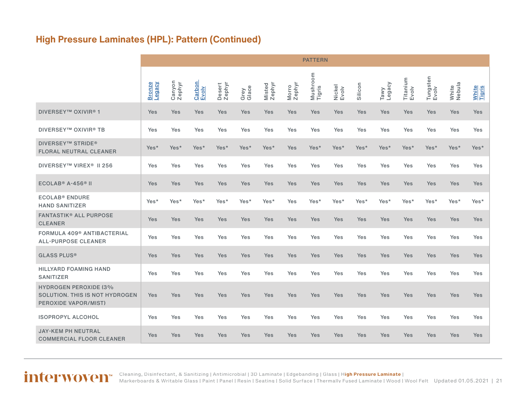### **High Pressure Laminates (HPL): Pattern (Continued)**

|                                                                                               |                                |                  |                 |                  |               |                  |                 | <b>PATTERN</b>     |                 |            |                |                   |                   |                 |                        |
|-----------------------------------------------------------------------------------------------|--------------------------------|------------------|-----------------|------------------|---------------|------------------|-----------------|--------------------|-----------------|------------|----------------|-------------------|-------------------|-----------------|------------------------|
|                                                                                               | <b>Bronze</b><br><b>Vaspar</b> | Canyon<br>Zephyr | Carbon<br>Evolv | Desert<br>Zephyr | Grey<br>Glace | Misted<br>Zephyr | Zephyr<br>Morro | Mushroom<br>Tigris | Nickel<br>Evolv | Silicon    | Tawy<br>Legacy | Titanium<br>Evolv | Tungsten<br>Evolv | White<br>Nebula | <b>White</b><br>Tigris |
| <b>DIVERSEY™ OXIVIR®1</b>                                                                     | <b>Yes</b>                     | Yes              | <b>Yes</b>      | Yes              | <b>Yes</b>    | Yes              | Yes             | <b>Yes</b>         | <b>Yes</b>      | Yes        | <b>Yes</b>     | <b>Yes</b>        | <b>Yes</b>        | Yes             | Yes                    |
| <b>DIVERSEY™ OXIVIR® TB</b>                                                                   | Yes                            | Yes              | Yes             | Yes              | Yes           | Yes              | Yes             | Yes                | Yes             | Yes        | Yes            | Yes               | Yes               | Yes             | Yes                    |
| <b>DIVERSEY™ STRIDE®</b><br><b>FLORAL NEUTRAL CLEANER</b>                                     | Yes*                           | Yes*             | Yes*            | Yes*             | Yes*          | Yes*             | Yes             | Yes*               | Yes*            | Yes*       | Yes*           | Yes*              | Yes*              | Yes*            | Yes*                   |
| DIVERSEY™ VIREX <sup>®</sup> II 256                                                           | Yes                            | Yes              | Yes             | Yes              | Yes           | Yes              | Yes             | Yes                | Yes             | Yes        | Yes            | Yes               | Yes               | Yes             | Yes                    |
| $ECOLAB® A-456® II$                                                                           | Yes                            | Yes              | Yes             | Yes              | Yes           | Yes              | Yes             | Yes                | Yes             | Yes        | Yes            | <b>Yes</b>        | Yes               | Yes             | Yes                    |
| <b>ECOLAB<sup>®</sup> ENDURE</b><br><b>HAND SANITIZER</b>                                     | Yes*                           | Yes*             | Yes*            | Yes*             | Yes*          | Yes*             | Yes             | Yes*               | Yes*            | Yes*       | Yes*           | Yes*              | Yes*              | Yes*            | Yes*                   |
| <b>FANTASTIK® ALL PURPOSE</b><br><b>CLEANER</b>                                               | Yes                            | Yes              | Yes             | Yes              | Yes           | Yes              | Yes             | Yes                | Yes             | <b>Yes</b> | Yes            | Yes               | Yes               | Yes             | Yes                    |
| FORMULA 409 <sup>®</sup> ANTIBACTERIAL<br><b>ALL-PURPOSE CLEANER</b>                          | Yes                            | Yes              | Yes             | Yes              | Yes           | Yes              | Yes             | Yes                | Yes             | Yes        | Yes            | Yes               | Yes               | Yes             | Yes                    |
| <b>GLASS PLUS®</b>                                                                            | Yes                            | Yes              | <b>Yes</b>      | Yes              | <b>Yes</b>    | Yes              | Yes             | Yes                | Yes             | <b>Yes</b> | <b>Yes</b>     | <b>Yes</b>        | <b>Yes</b>        | Yes             | Yes                    |
| <b>HILLYARD FOAMING HAND</b><br><b>SANITIZER</b>                                              | Yes                            | Yes              | Yes             | Yes              | Yes           | Yes              | Yes             | Yes                | Yes             | Yes        | Yes            | Yes               | Yes               | Yes             | Yes                    |
| <b>HYDROGEN PEROXIDE (3%</b><br>SOLUTION. THIS IS NOT HYDROGEN<br><b>PEROXIDE VAPOR/MIST)</b> | Yes                            | Yes              | <b>Yes</b>      | Yes              | <b>Yes</b>    | Yes              | Yes             | Yes                | <b>Yes</b>      | Yes        | <b>Yes</b>     | <b>Yes</b>        | <b>Yes</b>        | Yes             | Yes                    |
| <b>ISOPROPYL ALCOHOL</b>                                                                      | Yes                            | Yes              | Yes             | Yes              | Yes           | Yes              | Yes             | Yes                | Yes             | Yes        | Yes            | Yes               | Yes               | Yes             | Yes                    |
| <b>JAY-KEM PH NEUTRAL</b><br><b>COMMERCIAL FLOOR CLEANER</b>                                  | Yes                            | Yes              | <b>Yes</b>      | Yes              | <b>Yes</b>    | Yes              | Yes             | <b>Yes</b>         | <b>Yes</b>      | <b>Yes</b> | <b>Yes</b>     | <b>Yes</b>        | <b>Yes</b>        | Yes             | Yes                    |

Updated 01.05.2021 | 21 [Cleaning, Disinfectant, & Sanitizing](#page-2-0) | [Antimicrobial](#page-3-0) | [3D Laminate](#page-4-0) | [Edgebanding](#page-8-0) | [Glass](#page-10-0) | H**[igh Pressure Laminate](#page-11-0)** | [Markerboards & Writable Glass](#page-23-0) | [Paint](#page-24-0) | [Panel](#page-27-0) | [Resin](#page-27-0) | [Seating](#page-33-0) | [Solid Surface](#page-44-0) | [Thermally Fused Laminate](#page-54-0) | [Wood](#page-58-0) | [Wool Felt](#page-60-0)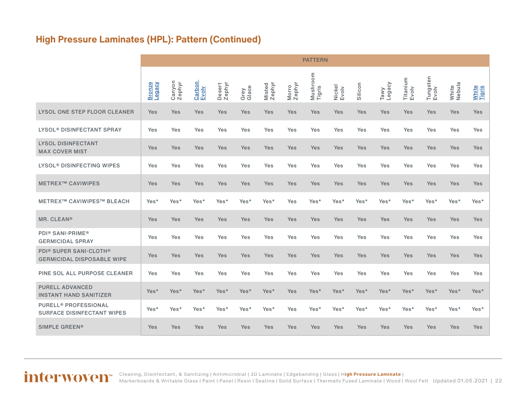### **High Pressure Laminates (HPL): Pattern (Continued)**

|                                                                             |                         |                  |                 |                  |               |                  |                 | <b>PATTERN</b>     |                 |         |                |                   |                   |                 |                        |
|-----------------------------------------------------------------------------|-------------------------|------------------|-----------------|------------------|---------------|------------------|-----------------|--------------------|-----------------|---------|----------------|-------------------|-------------------|-----------------|------------------------|
|                                                                             | <b>Bronze</b><br>∧эвбә⊤ | Canyon<br>Zephyr | Carbon<br>Evoly | Desert<br>Zephyr | Grey<br>Glace | Misted<br>Zephyr | Morro<br>Zephyr | Mushroom<br>Tigris | Nickel<br>Evolv | Silicon | Legacy<br>Tawy | Titanium<br>Evolv | Tungsten<br>Evolv | White<br>Nebula | <b>White</b><br>Tigris |
| LYSOL ONE STEP FLOOR CLEANER                                                | <b>Yes</b>              | Yes              | Yes             | Yes              | Yes           | <b>Yes</b>       | <b>Yes</b>      | Yes                | Yes             | Yes     | Yes            | Yes               | <b>Yes</b>        | Yes             | Yes                    |
| LYSOL <sup>®</sup> DISINFECTANT SPRAY                                       | <b>Yes</b>              | Yes              | Yes             | Yes              | Yes           | Yes              | Yes             | Yes                | <b>Yes</b>      | Yes     | <b>Yes</b>     | Yes               | Yes               | Yes             | Yes                    |
| <b>LYSOL DISINFECTANT</b><br><b>MAX COVER MIST</b>                          | Yes                     | <b>Yes</b>       | Yes             | Yes              | Yes           | Yes              | Yes             | Yes                | Yes             | Yes     | Yes            | <b>Yes</b>        | <b>Yes</b>        | Yes             | Yes                    |
| <b>LYSOL<sup>®</sup> DISINFECTING WIPES</b>                                 | Yes                     | Yes              | Yes             | Yes              | Yes           | Yes              | Yes             | Yes                | Yes             | Yes     | Yes            | Yes               | Yes               | Yes             | Yes                    |
| <b>METREX™ CAVIWIPES</b>                                                    | Yes                     | <b>Yes</b>       | Yes             | Yes              | Yes           | Yes              | Yes             | Yes                | Yes             | Yes     | Yes            | <b>Yes</b>        | Yes               | Yes             | Yes                    |
| <b>METREX™ CAVIWIPES™ BLEACH</b>                                            | Yes*                    | Yes*             | Yes*            | Yes*             | Yes*          | Yes*             | Yes             | Yes*               | Yes*            | Yes*    | Yes*           | Yes*              | Yes*              | Yes*            | Yes*                   |
| MR. CLEAN®                                                                  | Yes                     | Yes              | Yes             | Yes              | Yes           | Yes              | Yes             | Yes                | Yes             | Yes     | Yes            | <b>Yes</b>        | Yes               | Yes             | Yes                    |
| <b>PDI® SANI-PRIME®</b><br><b>GERMICIDAL SPRAY</b>                          | Yes                     | Yes              | Yes             | Yes              | Yes           | Yes              | Yes             | Yes                | Yes             | Yes     | Yes            | Yes               | Yes               | Yes             | Yes                    |
| <b>PDI® SUPER SANI-CLOTH®</b><br><b>GERMICIDAL DISPOSABLE WIPE</b>          | Yes                     | Yes              | Yes             | Yes              | Yes           | Yes              | Yes             | Yes                | Yes             | Yes     | Yes            | Yes               | Yes               | Yes             | Yes                    |
| PINE SOL ALL PURPOSE CLEANER                                                | Yes                     | Yes              | Yes             | Yes              | Yes           | Yes              | Yes             | Yes                | <b>Yes</b>      | Yes     | Yes            | Yes               | Yes               | Yes             | Yes                    |
| <b>PURELL ADVANCED</b><br><b>INSTANT HAND SANITIZER</b>                     | Yes*                    | Yes*             | Yes*            | Yes*             | Yes*          | Yes*             | Yes             | Yes*               | Yes*            | Yes*    | Yes*           | Yes*              | Yes*              | Yes*            | Yes*                   |
| <b>PURELL<sup>®</sup> PROFESSIONAL</b><br><b>SURFACE DISINFECTANT WIPES</b> | Yes*                    | Yes*             | Yes*            | Yes*             | Yes*          | Yes*             | Yes             | Yes*               | Yes*            | Yes*    | Yes*           | Yes*              | Yes*              | Yes*            | Yes*                   |
| <b>SIMPLE GREEN®</b>                                                        | Yes                     | <b>Yes</b>       | Yes             | Yes              | Yes           | Yes              | <b>Yes</b>      | Yes                | Yes             | Yes     | Yes            | Yes               | <b>Yes</b>        | Yes             | Yes                    |

Updated 01.05.2021 | 22 [Cleaning, Disinfectant, & Sanitizing](#page-2-0) | [Antimicrobial](#page-3-0) | [3D Laminate](#page-4-0) | [Edgebanding](#page-8-0) | [Glass](#page-10-0) | H**[igh Pressure Laminate](#page-11-0)** | [Markerboards & Writable Glass](#page-23-0) | [Paint](#page-24-0) | [Panel](#page-27-0) | [Resin](#page-27-0) | [Seating](#page-33-0) | [Solid Surface](#page-44-0) | [Thermally Fused Laminate](#page-54-0) | [Wood](#page-58-0) | [Wool Felt](#page-60-0)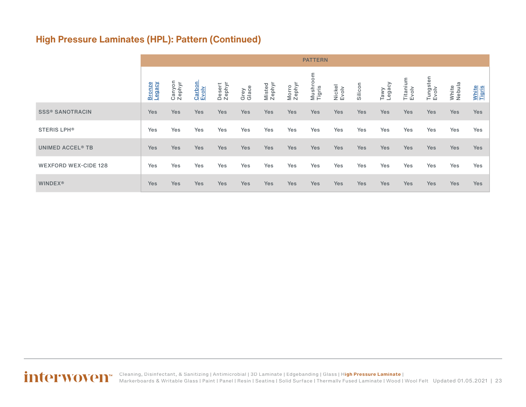### **High Pressure Laminates (HPL): Pattern (Continued)**

|                                    |                      | <b>PATTERN</b>   |                 |                  |               |                  |                 |                        |                 |            |                |                   |                   |                 |                        |
|------------------------------------|----------------------|------------------|-----------------|------------------|---------------|------------------|-----------------|------------------------|-----------------|------------|----------------|-------------------|-------------------|-----------------|------------------------|
|                                    | <b>Bronze</b><br>gac | Canyon<br>Zephyr | Carbon<br>Evolv | Desert<br>Zephyr | Grey<br>Glace | Misted<br>Zephyr | Morro<br>Zephyr | mo<br>Mushro<br>Tigris | Nickel<br>Evolv | Silicon    | Tawy<br>Legacy | Titanium<br>Evolv | Tungsten<br>Evolv | White<br>Nebula | <b>White</b><br>Tigris |
| <b>SSS® SANOTRACIN</b>             | Yes                  | <b>Yes</b>       | Yes             | Yes              | <b>Yes</b>    | <b>Yes</b>       | <b>Yes</b>      | Yes                    | <b>Yes</b>      | <b>Yes</b> | <b>Yes</b>     | <b>Yes</b>        | <b>Yes</b>        | Yes             | <b>Yes</b>             |
| <b>STERIS LPH®</b>                 | Yes                  | Yes              | Yes             | Yes              | Yes           | Yes              | Yes             | Yes                    | Yes             | Yes        | Yes            | Yes               | Yes               | Yes             | Yes                    |
| <b>UNIMED ACCEL<sup>®</sup> TB</b> | Yes                  | <b>Yes</b>       | Yes             | Yes              | <b>Yes</b>    | <b>Yes</b>       | Yes             | Yes                    | Yes             | <b>Yes</b> | <b>Yes</b>     | <b>Yes</b>        | <b>Yes</b>        | Yes             | <b>Yes</b>             |
| <b>WEXFORD WEX-CIDE 128</b>        | Yes                  | Yes              | Yes             | Yes              | Yes           | Yes              | Yes             | Yes                    | Yes             | Yes        | Yes            | Yes               | Yes               | Yes             | Yes                    |
| <b>WINDEX®</b>                     | Yes                  | <b>Yes</b>       | Yes             | Yes              | Yes           | <b>Yes</b>       | Yes             | <b>Yes</b>             | <b>Yes</b>      | <b>Yes</b> | Yes            | Yes               | Yes               | Yes             | <b>Yes</b>             |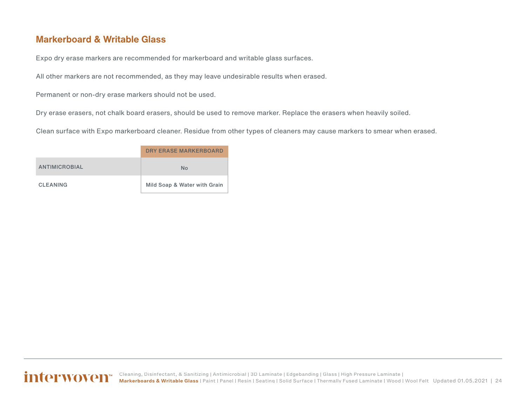#### <span id="page-23-0"></span>**Markerboard & Writable Glass**

Expo dry erase markers are recommended for markerboard and writable glass surfaces.

All other markers are not recommended, as they may leave undesirable results when erased.

Permanent or non-dry erase markers should not be used.

Dry erase erasers, not chalk board erasers, should be used to remove marker. Replace the erasers when heavily soiled.

Clean surface with Expo markerboard cleaner. Residue from other types of cleaners may cause markers to smear when erased.

|                 | DRY ERASE MARKERBOARD        |
|-----------------|------------------------------|
| ANTIMICROBIAL   | No                           |
| <b>CLEANING</b> | Mild Soap & Water with Grain |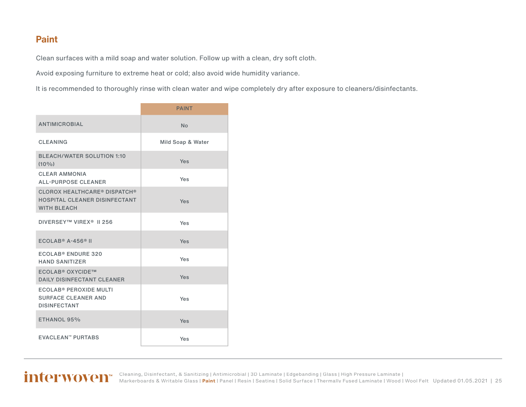#### <span id="page-24-0"></span>**Paint**

Clean surfaces with a mild soap and water solution. Follow up with a clean, dry soft cloth.

Avoid exposing furniture to extreme heat or cold; also avoid wide humidity variance.

It is recommended to thoroughly rinse with clean water and wipe completely dry after exposure to cleaners/disinfectants.

|                                                                                               | <b>PAINT</b>      |
|-----------------------------------------------------------------------------------------------|-------------------|
| <b>ANTIMICROBIAL</b>                                                                          | <b>No</b>         |
| <b>CLEANING</b>                                                                               | Mild Soap & Water |
| <b>BLEACH/WATER SOLUTION 1:10</b><br>$(10\%)$                                                 | Yes               |
| <b>CLEAR AMMONIA</b><br><b>ALL-PURPOSE CLEANER</b>                                            | Yes               |
| <b>CLOROX HEALTHCARE® DISPATCH®</b><br>HOSPITAL CLEANER DISINFECTANT<br><b>WITH BLEACH</b>    | Yes               |
| DIVERSEY™ VIREX <sup>®</sup> II 256                                                           | Yes               |
| $ECOLAB® A-456® II$                                                                           | Yes               |
| ECOLAB® ENDURE 320<br><b>HAND SANITIZER</b>                                                   | Yes               |
| <b>ECOLAB<sup>®</sup> OXYCIDE™</b><br><b>DAILY DISINFECTANT CLEANER</b>                       | Yes               |
| <b>ECOLAB<sup>®</sup> PEROXIDE MULTI</b><br><b>SURFACE CLEANER AND</b><br><b>DISINFECTANT</b> | Yes               |
| ETHANOL 95%                                                                                   | Yes               |
| <b>EVACLEAN™ PURTABS</b>                                                                      | Yes               |

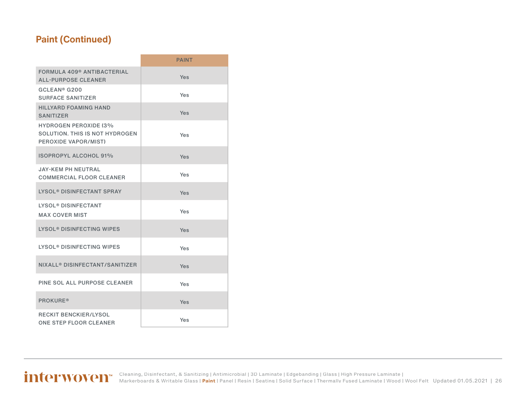### **Paint (Continued)**

|                                                                                        | <b>PAINT</b> |
|----------------------------------------------------------------------------------------|--------------|
| FORMULA 409 <sup>®</sup> ANTIBACTERIAL<br><b>ALL-PURPOSE CLEANER</b>                   | Yes          |
| GCLEAN <sup>®</sup> G200<br><b>SURFACE SANITIZER</b>                                   | Yes          |
| <b>HILLYARD FOAMING HAND</b><br><b>SANITIZER</b>                                       | Yes          |
| <b>HYDROGEN PEROXIDE (3%</b><br>SOLUTION. THIS IS NOT HYDROGEN<br>PEROXIDE VAPOR/MIST) | Yes          |
| <b>ISOPROPYL ALCOHOL 91%</b>                                                           | Yes          |
| <b>JAY-KEM PH NEUTRAL</b><br><b>COMMERCIAL FLOOR CLEANER</b>                           | Yes          |
| <b>LYSOL<sup>®</sup> DISINFECTANT SPRAY</b>                                            | Yes          |
| <b>LYSOL<sup>®</sup> DISINFECTANT</b><br><b>MAX COVER MIST</b>                         | Yes          |
| LYSOL <sup>®</sup> DISINFECTING WIPES                                                  | Yes          |
| LYSOL <sup>®</sup> DISINFECTING WIPES                                                  | Yes          |
| NIXALL® DISINFECTANT/SANITIZER                                                         | Yes          |
| PINE SOL ALL PURPOSE CLEANER                                                           | Yes          |
| <b>PROKURE®</b>                                                                        | Yes          |
| <b>RECKIT BENCKIER/LYSOL</b><br>ONE STEP FLOOR CLEANER                                 | Yes          |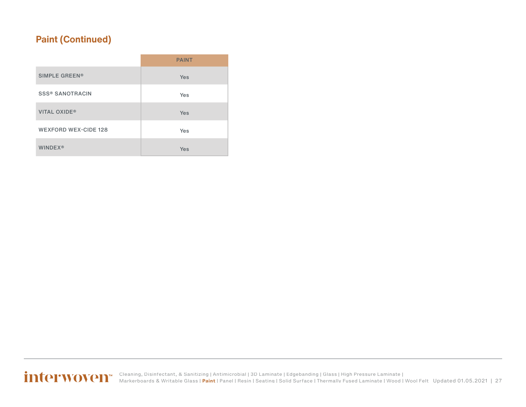### **Paint (Continued)**

|                             | <b>PAINT</b> |
|-----------------------------|--------------|
| SIMPLE GREEN®               | Yes          |
| <b>SSS® SANOTRACIN</b>      | Yes          |
| <b>VITAL OXIDE®</b>         | Yes          |
| <b>WEXFORD WEX-CIDE 128</b> | Yes          |
| <b>WINDEX®</b>              | Yes          |

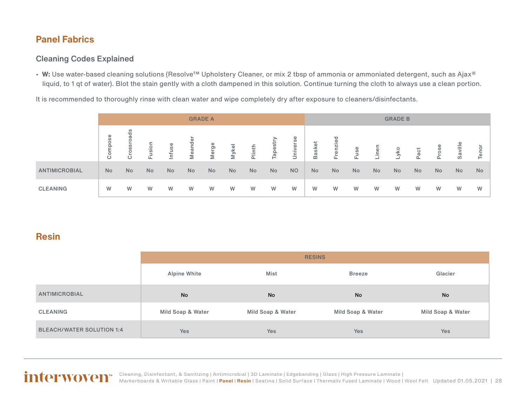#### <span id="page-27-0"></span>**Panel Fabrics**

#### Cleaning Codes Explained

• W: Use water-based cleaning solutions (Resolve™ Upholstery Cleaner, or mix 2 tbsp of ammonia or ammoniated detergent, such as Ajax® liquid, to 1 qt of water). Blot the stain gently with a cloth dampened in this solution. Continue turning the cloth to always use a clean portion.

It is recommended to thoroughly rinse with clean water and wipe completely dry after exposure to cleaners/disinfectants.

|                      | <b>GRADE A</b>           |           |            |           |           | <b>GRADE B</b> |       |        |           |           |            |           |           |           |     |      |          |           |           |
|----------------------|--------------------------|-----------|------------|-----------|-----------|----------------|-------|--------|-----------|-----------|------------|-----------|-----------|-----------|-----|------|----------|-----------|-----------|
|                      | <b>S</b><br>$\circ$<br>Ö | ဖာ<br>SS  | usion<br>ட | Ф<br>nfus | lean      | Merge          | Mykel | Plinth | apestr    | Jniverse  | asket<br>m | enzie     | iuse      | ine.      | yko | Pact | ose<br>훕 | Saville   | ŏ<br>ō    |
| <b>ANTIMICROBIAL</b> | No                       | <b>No</b> | No         | <b>No</b> | <b>No</b> | No             | No    | No     | <b>No</b> | <b>NO</b> | No         | <b>No</b> | <b>No</b> | <b>No</b> | No  | No   | No       | <b>No</b> | <b>No</b> |
| <b>CLEANING</b>      | W                        | W         | W          | W         | W         | W              | W     | W      | W         | W         | W          | W         | W         | W         | W   | W    | W        | W         | W         |

#### **Resin**

|                                  | <b>RESINS</b>     |                   |                   |                   |  |  |
|----------------------------------|-------------------|-------------------|-------------------|-------------------|--|--|
|                                  | Alpine White      | Mist              | <b>Breeze</b>     | Glacier           |  |  |
| ANTIMICROBIAL                    | No                | No                | <b>No</b>         | No                |  |  |
| CLEANING                         | Mild Soap & Water | Mild Soap & Water | Mild Soap & Water | Mild Soap & Water |  |  |
| <b>BLEACH/WATER SOLUTION 1:4</b> | <b>Yes</b>        | Yes               | Yes               | <b>Yes</b>        |  |  |

Updated 01.05.2021 | 28 [Cleaning, Disinfectant, & Sanitizing](#page-2-0) | [Antimicrobial](#page-3-0) | [3D Laminate](#page-4-0) | [Edgebanding](#page-8-0) | [Glass](#page-10-0) | [High Pressure Laminate](#page-11-0) | [Markerboards & Writable Glass](#page-23-0) | [Paint](#page-24-0) | **Panel** | **Resin** | [Seating](#page-33-0) | [Solid Surface](#page-44-0) | [Thermally Fused Laminate](#page-54-0) | [Wood](#page-58-0) | [Wool Felt](#page-60-0)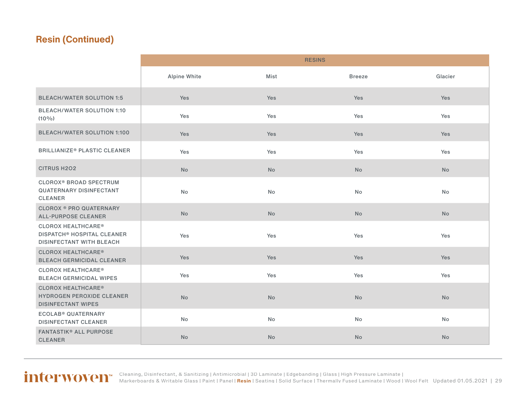|                                                                                                              |              |           | <b>RESINS</b> |           |
|--------------------------------------------------------------------------------------------------------------|--------------|-----------|---------------|-----------|
|                                                                                                              | Alpine White | Mist      | <b>Breeze</b> | Glacier   |
| <b>BLEACH/WATER SOLUTION 1:5</b>                                                                             | <b>Yes</b>   | Yes       | Yes           | Yes       |
| <b>BLEACH/WATER SOLUTION 1:10</b><br>$(10\%)$                                                                | Yes          | Yes       | Yes           | Yes       |
| <b>BLEACH/WATER SOLUTION 1:100</b>                                                                           | Yes          | Yes       | Yes           | Yes       |
| <b>BRILLIANIZE<sup>®</sup> PLASTIC CLEANER</b>                                                               | Yes          | Yes       | Yes           | Yes       |
| <b>CITRUS H2O2</b>                                                                                           | <b>No</b>    | <b>No</b> | <b>No</b>     | <b>No</b> |
| <b>CLOROX<sup>®</sup> BROAD SPECTRUM</b><br><b>QUATERNARY DISINFECTANT</b><br><b>CLEANER</b>                 | No           | No        | <b>No</b>     | No        |
| <b>CLOROX ® PRO QUATERNARY</b><br><b>ALL-PURPOSE CLEANER</b>                                                 | <b>No</b>    | <b>No</b> | <b>No</b>     | <b>No</b> |
| <b>CLOROX HEALTHCARE®</b><br><b>DISPATCH<sup>®</sup> HOSPITAL CLEANER</b><br><b>DISINFECTANT WITH BLEACH</b> | Yes          | Yes       | Yes           | Yes       |
| <b>CLOROX HEALTHCARE®</b><br><b>BLEACH GERMICIDAL CLEANER</b>                                                | Yes          | Yes       | Yes           | Yes       |
| <b>CLOROX HEALTHCARE®</b><br><b>BLEACH GERMICIDAL WIPES</b>                                                  | Yes          | Yes       | Yes           | Yes       |
| <b>CLOROX HEALTHCARE®</b><br><b>HYDROGEN PEROXIDE CLEANER</b><br><b>DISINFECTANT WIPES</b>                   | <b>No</b>    | <b>No</b> | No            | <b>No</b> |
| <b>ECOLAB<sup>®</sup> QUATERNARY</b><br><b>DISINFECTANT CLEANER</b>                                          | <b>No</b>    | <b>No</b> | <b>No</b>     | No        |
| <b>FANTASTIK® ALL PURPOSE</b><br><b>CLEANER</b>                                                              | <b>No</b>    | <b>No</b> | No            | No        |

Updated 01.05.2021 | 29 [Cleaning, Disinfectant, & Sanitizing](#page-2-0) | [Antimicrobial](#page-3-0) | [3D Laminate](#page-4-0) | [Edgebanding](#page-8-0) | [Glass](#page-10-0) | [High Pressure Laminate](#page-11-0) | [Markerboards & Writable Glass](#page-23-0) | [Paint](#page-24-0) | [Panel](#page-27-0) | **[Resin](#page-27-0)** | [Seating](#page-33-0) | [Solid Surface](#page-44-0) | [Thermally Fused Laminate](#page-54-0) | [Wood](#page-58-0) | [Wool Felt](#page-60-0)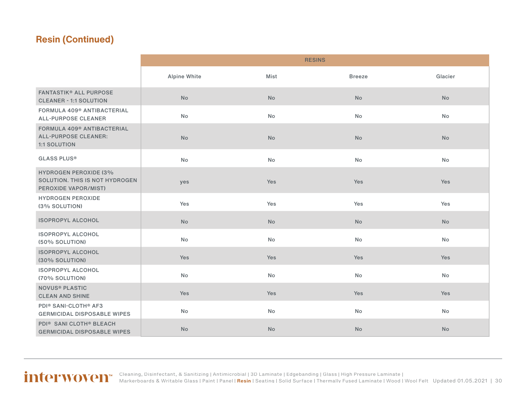|                                                                                              |              |           | <b>RESINS</b> |           |
|----------------------------------------------------------------------------------------------|--------------|-----------|---------------|-----------|
|                                                                                              | Alpine White | Mist      | <b>Breeze</b> | Glacier   |
| <b>FANTASTIK® ALL PURPOSE</b><br><b>CLEANER - 1:1 SOLUTION</b>                               | <b>No</b>    | <b>No</b> | <b>No</b>     | <b>No</b> |
| FORMULA 409 <sup>®</sup> ANTIBACTERIAL<br><b>ALL-PURPOSE CLEANER</b>                         | <b>No</b>    | <b>No</b> | <b>No</b>     | <b>No</b> |
| FORMULA 409 <sup>®</sup> ANTIBACTERIAL<br><b>ALL-PURPOSE CLEANER:</b><br><b>1:1 SOLUTION</b> | No           | No        | No            | No        |
| <b>GLASS PLUS®</b>                                                                           | No           | <b>No</b> | <b>No</b>     | No        |
| <b>HYDROGEN PEROXIDE (3%</b><br>SOLUTION. THIS IS NOT HYDROGEN<br>PEROXIDE VAPOR/MIST)       | yes          | Yes       | Yes           | Yes       |
| <b>HYDROGEN PEROXIDE</b><br>(3% SOLUTION)                                                    | Yes          | Yes       | Yes           | Yes       |
| <b>ISOPROPYL ALCOHOL</b>                                                                     | <b>No</b>    | <b>No</b> | <b>No</b>     | <b>No</b> |
| <b>ISOPROPYL ALCOHOL</b><br>(50% SOLUTION)                                                   | No           | No        | <b>No</b>     | <b>No</b> |
| <b>ISOPROPYL ALCOHOL</b><br>(30% SOLUTION)                                                   | Yes          | Yes       | Yes           | Yes       |
| <b>ISOPROPYL ALCOHOL</b><br>(70% SOLUTION)                                                   | No           | No        | No            | No        |
| <b>NOVUS<sup>®</sup> PLASTIC</b><br><b>CLEAN AND SHINE</b>                                   | Yes          | Yes       | Yes           | Yes       |
| <b>PDI® SANI-CLOTH® AF3</b><br><b>GERMICIDAL DISPOSABLE WIPES</b>                            | No           | No        | No            | No        |
| PDI <sup>®</sup> SANI CLOTH <sup>®</sup> BLEACH<br><b>GERMICIDAL DISPOSABLE WIPES</b>        | <b>No</b>    | No        | No            | <b>No</b> |

#### Updated 01.05.2021 | 30 [Cleaning, Disinfectant, & Sanitizing](#page-2-0) | [Antimicrobial](#page-3-0) | [3D Laminate](#page-4-0) | [Edgebanding](#page-8-0) | [Glass](#page-10-0) | [High Pressure Laminate](#page-11-0) | [Markerboards & Writable Glass](#page-23-0) | [Paint](#page-24-0) | [Panel](#page-27-0) | **[Resin](#page-27-0)** | [Seating](#page-33-0) | [Solid Surface](#page-44-0) | [Thermally Fused Laminate](#page-54-0) | [Wood](#page-58-0) | [Wool Felt](#page-60-0)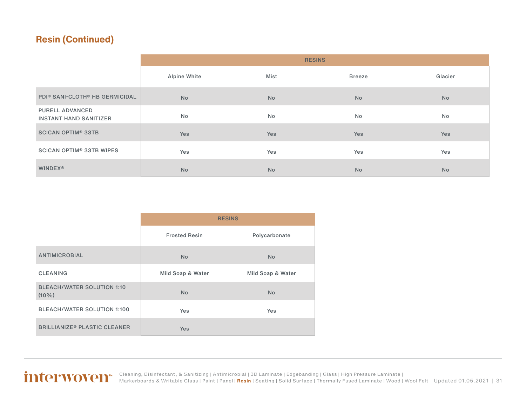|                                                  | <b>RESINS</b>       |           |           |            |  |  |
|--------------------------------------------------|---------------------|-----------|-----------|------------|--|--|
|                                                  | <b>Alpine White</b> | Mist      | Breeze    | Glacier    |  |  |
| PDI® SANI-CLOTH® HB GERMICIDAL                   | <b>No</b>           | <b>No</b> | <b>No</b> | <b>No</b>  |  |  |
| PURELL ADVANCED<br><b>INSTANT HAND SANITIZER</b> | No                  | <b>No</b> | No        | No         |  |  |
| <b>SCICAN OPTIM<sup>®</sup> 33TB</b>             | Yes                 | Yes       | Yes       | <b>Yes</b> |  |  |
| <b>SCICAN OPTIM® 33TB WIPES</b>                  | Yes                 | Yes       | Yes       | Yes        |  |  |
| <b>WINDEX®</b>                                   | <b>No</b>           | <b>No</b> | <b>No</b> | <b>No</b>  |  |  |

|                                                | <b>RESINS</b>        |                   |  |
|------------------------------------------------|----------------------|-------------------|--|
|                                                | <b>Frosted Resin</b> | Polycarbonate     |  |
| <b>ANTIMICROBIAL</b>                           | <b>No</b>            | <b>No</b>         |  |
| <b>CLEANING</b>                                | Mild Soap & Water    | Mild Soap & Water |  |
| <b>BLEACH/WATER SOLUTION 1:10</b><br>$(10\%)$  | <b>No</b>            | <b>No</b>         |  |
| <b>BLEACH/WATER SOLUTION 1:100</b>             | Yes                  | Yes               |  |
| <b>BRILLIANIZE<sup>®</sup> PLASTIC CLEANER</b> | <b>Yes</b>           |                   |  |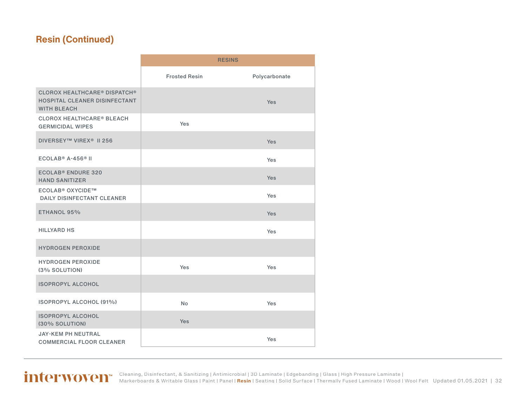|                                                                                            |                      | <b>RESINS</b> |
|--------------------------------------------------------------------------------------------|----------------------|---------------|
|                                                                                            | <b>Frosted Resin</b> | Polycarbonate |
| <b>CLOROX HEALTHCARE® DISPATCH®</b><br>HOSPITAL CLEANER DISINFECTANT<br><b>WITH BLEACH</b> |                      | <b>Yes</b>    |
| <b>CLOROX HEALTHCARE® BLEACH</b><br><b>GERMICIDAL WIPES</b>                                | Yes                  |               |
| DIVERSEY™ VIREX <sup>®</sup> II 256                                                        |                      | Yes           |
| $ECOLAB® A-456® II$                                                                        |                      | Yes           |
| <b>ECOLAB<sup>®</sup> ENDURE 320</b><br><b>HAND SANITIZER</b>                              |                      | <b>Yes</b>    |
| <b>ECOLAB<sup>®</sup> OXYCIDE™</b><br><b>DAILY DISINFECTANT CLEANER</b>                    |                      | <b>Yes</b>    |
| ETHANOL 95%                                                                                |                      | <b>Yes</b>    |
| <b>HILLYARD HS</b>                                                                         |                      | <b>Yes</b>    |
| <b>HYDROGEN PEROXIDE</b>                                                                   |                      |               |
| <b>HYDROGEN PEROXIDE</b><br>(3% SOLUTION)                                                  | Yes                  | Yes           |
| <b>ISOPROPYL ALCOHOL</b>                                                                   |                      |               |
| <b>ISOPROPYL ALCOHOL (91%)</b>                                                             | <b>No</b>            | <b>Yes</b>    |
| <b>ISOPROPYL ALCOHOL</b><br>(30% SOLUTION)                                                 | <b>Yes</b>           |               |
| <b>JAY-KEM PH NEUTRAL</b><br><b>COMMERCIAL FLOOR CLEANER</b>                               |                      | Yes           |

Updated 01.05.2021 | 32 [Cleaning, Disinfectant, & Sanitizing](#page-2-0) | [Antimicrobial](#page-3-0) | [3D Laminate](#page-4-0) | [Edgebanding](#page-8-0) | [Glass](#page-10-0) | [High Pressure Laminate](#page-11-0) | [Markerboards & Writable Glass](#page-23-0) | [Paint](#page-24-0) | [Panel](#page-27-0) | **[Resin](#page-27-0)** | [Seating](#page-33-0) | [Solid Surface](#page-44-0) | [Thermally Fused Laminate](#page-54-0) | [Wood](#page-58-0) | [Wool Felt](#page-60-0)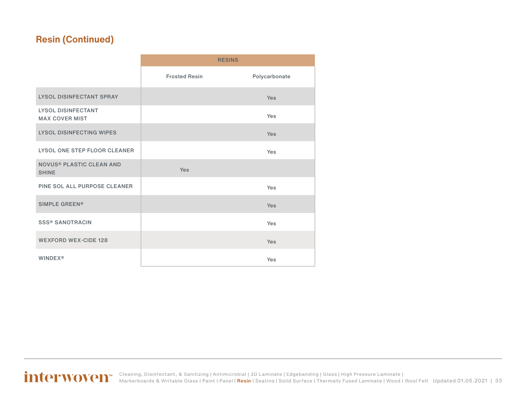|                                                    |                      | <b>RESINS</b> |
|----------------------------------------------------|----------------------|---------------|
|                                                    | <b>Frosted Resin</b> | Polycarbonate |
| <b>LYSOL DISINFECTANT SPRAY</b>                    |                      | Yes           |
| <b>LYSOL DISINFECTANT</b><br><b>MAX COVER MIST</b> |                      | Yes           |
| <b>LYSOL DISINFECTING WIPES</b>                    |                      | Yes           |
| LYSOL ONE STEP FLOOR CLEANER                       |                      | Yes           |
| <b>NOVUS® PLASTIC CLEAN AND</b><br><b>SHINE</b>    | <b>Yes</b>           |               |
| PINE SOL ALL PURPOSE CLEANER                       |                      | Yes           |
| <b>SIMPLE GREEN®</b>                               |                      | Yes           |
| <b>SSS® SANOTRACIN</b>                             |                      | Yes           |
| <b>WEXFORD WEX-CIDE 128</b>                        |                      | Yes           |
| <b>WINDEX®</b>                                     |                      | Yes           |

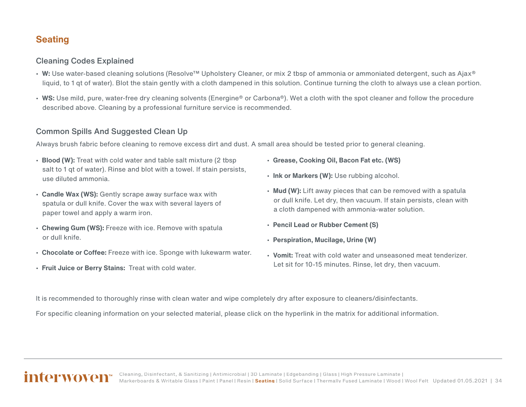#### <span id="page-33-0"></span>**Seating**

#### Cleaning Codes Explained

- **W:** Use water-based cleaning solutions (Resolve™ Upholstery Cleaner, or mix 2 tbsp of ammonia or ammoniated detergent, such as Ajax® liquid, to 1 qt of water). Blot the stain gently with a cloth dampened in this solution. Continue turning the cloth to always use a clean portion.
- **WS:** Use mild, pure, water-free dry cleaning solvents (Energine® or Carbona®). Wet a cloth with the spot cleaner and follow the procedure described above. Cleaning by a professional furniture service is recommended.

#### Common Spills And Suggested Clean Up

Always brush fabric before cleaning to remove excess dirt and dust. A small area should be tested prior to general cleaning.

- **Blood (W):** Treat with cold water and table salt mixture (2 tbsp salt to 1 qt of water). Rinse and blot with a towel. If stain persists, use diluted ammonia.
- **Candle Wax (WS):** Gently scrape away surface wax with spatula or dull knife. Cover the wax with several layers of paper towel and apply a warm iron.
- **Chewing Gum (WS):** Freeze with ice. Remove with spatula or dull knife.
- **Chocolate or Coffee:** Freeze with ice. Sponge with lukewarm water.
- **Fruit Juice or Berry Stains:** Treat with cold water.
- **Grease, Cooking Oil, Bacon Fat etc. (WS)**
- **Ink or Markers (W):** Use rubbing alcohol.
- **Mud (W):** Lift away pieces that can be removed with a spatula or dull knife. Let dry, then vacuum. If stain persists, clean with a cloth dampened with ammonia-water solution.
- **Pencil Lead or Rubber Cement (S)**
- **Perspiration, Mucilage, Urine (W)**
- **Vomit:** Treat with cold water and unseasoned meat tenderizer. Let sit for 10-15 minutes. Rinse, let dry, then vacuum.

It is recommended to thoroughly rinse with clean water and wipe completely dry after exposure to cleaners/disinfectants.

For specific cleaning information on your selected material, please click on the hyperlink in the matrix for additional information.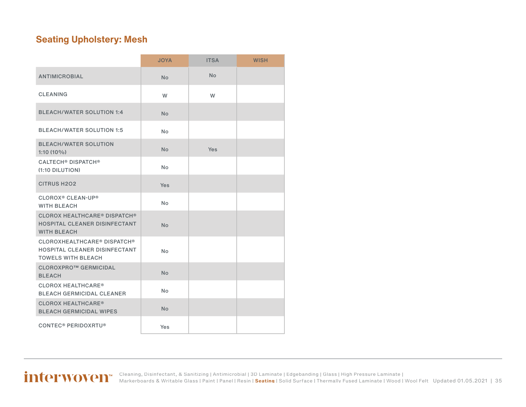#### <span id="page-34-0"></span>**Seating Upholstery: Mesh**

|                                                                                                  | <b>JOYA</b> | <b>ITSA</b> | <b>WISH</b> |
|--------------------------------------------------------------------------------------------------|-------------|-------------|-------------|
| <b>ANTIMICROBIAL</b>                                                                             | <b>No</b>   | <b>No</b>   |             |
| <b>CLEANING</b>                                                                                  | W           | W           |             |
| <b>BLEACH/WATER SOLUTION 1:4</b>                                                                 | No          |             |             |
| <b>BLEACH/WATER SOLUTION 1:5</b>                                                                 | No          |             |             |
| <b>BLEACH/WATER SOLUTION</b><br>$1:10(10\%)$                                                     | <b>No</b>   | Yes         |             |
| <b>CALTECH<sup>®</sup> DISPATCH<sup>®</sup></b><br>$(1:10$ DILUTION)                             | <b>No</b>   |             |             |
| <b>CITRUS H2O2</b>                                                                               | <b>Yes</b>  |             |             |
| <b>CLOROX<sup>®</sup> CLEAN-UP<sup>®</sup></b><br><b>WITH BLEACH</b>                             | <b>No</b>   |             |             |
| <b>CLOROX HEALTHCARE® DISPATCH®</b><br>HOSPITAL CLEANER DISINFECTANT<br><b>WITH BLEACH</b>       | <b>No</b>   |             |             |
| <b>CLOROXHEALTHCARE® DISPATCH®</b><br>HOSPITAL CLEANER DISINFECTANT<br><b>TOWELS WITH BLEACH</b> | No.         |             |             |
| <b>CLOROXPRO™ GERMICIDAL</b><br><b>BLEACH</b>                                                    | <b>No</b>   |             |             |
| <b>CLOROX HEALTHCARE®</b><br><b>BLEACH GERMICIDAL CLEANER</b>                                    | No          |             |             |
| <b>CLOROX HEALTHCARE®</b><br><b>BLEACH GERMICIDAL WIPES</b>                                      | <b>No</b>   |             |             |
| <b>CONTEC<sup>®</sup> PERIDOXRTU<sup>®</sup></b>                                                 | Yes         |             |             |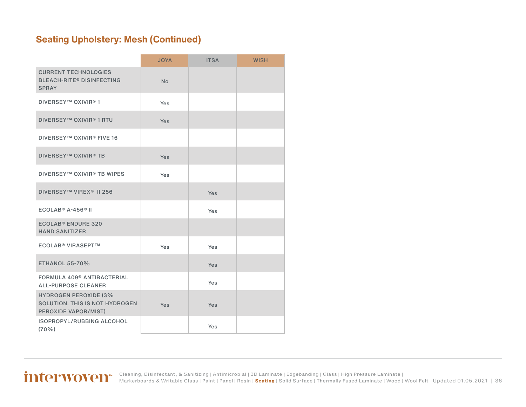### **Seating Upholstery: Mesh (Continued)**

|                                                                                        | <b>JOYA</b> | <b>ITSA</b> | <b>WISH</b> |
|----------------------------------------------------------------------------------------|-------------|-------------|-------------|
| <b>CURRENT TECHNOLOGIES</b><br><b>BLEACH-RITE® DISINFECTING</b><br><b>SPRAY</b>        | <b>No</b>   |             |             |
| <b>DIVERSEY™ OXIVIR®1</b>                                                              | <b>Yes</b>  |             |             |
| <b>DIVERSEY™ OXIVIR® 1 RTU</b>                                                         | <b>Yes</b>  |             |             |
| <b>DIVERSEY™ OXIVIR® FIVE 16</b>                                                       |             |             |             |
| <b>DIVERSEY™ OXIVIR® TB</b>                                                            | Yes         |             |             |
| DIVERSEY™ OXIVIR® TB WIPES                                                             | Yes         |             |             |
| DIVERSEY™ VIREX <sup>®</sup> II 256                                                    |             | Yes         |             |
| $ECOLAB® A-456® II$                                                                    |             | Yes         |             |
| <b>ECOLAB<sup>®</sup> ENDURE 320</b><br><b>HAND SANITIZER</b>                          |             |             |             |
| <b>ECOLAB<sup>®</sup> VIRASEPT™</b>                                                    | Yes         | Yes         |             |
| <b>ETHANOL 55-70%</b>                                                                  |             | <b>Yes</b>  |             |
| FORMULA 409 <sup>®</sup> ANTIBACTERIAL<br><b>ALL-PURPOSE CLEANER</b>                   |             | <b>Yes</b>  |             |
| <b>HYDROGEN PEROXIDE (3%</b><br>SOLUTION. THIS IS NOT HYDROGEN<br>PEROXIDE VAPOR/MIST) | Yes         | Yes         |             |
| <b>ISOPROPYL/RUBBING ALCOHOL</b><br>$(70\%)$                                           |             | <b>Yes</b>  |             |

Updated 01.05.2021 | 36 [Cleaning, Disinfectant, & Sanitizing](#page-2-0) | [Antimicrobial](#page-3-0) | [3D Laminate](#page-4-0) | [Edgebanding](#page-8-0) | [Glass](#page-10-0) | [High Pressure Laminate](#page-11-0) | [Markerboards & Writable Glass](#page-23-0) | [Paint](#page-24-0) | [Panel](#page-27-0) | [Resin](#page-27-0) | **[Seating](#page-33-0)** | [Solid Surface](#page-44-0) | [Thermally Fused Laminate](#page-54-0) | [Wood](#page-58-0) | [Wool Felt](#page-60-0)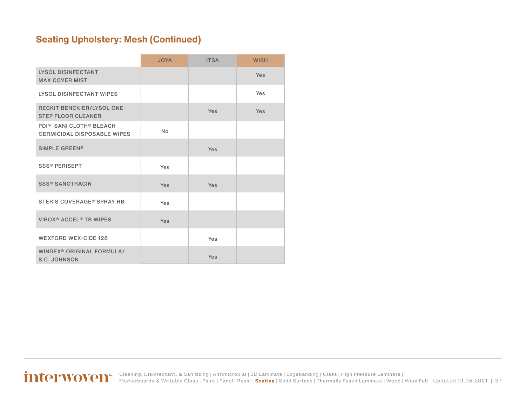### **Seating Upholstery: Mesh (Continued)**

|                                                                                       | <b>JOYA</b> | <b>ITSA</b> | <b>WISH</b> |
|---------------------------------------------------------------------------------------|-------------|-------------|-------------|
| <b>LYSOL DISINFECTANT</b><br><b>MAX COVER MIST</b>                                    |             |             | <b>Yes</b>  |
| <b>LYSOL DISINFECTANT WIPES</b>                                                       |             |             | Yes         |
| <b>RECKIT BENCKIER/LYSOL ONE</b><br><b>STEP FLOOR CLEANER</b>                         |             | <b>Yes</b>  | <b>Yes</b>  |
| PDI <sup>®</sup> SANI CLOTH <sup>®</sup> BLEACH<br><b>GERMICIDAL DISPOSABLE WIPES</b> | <b>No</b>   |             |             |
| <b>SIMPLE GREEN®</b>                                                                  |             | <b>Yes</b>  |             |
| <b>SSS® PERISEPT</b>                                                                  | Yes         |             |             |
| <b>SSS® SANOTRACIN</b>                                                                | <b>Yes</b>  | Yes         |             |
| <b>STERIS COVERAGE® SPRAY HB</b>                                                      | Yes         |             |             |
| <b>VIROX<sup>®</sup> ACCEL<sup>®</sup> TB WIPES</b>                                   | <b>Yes</b>  |             |             |
| <b>WEXFORD WEX-CIDE 128</b>                                                           |             | Yes         |             |
| WINDEX <sup>®</sup> ORIGINAL FORMULA/<br><b>S.C. JOHNSON</b>                          |             | <b>Yes</b>  |             |

Updated 01.05.2021 | 37 [Cleaning, Disinfectant, & Sanitizing](#page-2-0) | [Antimicrobial](#page-3-0) | [3D Laminate](#page-4-0) | [Edgebanding](#page-8-0) | [Glass](#page-10-0) | [High Pressure Laminate](#page-11-0) | [Markerboards & Writable Glass](#page-23-0) | [Paint](#page-24-0) | [Panel](#page-27-0) | [Resin](#page-27-0) | **[Seating](#page-33-0)** | [Solid Surface](#page-44-0) | [Thermally Fused Laminate](#page-54-0) | [Wood](#page-58-0) | [Wool Felt](#page-60-0)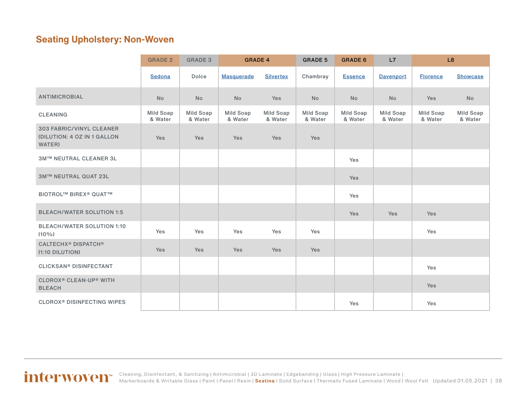#### **Seating Upholstery: Non-Woven**

|                                                                          | <b>GRADE 2</b>              | <b>GRADE 3</b>       | <b>GRADE 4</b>       |                      | <b>GRADE 5</b>              | <b>GRADE 6</b>              | L7                   |                             | L <sub>8</sub>       |
|--------------------------------------------------------------------------|-----------------------------|----------------------|----------------------|----------------------|-----------------------------|-----------------------------|----------------------|-----------------------------|----------------------|
|                                                                          | Sedona                      | Dolce                | <b>Masquerade</b>    | <b>Silvertex</b>     | Chambray                    | <b>Essence</b>              | <b>Davenport</b>     | <b>Florence</b>             | <b>Showcase</b>      |
| <b>ANTIMICROBIAL</b>                                                     | No                          | <b>No</b>            | <b>No</b>            | Yes                  | <b>No</b>                   | <b>No</b>                   | <b>No</b>            | Yes                         | <b>No</b>            |
| <b>CLEANING</b>                                                          | <b>Mild Soap</b><br>& Water | Mild Soap<br>& Water | Mild Soap<br>& Water | Mild Soap<br>& Water | <b>Mild Soap</b><br>& Water | <b>Mild Soap</b><br>& Water | Mild Soap<br>& Water | <b>Mild Soap</b><br>& Water | Mild Soap<br>& Water |
| <b>303 FABRIC/VINYL CLEANER</b><br>(DILUTION: 4 OZ IN 1 GALLON<br>WATER) | Yes                         | Yes                  | Yes                  | Yes                  | Yes                         |                             |                      |                             |                      |
| <b>3M™ NEUTRAL CLEANER 3L</b>                                            |                             |                      |                      |                      |                             | Yes                         |                      |                             |                      |
| <b>3M™ NEUTRAL QUAT 23L</b>                                              |                             |                      |                      |                      |                             | <b>Yes</b>                  |                      |                             |                      |
| <b>BIOTROL™ BIREX® QUAT™</b>                                             |                             |                      |                      |                      |                             | Yes                         |                      |                             |                      |
| <b>BLEACH/WATER SOLUTION 1:5</b>                                         |                             |                      |                      |                      |                             | <b>Yes</b>                  | Yes                  | Yes                         |                      |
| <b>BLEACH/WATER SOLUTION 1:10</b><br>$(10\%)$                            | Yes                         | Yes                  | Yes                  | Yes                  | Yes                         |                             |                      | Yes                         |                      |
| <b>CALTECHX<sup>®</sup> DISPATCH<sup>®</sup></b><br>(1:10 DILUTION)      | Yes                         | Yes                  | Yes                  | Yes                  | Yes                         |                             |                      |                             |                      |
| <b>CLICKSAN® DISINFECTANT</b>                                            |                             |                      |                      |                      |                             |                             |                      | Yes                         |                      |
| <b>CLOROX<sup>®</sup> CLEAN-UP<sup>®</sup> WITH</b><br><b>BLEACH</b>     |                             |                      |                      |                      |                             |                             |                      | Yes                         |                      |
| <b>CLOROX<sup>®</sup> DISINFECTING WIPES</b>                             |                             |                      |                      |                      |                             | Yes                         |                      | Yes                         |                      |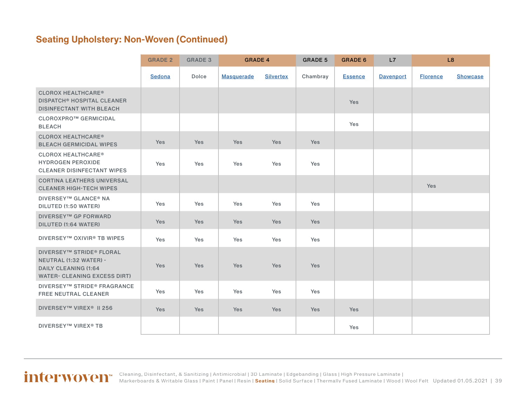|                                                                                                                          | <b>GRADE 2</b> | <b>GRADE 3</b> | <b>GRADE 4</b>    |                  | <b>GRADE 5</b> | <b>GRADE 6</b> | L7<br>L8         |                 |                 |
|--------------------------------------------------------------------------------------------------------------------------|----------------|----------------|-------------------|------------------|----------------|----------------|------------------|-----------------|-----------------|
|                                                                                                                          | Sedona         | Dolce          | <b>Masquerade</b> | <b>Silvertex</b> | Chambray       | <b>Essence</b> | <b>Davenport</b> | <b>Florence</b> | <b>Showcase</b> |
| <b>CLOROX HEALTHCARE®</b><br><b>DISPATCH<sup>®</sup> HOSPITAL CLEANER</b><br><b>DISINFECTANT WITH BLEACH</b>             |                |                |                   |                  |                | Yes            |                  |                 |                 |
| CLOROXPRO™ GERMICIDAL<br><b>BLEACH</b>                                                                                   |                |                |                   |                  |                | Yes            |                  |                 |                 |
| <b>CLOROX HEALTHCARE®</b><br><b>BLEACH GERMICIDAL WIPES</b>                                                              | Yes            | Yes            | <b>Yes</b>        | <b>Yes</b>       | <b>Yes</b>     |                |                  |                 |                 |
| <b>CLOROX HEALTHCARE®</b><br><b>HYDROGEN PEROXIDE</b><br><b>CLEANER DISINFECTANT WIPES</b>                               | Yes            | Yes            | Yes               | Yes              | Yes            |                |                  |                 |                 |
| <b>CORTINA LEATHERS UNIVERSAL</b><br><b>CLEANER HIGH-TECH WIPES</b>                                                      |                |                |                   |                  |                |                |                  | Yes             |                 |
| <b>DIVERSEY™ GLANCE® NA</b><br>DILUTED (1:50 WATER)                                                                      | <b>Yes</b>     | Yes            | Yes               | Yes              | Yes            |                |                  |                 |                 |
| <b>DIVERSEY™ GP FORWARD</b><br>DILUTED (1:64 WATER)                                                                      | Yes            | Yes            | Yes               | <b>Yes</b>       | <b>Yes</b>     |                |                  |                 |                 |
| <b>DIVERSEY™ OXIVIR® TB WIPES</b>                                                                                        | Yes            | Yes            | Yes               | Yes              | Yes            |                |                  |                 |                 |
| <b>DIVERSEY™ STRIDE® FLORAL</b><br>NEUTRAL (1:32 WATER) -<br><b>DAILY CLEANING (1:64</b><br>WATER- CLEANING EXCESS DIRT) | Yes            | Yes            | Yes               | Yes              | Yes            |                |                  |                 |                 |
| <b>DIVERSEY™ STRIDE® FRAGRANCE</b><br><b>FREE NEUTRAL CLEANER</b>                                                        | Yes            | Yes            | Yes               | Yes              | Yes            |                |                  |                 |                 |
| <b>DIVERSEY™ VIREX<sup>®</sup> II 256</b>                                                                                | <b>Yes</b>     | Yes            | Yes               | Yes              | Yes            | Yes            |                  |                 |                 |
| <b>DIVERSEY™ VIREX® TB</b>                                                                                               |                |                |                   |                  |                | Yes            |                  |                 |                 |

#### Updated 01.05.2021 | 39 [Cleaning, Disinfectant, & Sanitizing](#page-2-0) | [Antimicrobial](#page-3-0) | [3D Laminate](#page-4-0) | [Edgebanding](#page-8-0) | [Glass](#page-10-0) | [High Pressure Laminate](#page-11-0) | [Markerboards & Writable Glass](#page-23-0) | [Paint](#page-24-0) | [Panel](#page-27-0) | [Resin](#page-27-0) | **[Seating](#page-33-0)** | [Solid Surface](#page-44-0) | [Thermally Fused Laminate](#page-54-0) | [Wood](#page-58-0) | [Wool Felt](#page-60-0)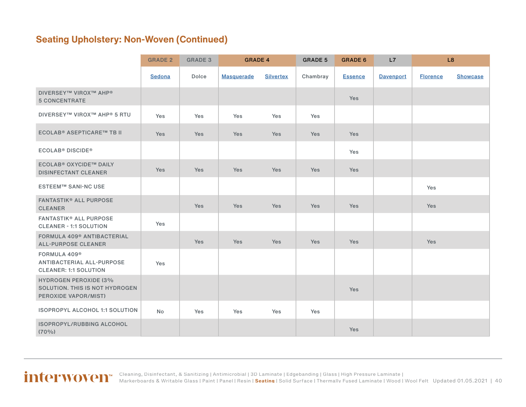|                                                                                        | <b>GRADE 2</b> | <b>GRADE 3</b> | <b>GRADE 4</b>    |                  | <b>GRADE 5</b> | <b>GRADE 6</b> | L7               | L8              |                 |
|----------------------------------------------------------------------------------------|----------------|----------------|-------------------|------------------|----------------|----------------|------------------|-----------------|-----------------|
|                                                                                        | Sedona         | Dolce          | <b>Masquerade</b> | <b>Silvertex</b> | Chambray       | <b>Essence</b> | <b>Davenport</b> | <b>Florence</b> | <b>Showcase</b> |
| <b>DIVERSEY™ VIROX™ AHP®</b><br><b>5 CONCENTRATE</b>                                   |                |                |                   |                  |                | <b>Yes</b>     |                  |                 |                 |
| <b>DIVERSEY™ VIROX™ AHP® 5 RTU</b>                                                     | Yes            | Yes            | Yes               | Yes              | Yes            |                |                  |                 |                 |
| <b>ECOLAB® ASEPTICARE™ TB II</b>                                                       | Yes            | Yes            | Yes               | <b>Yes</b>       | Yes            | <b>Yes</b>     |                  |                 |                 |
| <b>ECOLAB<sup>®</sup> DISCIDE<sup>®</sup></b>                                          |                |                |                   |                  |                | Yes            |                  |                 |                 |
| <b>ECOLAB<sup>®</sup> OXYCIDE™ DAILY</b><br><b>DISINFECTANT CLEANER</b>                | Yes            | <b>Yes</b>     | <b>Yes</b>        | Yes              | <b>Yes</b>     | Yes            |                  |                 |                 |
| <b>ESTEEM™ SANI-NC USE</b>                                                             |                |                |                   |                  |                |                |                  | Yes             |                 |
| <b>FANTASTIK® ALL PURPOSE</b><br><b>CLEANER</b>                                        |                | Yes            | <b>Yes</b>        | Yes              | <b>Yes</b>     | <b>Yes</b>     |                  | Yes             |                 |
| <b>FANTASTIK® ALL PURPOSE</b><br><b>CLEANER - 1:1 SOLUTION</b>                         | Yes            |                |                   |                  |                |                |                  |                 |                 |
| <b>FORMULA 409<sup>®</sup> ANTIBACTERIAL</b><br><b>ALL-PURPOSE CLEANER</b>             |                | <b>Yes</b>     | <b>Yes</b>        | Yes              | <b>Yes</b>     | <b>Yes</b>     |                  | Yes             |                 |
| FORMULA 409 <sup>®</sup><br>ANTIBACTERIAL ALL-PURPOSE<br><b>CLEANER: 1:1 SOLUTION</b>  | Yes            |                |                   |                  |                |                |                  |                 |                 |
| <b>HYDROGEN PEROXIDE (3%</b><br>SOLUTION. THIS IS NOT HYDROGEN<br>PEROXIDE VAPOR/MIST) |                |                |                   |                  |                | Yes            |                  |                 |                 |
| <b>ISOPROPYL ALCOHOL 1:1 SOLUTION</b>                                                  | No             | Yes            | Yes               | Yes              | Yes            |                |                  |                 |                 |
| ISOPROPYL/RUBBING ALCOHOL<br>$(70\%)$                                                  |                |                |                   |                  |                | Yes            |                  |                 |                 |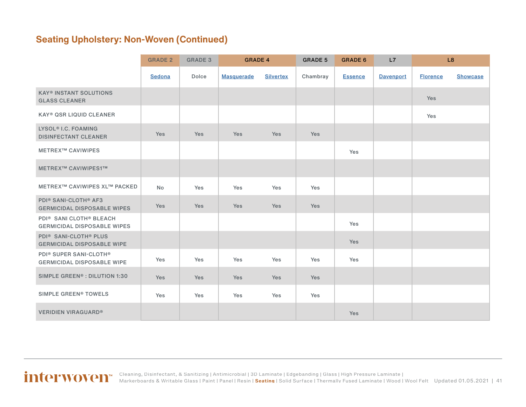|                                                                                       | <b>GRADE 2</b> | <b>GRADE 3</b> | <b>GRADE 4</b>    |                  | <b>GRADE 5</b> | <b>GRADE 6</b> | L7               |                 | L <sub>8</sub>  |
|---------------------------------------------------------------------------------------|----------------|----------------|-------------------|------------------|----------------|----------------|------------------|-----------------|-----------------|
|                                                                                       | Sedona         | Dolce          | <b>Masquerade</b> | <b>Silvertex</b> | Chambray       | <b>Essence</b> | <b>Davenport</b> | <b>Florence</b> | <b>Showcase</b> |
| <b>KAY® INSTANT SOLUTIONS</b><br><b>GLASS CLEANER</b>                                 |                |                |                   |                  |                |                |                  | Yes             |                 |
| <b>KAY® QSR LIQUID CLEANER</b>                                                        |                |                |                   |                  |                |                |                  | Yes             |                 |
| LYSOL <sup>®</sup> I.C. FOAMING<br><b>DISINFECTANT CLEANER</b>                        | Yes            | Yes            | Yes               | Yes              | Yes            |                |                  |                 |                 |
| <b>METREX™ CAVIWIPES</b>                                                              |                |                |                   |                  |                | Yes            |                  |                 |                 |
| METREX™ CAVIWIPES1™                                                                   |                |                |                   |                  |                |                |                  |                 |                 |
| <b>METREX™ CAVIWIPES XL™ PACKED</b>                                                   | <b>No</b>      | Yes            | Yes               | Yes              | Yes            |                |                  |                 |                 |
| <b>PDI® SANI-CLOTH® AF3</b><br><b>GERMICIDAL DISPOSABLE WIPES</b>                     | Yes            | Yes            | Yes               | Yes              | Yes            |                |                  |                 |                 |
| PDI <sup>®</sup> SANI CLOTH <sup>®</sup> BLEACH<br><b>GERMICIDAL DISPOSABLE WIPES</b> |                |                |                   |                  |                | Yes            |                  |                 |                 |
| <b>PDI® SANI-CLOTH® PLUS</b><br><b>GERMICIDAL DISPOSABLE WIPE</b>                     |                |                |                   |                  |                | Yes            |                  |                 |                 |
| <b>PDI® SUPER SANI-CLOTH®</b><br><b>GERMICIDAL DISPOSABLE WIPE</b>                    | Yes            | Yes            | Yes               | Yes              | Yes            | Yes            |                  |                 |                 |
| SIMPLE GREEN <sup>®</sup> : DILUTION 1:30                                             | Yes            | Yes            | Yes               | <b>Yes</b>       | Yes            |                |                  |                 |                 |
| SIMPLE GREEN <sup>®</sup> TOWELS                                                      | Yes            | Yes            | Yes               | Yes              | Yes            |                |                  |                 |                 |
| <b>VERIDIEN VIRAGUARD®</b>                                                            |                |                |                   |                  |                | Yes            |                  |                 |                 |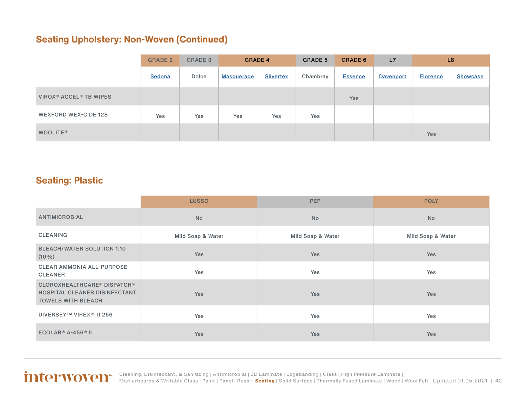<span id="page-41-0"></span>

|                                                | <b>GRADE 2</b> | <b>GRADE 3</b> | <b>GRADE 4</b>    |                  | <b>GRADE 5</b> | <b>GRADE 6</b> | L7        |                 | L <sub>8</sub>  |
|------------------------------------------------|----------------|----------------|-------------------|------------------|----------------|----------------|-----------|-----------------|-----------------|
|                                                | Sedona         | Dolce          | <b>Masquerade</b> | <b>Silvertex</b> | Chambray       | <b>Essence</b> | Davenport | <b>Florence</b> | <b>Showcase</b> |
| VIROX <sup>®</sup> ACCEL <sup>®</sup> TB WIPES |                |                |                   |                  |                | <b>Yes</b>     |           |                 |                 |
| WEXFORD WEX-CIDE 128                           | Yes            | Yes            | Yes               | Yes              | Yes            |                |           |                 |                 |
| <b>WOOLITE®</b>                                |                |                |                   |                  |                |                |           | Yes             |                 |

#### **Seating: Plastic**

|                                                                                                  | <b>LUSSO</b>      | <b>PEP</b>        | <b>POLY</b>       |
|--------------------------------------------------------------------------------------------------|-------------------|-------------------|-------------------|
| <b>ANTIMICROBIAL</b>                                                                             | <b>No</b>         | <b>No</b>         | <b>No</b>         |
| <b>CLEANING</b>                                                                                  | Mild Soap & Water | Mild Soap & Water | Mild Soap & Water |
| <b>BLEACH/WATER SOLUTION 1:10</b><br>$(10\%)$                                                    | Yes               | Yes               | Yes               |
| <b>CLEAR AMMONIA ALL-PURPOSE</b><br><b>CLEANER</b>                                               | Yes               | Yes               | Yes               |
| <b>CLOROXHEALTHCARE® DISPATCH®</b><br>HOSPITAL CLEANER DISINFECTANT<br><b>TOWELS WITH BLEACH</b> | Yes               | <b>Yes</b>        | <b>Yes</b>        |
| DIVERSEY™ VIREX <sup>®</sup> II 256                                                              | Yes               | Yes               | Yes               |
| $ECOLAB® A-456® II$                                                                              | <b>Yes</b>        | Yes               | <b>Yes</b>        |

#### Updated 01.05.2021 | 42 [Cleaning, Disinfectant, & Sanitizing](#page-2-0) | [Antimicrobial](#page-3-0) | [3D Laminate](#page-4-0) | [Edgebanding](#page-8-0) | [Glass](#page-10-0) | [High Pressure Laminate](#page-11-0) | [Markerboards & Writable Glass](#page-23-0) | [Paint](#page-24-0) | [Panel](#page-27-0) | [Resin](#page-27-0) | **[Seating](#page-33-0)** | [Solid Surface](#page-44-0) | [Thermally Fused Laminate](#page-54-0) | [Wood](#page-58-0) | [Wool Felt](#page-60-0)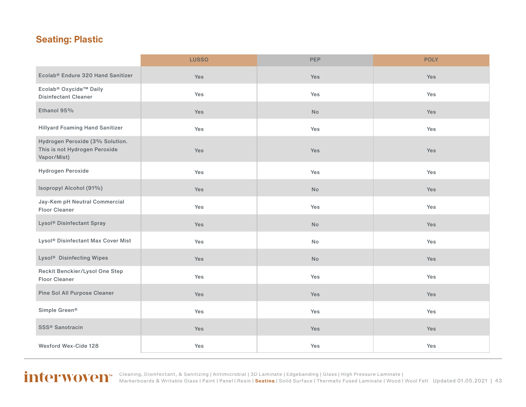### **Seating: Plastic**

|                                                                                 | <b>LUSSO</b> | <b>PEP</b>                   | <b>POLY</b> |
|---------------------------------------------------------------------------------|--------------|------------------------------|-------------|
| Ecolab <sup>®</sup> Endure 320 Hand Sanitizer                                   | Yes          | Yes                          | Yes         |
| Ecolab® Oxycide™ Daily<br><b>Disinfectant Cleaner</b>                           | Yes          | Yes                          | Yes         |
| Ethanol 95%                                                                     | Yes          | No                           | <b>Yes</b>  |
| <b>Hillyard Foaming Hand Sanitizer</b>                                          | Yes          | Yes                          | Yes         |
| Hydrogen Peroxide (3% Solution.<br>This is not Hydrogen Peroxide<br>Vapor/Mist) | Yes          | Yes                          | Yes         |
| Hydrogen Peroxide                                                               | Yes          | Yes                          | Yes         |
| Isopropyl Alcohol (91%)                                                         | Yes          | $\operatorname{\mathsf{No}}$ | Yes         |
| Jay-Kem pH Neutral Commercial<br><b>Floor Cleaner</b>                           | Yes          | Yes                          | Yes         |
| Lysol <sup>®</sup> Disinfectant Spray                                           | Yes          | No                           | Yes         |
| Lysol <sup>®</sup> Disinfectant Max Cover Mist                                  | Yes          | No                           | Yes         |
| Lysol <sup>®</sup> Disinfecting Wipes                                           | Yes          | No                           | Yes         |
| Reckit Benckier/Lysol One Step<br><b>Floor Cleaner</b>                          | Yes          | Yes                          | Yes         |
| Pine Sol All Purpose Cleaner                                                    | Yes          | Yes                          | Yes         |
| Simple Green <sup>®</sup>                                                       | Yes          | Yes                          | Yes         |
| SSS <sup>®</sup> Sanotracin                                                     | Yes          | Yes                          | Yes         |
| Wexford Wex-Cide 128                                                            | Yes          | Yes                          | Yes         |



Updated 01.05.2021 | 43 [Cleaning, Disinfectant, & Sanitizing](#page-2-0) | [Antimicrobial](#page-3-0) | [3D Laminate](#page-4-0) | [Edgebanding](#page-8-0) | [Glass](#page-10-0) | [High Pressure Laminate](#page-11-0) | [Markerboards & Writable Glass](#page-23-0) | [Paint](#page-24-0) | [Panel](#page-27-0) | [Resin](#page-27-0) | **[Seating](#page-33-0)** | [Solid Surface](#page-44-0) | [Thermally Fused Laminate](#page-54-0) | [Wood](#page-58-0) | [Wool Felt](#page-60-0)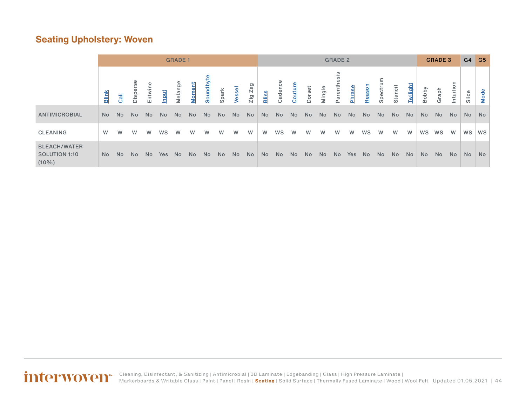#### <span id="page-43-0"></span>**Seating Upholstery: Woven**

|                                                         |              | <b>GRADE 1</b> |                |         |            | <b>GRADE 2</b> |                |           |           | <b>GRADE 3</b> |         |           | $G4$ $G5$ |           |                |        |                 |                |           |                |           |           |                |           |           |       |           |
|---------------------------------------------------------|--------------|----------------|----------------|---------|------------|----------------|----------------|-----------|-----------|----------------|---------|-----------|-----------|-----------|----------------|--------|-----------------|----------------|-----------|----------------|-----------|-----------|----------------|-----------|-----------|-------|-----------|
|                                                         | <b>Blink</b> | Cali           | <b>Dispers</b> | Entwine | Input      | Melange        | Moment         | Soundbyte | Spark     | Vessel         | Zig Zag | Bliss     | Cadence   | Couture   | Dorset         | Mingle | sis<br>Parenthe | Phrase         | Reason    | Spectrur       | Stancil   | Twilight  | Bobby          | Graph     | Intuition | Slice | Mode      |
| <b>ANTIMICROBIAL</b>                                    | No.          | N <sub>o</sub> | No.            | No.     | <b>No</b>  | <b>No</b>      | N <sub>o</sub> | <b>No</b> | <b>No</b> | <b>No</b>      | No      | <b>No</b> | <b>No</b> | <b>No</b> | N <sub>o</sub> | No.    | N <sub>o</sub>  | N <sub>o</sub> | <b>No</b> | N <sub>o</sub> | <b>No</b> | <b>No</b> | N <sub>o</sub> | <b>No</b> | No        | No    | <b>No</b> |
| <b>CLEANING</b>                                         | W            | W              | W              | W       | WS         | W              | W              | W         | W         | W              | W       | W         | WS        | W         | W              | w      | W               | w              | WS        | W              | W         | W         | WS             | WS        | W         | WS    | WS        |
| <b>BLEACH/WATER</b><br><b>SOLUTION 1:10</b><br>$(10\%)$ | No.          | No.            | No.            | No.     | <b>Yes</b> | <b>No</b>      | N <sub>o</sub> | No.       | No.       | N <sub>o</sub> | No      | <b>No</b> | <b>No</b> | No        | No             | No.    | N <sub>o</sub>  | Yes            | <b>No</b> | N <sub>o</sub> | <b>No</b> | No        | No.            | <b>No</b> | No.       | No.   | <b>No</b> |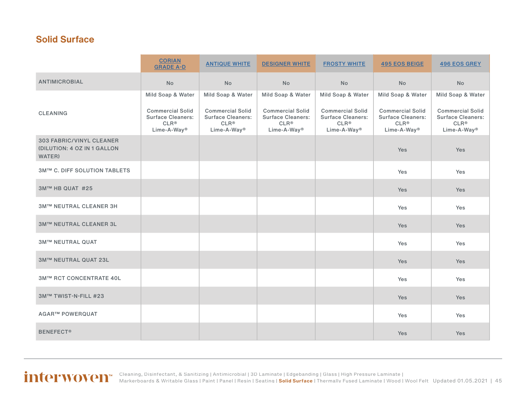#### <span id="page-44-0"></span>**Solid Surface**

|                                                                          | <b>CORIAN</b><br><b>GRADE A-D</b>                                                                  | <b>ANTIQUE WHITE</b>                                                                               | <b>DESIGNER WHITE</b>                                                                              | <b>FROSTY WHITE</b>                                                                                | <b>495 EOS BEIGE</b>                                                                               | <b>496 EOS GREY</b>                                                                                |
|--------------------------------------------------------------------------|----------------------------------------------------------------------------------------------------|----------------------------------------------------------------------------------------------------|----------------------------------------------------------------------------------------------------|----------------------------------------------------------------------------------------------------|----------------------------------------------------------------------------------------------------|----------------------------------------------------------------------------------------------------|
| <b>ANTIMICROBIAL</b>                                                     | <b>No</b>                                                                                          | <b>No</b>                                                                                          | <b>No</b>                                                                                          | <b>No</b>                                                                                          | <b>No</b>                                                                                          | <b>No</b>                                                                                          |
|                                                                          | Mild Soap & Water                                                                                  | Mild Soap & Water                                                                                  | Mild Soap & Water                                                                                  | Mild Soap & Water                                                                                  | Mild Soap & Water                                                                                  | Mild Soap & Water                                                                                  |
| <b>CLEANING</b>                                                          | <b>Commercial Solid</b><br><b>Surface Cleaners:</b><br>CLR <sup>®</sup><br>Lime-A-Way <sup>®</sup> | <b>Commercial Solid</b><br><b>Surface Cleaners:</b><br>CLR <sup>®</sup><br>Lime-A-Way <sup>®</sup> | <b>Commercial Solid</b><br><b>Surface Cleaners:</b><br>CLR <sup>®</sup><br>Lime-A-Way <sup>®</sup> | <b>Commercial Solid</b><br><b>Surface Cleaners:</b><br>CLR <sup>®</sup><br>Lime-A-Way <sup>®</sup> | <b>Commercial Solid</b><br><b>Surface Cleaners:</b><br>CLR <sup>®</sup><br>Lime-A-Way <sup>®</sup> | <b>Commercial Solid</b><br><b>Surface Cleaners:</b><br>CLR <sup>®</sup><br>Lime-A-Way <sup>®</sup> |
| <b>303 FABRIC/VINYL CLEANER</b><br>(DILUTION: 4 OZ IN 1 GALLON<br>WATER) |                                                                                                    |                                                                                                    |                                                                                                    |                                                                                                    | Yes                                                                                                | Yes                                                                                                |
| <b>3M™ C. DIFF SOLUTION TABLETS</b>                                      |                                                                                                    |                                                                                                    |                                                                                                    |                                                                                                    | Yes                                                                                                | Yes                                                                                                |
| 3M™ HB QUAT #25                                                          |                                                                                                    |                                                                                                    |                                                                                                    |                                                                                                    | Yes                                                                                                | Yes                                                                                                |
| <b>3M™ NEUTRAL CLEANER 3H</b>                                            |                                                                                                    |                                                                                                    |                                                                                                    |                                                                                                    | Yes                                                                                                | Yes                                                                                                |
| <b>3M™ NEUTRAL CLEANER 3L</b>                                            |                                                                                                    |                                                                                                    |                                                                                                    |                                                                                                    | Yes                                                                                                | Yes                                                                                                |
| <b>3M™ NEUTRAL QUAT</b>                                                  |                                                                                                    |                                                                                                    |                                                                                                    |                                                                                                    | Yes                                                                                                | Yes                                                                                                |
| 3M™ NEUTRAL QUAT 23L                                                     |                                                                                                    |                                                                                                    |                                                                                                    |                                                                                                    | <b>Yes</b>                                                                                         | Yes                                                                                                |
| <b>3M™ RCT CONCENTRATE 40L</b>                                           |                                                                                                    |                                                                                                    |                                                                                                    |                                                                                                    | Yes                                                                                                | Yes                                                                                                |
| 3M™ TWIST-N-FILL #23                                                     |                                                                                                    |                                                                                                    |                                                                                                    |                                                                                                    | <b>Yes</b>                                                                                         | Yes                                                                                                |
| <b>AGAR™ POWERQUAT</b>                                                   |                                                                                                    |                                                                                                    |                                                                                                    |                                                                                                    | Yes                                                                                                | Yes                                                                                                |
| <b>BENEFECT®</b>                                                         |                                                                                                    |                                                                                                    |                                                                                                    |                                                                                                    | Yes                                                                                                | Yes                                                                                                |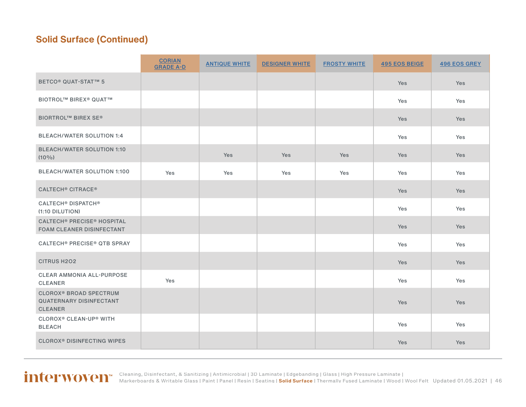|                                                                                              | <b>CORIAN</b><br><b>GRADE A-D</b> | <b>ANTIQUE WHITE</b> | <b>DESIGNER WHITE</b> | <b>FROSTY WHITE</b> | <b>495 EOS BEIGE</b> | <b>496 EOS GREY</b> |
|----------------------------------------------------------------------------------------------|-----------------------------------|----------------------|-----------------------|---------------------|----------------------|---------------------|
| BETCO <sup>®</sup> QUAT-STAT™ 5                                                              |                                   |                      |                       |                     | Yes                  | Yes                 |
| <b>BIOTROL™ BIREX® QUAT™</b>                                                                 |                                   |                      |                       |                     | Yes                  | Yes                 |
| <b>BIORTROL™ BIREX SE®</b>                                                                   |                                   |                      |                       |                     | Yes                  | Yes                 |
| <b>BLEACH/WATER SOLUTION 1:4</b>                                                             |                                   |                      |                       |                     | Yes                  | Yes                 |
| <b>BLEACH/WATER SOLUTION 1:10</b><br>$(10\%)$                                                |                                   | <b>Yes</b>           | <b>Yes</b>            | <b>Yes</b>          | Yes                  | <b>Yes</b>          |
| <b>BLEACH/WATER SOLUTION 1:100</b>                                                           | Yes                               | Yes                  | Yes                   | Yes                 | Yes                  | Yes                 |
| <b>CALTECH® CITRACE®</b>                                                                     |                                   |                      |                       |                     | Yes                  | <b>Yes</b>          |
| <b>CALTECH<sup>®</sup> DISPATCH<sup>®</sup></b><br>(1:10 DILUTION)                           |                                   |                      |                       |                     | Yes                  | Yes                 |
| <b>CALTECH® PRECISE® HOSPITAL</b><br><b>FOAM CLEANER DISINFECTANT</b>                        |                                   |                      |                       |                     | <b>Yes</b>           | Yes                 |
| <b>CALTECH® PRECISE® QTB SPRAY</b>                                                           |                                   |                      |                       |                     | Yes                  | Yes                 |
| <b>CITRUS H2O2</b>                                                                           |                                   |                      |                       |                     | Yes                  | Yes                 |
| <b>CLEAR AMMONIA ALL-PURPOSE</b><br><b>CLEANER</b>                                           | Yes                               |                      |                       |                     | Yes                  | Yes                 |
| <b>CLOROX<sup>®</sup> BROAD SPECTRUM</b><br><b>QUATERNARY DISINFECTANT</b><br><b>CLEANER</b> |                                   |                      |                       |                     | Yes                  | Yes                 |
| <b>CLOROX<sup>®</sup> CLEAN-UP<sup>®</sup> WITH</b><br><b>BLEACH</b>                         |                                   |                      |                       |                     | Yes                  | Yes                 |
| <b>CLOROX<sup>®</sup> DISINFECTING WIPES</b>                                                 |                                   |                      |                       |                     | Yes                  | Yes                 |

Updated 01.05.2021 | 46 [Cleaning, Disinfectant, & Sanitizing](#page-2-0) | [Antimicrobial](#page-3-0) | [3D Laminate](#page-4-0) | [Edgebanding](#page-8-0) | [Glass](#page-10-0) | [High Pressure Laminate](#page-11-0) | [Markerboards & Writable Glass](#page-23-0) | [Paint](#page-24-0) | [Panel](#page-27-0) | [Resin](#page-27-0) | [Seating](#page-33-0) | **[Solid Surface](#page-44-0)** | [Thermally Fused Laminate](#page-54-0) | [Wood](#page-58-0) | [Wool Felt](#page-60-0)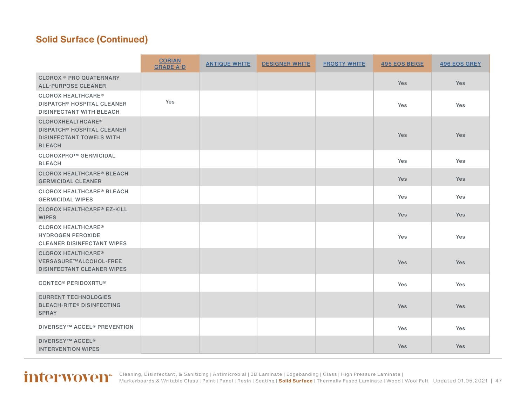|                                                                                                                              | <b>CORIAN</b><br><b>GRADE A-D</b> | <b>ANTIQUE WHITE</b> | <b>DESIGNER WHITE</b> | <b>FROSTY WHITE</b> | <b>495 EOS BEIGE</b> | <b>496 EOS GREY</b> |
|------------------------------------------------------------------------------------------------------------------------------|-----------------------------------|----------------------|-----------------------|---------------------|----------------------|---------------------|
| <b>CLOROX ® PRO QUATERNARY</b><br><b>ALL-PURPOSE CLEANER</b>                                                                 |                                   |                      |                       |                     | <b>Yes</b>           | <b>Yes</b>          |
| <b>CLOROX HEALTHCARE<sup>®</sup></b><br><b>DISPATCH<sup>®</sup> HOSPITAL CLEANER</b><br><b>DISINFECTANT WITH BLEACH</b>      | Yes                               |                      |                       |                     | Yes                  | Yes                 |
| <b>CLOROXHEALTHCARE®</b><br><b>DISPATCH<sup>®</sup> HOSPITAL CLEANER</b><br><b>DISINFECTANT TOWELS WITH</b><br><b>BLEACH</b> |                                   |                      |                       |                     | Yes                  | <b>Yes</b>          |
| CLOROXPRO™ GERMICIDAL<br><b>BLEACH</b>                                                                                       |                                   |                      |                       |                     | Yes                  | Yes                 |
| <b>CLOROX HEALTHCARE® BLEACH</b><br><b>GERMICIDAL CLEANER</b>                                                                |                                   |                      |                       |                     | <b>Yes</b>           | <b>Yes</b>          |
| <b>CLOROX HEALTHCARE<sup>®</sup> BLEACH</b><br><b>GERMICIDAL WIPES</b>                                                       |                                   |                      |                       |                     | Yes                  | Yes                 |
| <b>CLOROX HEALTHCARE<sup>®</sup> EZ-KILL</b><br><b>WIPES</b>                                                                 |                                   |                      |                       |                     | <b>Yes</b>           | <b>Yes</b>          |
| <b>CLOROX HEALTHCARE<sup>®</sup></b><br><b>HYDROGEN PEROXIDE</b><br><b>CLEANER DISINFECTANT WIPES</b>                        |                                   |                      |                       |                     | Yes                  | Yes                 |
| <b>CLOROX HEALTHCARE<sup>®</sup></b><br>VERSASURE™ALCOHOL-FREE<br><b>DISINFECTANT CLEANER WIPES</b>                          |                                   |                      |                       |                     | <b>Yes</b>           | <b>Yes</b>          |
| <b>CONTEC<sup>®</sup> PERIDOXRTU<sup>®</sup></b>                                                                             |                                   |                      |                       |                     | Yes                  | Yes                 |
| <b>CURRENT TECHNOLOGIES</b><br><b>BLEACH-RITE® DISINFECTING</b><br><b>SPRAY</b>                                              |                                   |                      |                       |                     | Yes                  | <b>Yes</b>          |
| <b>DIVERSEY™ ACCEL® PREVENTION</b>                                                                                           |                                   |                      |                       |                     | Yes                  | Yes                 |
| <b>DIVERSEY™ ACCEL<sup>®</sup></b><br><b>INTERVENTION WIPES</b>                                                              |                                   |                      |                       |                     | <b>Yes</b>           | <b>Yes</b>          |

Updated 01.05.2021 | 47 [Cleaning, Disinfectant, & Sanitizing](#page-2-0) | [Antimicrobial](#page-3-0) | [3D Laminate](#page-4-0) | [Edgebanding](#page-8-0) | [Glass](#page-10-0) | [High Pressure Laminate](#page-11-0) | [Markerboards & Writable Glass](#page-23-0) | [Paint](#page-24-0) | [Panel](#page-27-0) | [Resin](#page-27-0) | [Seating](#page-33-0) | **[Solid Surface](#page-44-0)** | [Thermally Fused Laminate](#page-54-0) | [Wood](#page-58-0) | [Wool Felt](#page-60-0)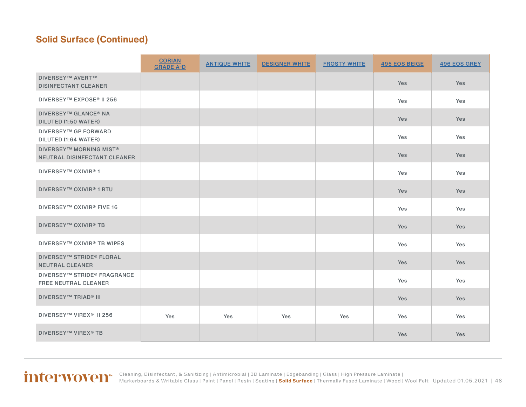|                                                                           | <b>CORIAN</b><br><b>GRADE A-D</b> | <b>ANTIQUE WHITE</b> | <b>DESIGNER WHITE</b> | <b>FROSTY WHITE</b> | <b>495 EOS BEIGE</b> | <b>496 EOS GREY</b> |
|---------------------------------------------------------------------------|-----------------------------------|----------------------|-----------------------|---------------------|----------------------|---------------------|
| <b>DIVERSEY™ AVERT™</b><br><b>DISINFECTANT CLEANER</b>                    |                                   |                      |                       |                     | Yes                  | Yes                 |
| <b>DIVERSEY™ EXPOSE® II 256</b>                                           |                                   |                      |                       |                     | Yes                  | Yes                 |
| <b>DIVERSEY™ GLANCE® NA</b><br>DILUTED (1:50 WATER)                       |                                   |                      |                       |                     | Yes                  | <b>Yes</b>          |
| <b>DIVERSEY™ GP FORWARD</b><br>DILUTED (1:64 WATER)                       |                                   |                      |                       |                     | Yes                  | Yes                 |
| <b>DIVERSEY™ MORNING MIST<sup>®</sup></b><br>NEUTRAL DISINFECTANT CLEANER |                                   |                      |                       |                     | Yes                  | <b>Yes</b>          |
| <b>DIVERSEY™ OXIVIR®1</b>                                                 |                                   |                      |                       |                     | Yes                  | Yes                 |
| <b>DIVERSEY™ OXIVIR® 1 RTU</b>                                            |                                   |                      |                       |                     | Yes                  | Yes                 |
| <b>DIVERSEY™ OXIVIR® FIVE 16</b>                                          |                                   |                      |                       |                     | Yes                  | Yes                 |
| <b>DIVERSEY™ OXIVIR® TB</b>                                               |                                   |                      |                       |                     | Yes                  | <b>Yes</b>          |
| <b>DIVERSEY™ OXIVIR® TB WIPES</b>                                         |                                   |                      |                       |                     | Yes                  | Yes                 |
| <b>DIVERSEY™ STRIDE® FLORAL</b><br><b>NEUTRAL CLEANER</b>                 |                                   |                      |                       |                     | Yes                  | <b>Yes</b>          |
| <b>DIVERSEY™ STRIDE® FRAGRANCE</b><br><b>FREE NEUTRAL CLEANER</b>         |                                   |                      |                       |                     | Yes                  | Yes                 |
| <b>DIVERSEY™ TRIAD® III</b>                                               |                                   |                      |                       |                     | Yes                  | Yes                 |
| DIVERSEY™ VIREX <sup>®</sup> II 256                                       | Yes                               | Yes                  | Yes                   | Yes                 | Yes                  | Yes                 |
| <b>DIVERSEY™ VIREX® TB</b>                                                |                                   |                      |                       |                     | Yes                  | Yes                 |

#### Updated 01.05.2021 | 48 [Cleaning, Disinfectant, & Sanitizing](#page-2-0) | [Antimicrobial](#page-3-0) | [3D Laminate](#page-4-0) | [Edgebanding](#page-8-0) | [Glass](#page-10-0) | [High Pressure Laminate](#page-11-0) | [Markerboards & Writable Glass](#page-23-0) | [Paint](#page-24-0) | [Panel](#page-27-0) | [Resin](#page-27-0) | [Seating](#page-33-0) | **[Solid Surface](#page-44-0)** | [Thermally Fused Laminate](#page-54-0) | [Wood](#page-58-0) | [Wool Felt](#page-60-0)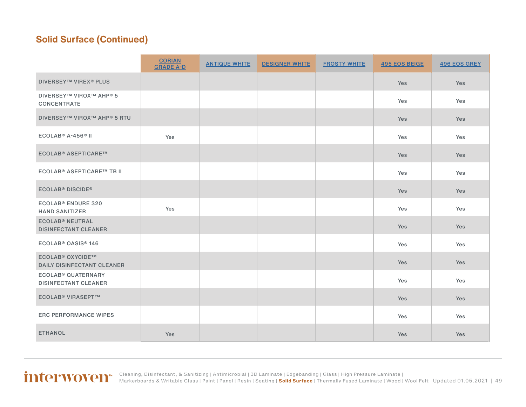|                                                                         | <b>CORIAN</b><br><b>GRADE A-D</b> | <b>ANTIQUE WHITE</b> | <b>DESIGNER WHITE</b> | <b>FROSTY WHITE</b> | <b>495 EOS BEIGE</b> | <b>496 EOS GREY</b> |
|-------------------------------------------------------------------------|-----------------------------------|----------------------|-----------------------|---------------------|----------------------|---------------------|
| <b>DIVERSEY™ VIREX® PLUS</b>                                            |                                   |                      |                       |                     | Yes                  | Yes                 |
| <b>DIVERSEY™ VIROX™ AHP® 5</b><br><b>CONCENTRATE</b>                    |                                   |                      |                       |                     | Yes                  | Yes                 |
| <b>DIVERSEY™ VIROX™ AHP® 5 RTU</b>                                      |                                   |                      |                       |                     | Yes                  | Yes                 |
| $ECOLAB® A-456® II$                                                     | Yes                               |                      |                       |                     | Yes                  | Yes                 |
| <b>ECOLAB<sup>®</sup> ASEPTICARE™</b>                                   |                                   |                      |                       |                     | <b>Yes</b>           | <b>Yes</b>          |
| ECOLAB <sup>®</sup> ASEPTICARE™ TB II                                   |                                   |                      |                       |                     | Yes                  | Yes                 |
| <b>ECOLAB<sup>®</sup> DISCIDE<sup>®</sup></b>                           |                                   |                      |                       |                     | <b>Yes</b>           | <b>Yes</b>          |
| <b>ECOLAB<sup>®</sup> ENDURE 320</b><br><b>HAND SANITIZER</b>           | Yes                               |                      |                       |                     | Yes                  | Yes                 |
| <b>ECOLAB<sup>®</sup> NEUTRAL</b><br><b>DISINFECTANT CLEANER</b>        |                                   |                      |                       |                     | Yes                  | Yes                 |
| ECOLAB <sup>®</sup> OASIS <sup>®</sup> 146                              |                                   |                      |                       |                     | Yes                  | Yes                 |
| <b>ECOLAB<sup>®</sup> OXYCIDE™</b><br><b>DAILY DISINFECTANT CLEANER</b> |                                   |                      |                       |                     | Yes                  | Yes                 |
| <b>ECOLAB<sup>®</sup> QUATERNARY</b><br><b>DISINFECTANT CLEANER</b>     |                                   |                      |                       |                     | Yes                  | Yes                 |
| <b>ECOLAB<sup>®</sup> VIRASEPT™</b>                                     |                                   |                      |                       |                     | <b>Yes</b>           | <b>Yes</b>          |
| <b>ERC PERFORMANCE WIPES</b>                                            |                                   |                      |                       |                     | Yes                  | Yes                 |
| <b>ETHANOL</b>                                                          | <b>Yes</b>                        |                      |                       |                     | <b>Yes</b>           | Yes                 |

Updated 01.05.2021 | 49 [Cleaning, Disinfectant, & Sanitizing](#page-2-0) | [Antimicrobial](#page-3-0) | [3D Laminate](#page-4-0) | [Edgebanding](#page-8-0) | [Glass](#page-10-0) | [High Pressure Laminate](#page-11-0) | [Markerboards & Writable Glass](#page-23-0) | [Paint](#page-24-0) | [Panel](#page-27-0) | [Resin](#page-27-0) | [Seating](#page-33-0) | **[Solid Surface](#page-44-0)** | [Thermally Fused Laminate](#page-54-0) | [Wood](#page-58-0) | [Wool Felt](#page-60-0)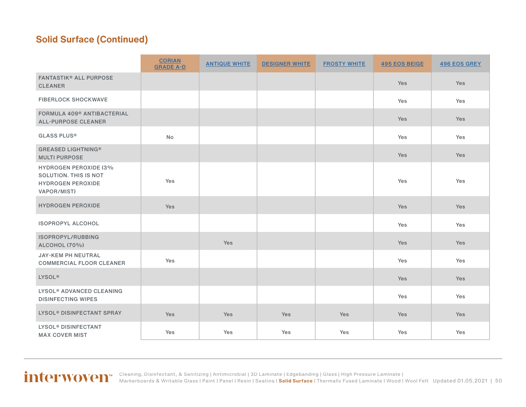|                                                                                                         | <b>CORIAN</b><br><b>GRADE A-D</b> | <b>ANTIQUE WHITE</b> | <b>DESIGNER WHITE</b> | <b>FROSTY WHITE</b> | <b>495 EOS BEIGE</b> | <b>496 EOS GREY</b> |
|---------------------------------------------------------------------------------------------------------|-----------------------------------|----------------------|-----------------------|---------------------|----------------------|---------------------|
| <b>FANTASTIK® ALL PURPOSE</b><br><b>CLEANER</b>                                                         |                                   |                      |                       |                     | Yes                  | Yes                 |
| <b>FIBERLOCK SHOCKWAVE</b>                                                                              |                                   |                      |                       |                     | Yes                  | Yes                 |
| FORMULA 409 <sup>®</sup> ANTIBACTERIAL<br><b>ALL-PURPOSE CLEANER</b>                                    |                                   |                      |                       |                     | <b>Yes</b>           | Yes                 |
| <b>GLASS PLUS®</b>                                                                                      | <b>No</b>                         |                      |                       |                     | Yes                  | Yes                 |
| <b>GREASED LIGHTNING®</b><br><b>MULTI PURPOSE</b>                                                       |                                   |                      |                       |                     | Yes                  | Yes                 |
| <b>HYDROGEN PEROXIDE (3%</b><br><b>SOLUTION. THIS IS NOT</b><br><b>HYDROGEN PEROXIDE</b><br>VAPOR/MIST) | Yes                               |                      |                       |                     | Yes                  | Yes                 |
| <b>HYDROGEN PEROXIDE</b>                                                                                | Yes                               |                      |                       |                     | Yes                  | Yes                 |
| <b>ISOPROPYL ALCOHOL</b>                                                                                |                                   |                      |                       |                     | Yes                  | Yes                 |
| ISOPROPYL/RUBBING<br><b>ALCOHOL (70%)</b>                                                               |                                   | Yes                  |                       |                     | Yes                  | Yes                 |
| JAY-KEM PH NEUTRAL<br><b>COMMERCIAL FLOOR CLEANER</b>                                                   | Yes                               |                      |                       |                     | Yes                  | Yes                 |
| <b>LYSOL®</b>                                                                                           |                                   |                      |                       |                     | Yes                  | Yes                 |
| LYSOL <sup>®</sup> ADVANCED CLEANING<br><b>DISINFECTING WIPES</b>                                       |                                   |                      |                       |                     | Yes                  | Yes                 |
| <b>LYSOL<sup>®</sup> DISINFECTANT SPRAY</b>                                                             | <b>Yes</b>                        | <b>Yes</b>           | <b>Yes</b>            | Yes                 | Yes                  | Yes                 |
| LYSOL <sup>®</sup> DISINFECTANT<br><b>MAX COVER MIST</b>                                                | Yes                               | Yes                  | Yes                   | Yes                 | Yes                  | Yes                 |

Updated 01.05.2021 | 50 [Cleaning, Disinfectant, & Sanitizing](#page-2-0) | [Antimicrobial](#page-3-0) | [3D Laminate](#page-4-0) | [Edgebanding](#page-8-0) | [Glass](#page-10-0) | [High Pressure Laminate](#page-11-0) | [Markerboards & Writable Glass](#page-23-0) | [Paint](#page-24-0) | [Panel](#page-27-0) | [Resin](#page-27-0) | [Seating](#page-33-0) | **[Solid Surface](#page-44-0)** | [Thermally Fused Laminate](#page-54-0) | [Wood](#page-58-0) | [Wool Felt](#page-60-0)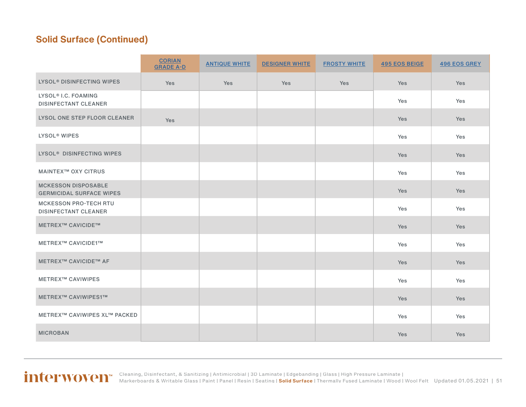|                                                                | <b>CORIAN</b><br><b>GRADE A-D</b> | <b>ANTIQUE WHITE</b> | <b>DESIGNER WHITE</b> | <b>FROSTY WHITE</b> | <b>495 EOS BEIGE</b> | <b>496 EOS GREY</b> |
|----------------------------------------------------------------|-----------------------------------|----------------------|-----------------------|---------------------|----------------------|---------------------|
| LYSOL <sup>®</sup> DISINFECTING WIPES                          | Yes                               | Yes                  | Yes                   | Yes                 | Yes                  | Yes                 |
| LYSOL <sup>®</sup> I.C. FOAMING<br><b>DISINFECTANT CLEANER</b> |                                   |                      |                       |                     | Yes                  | Yes                 |
| LYSOL ONE STEP FLOOR CLEANER                                   | <b>Yes</b>                        |                      |                       |                     | <b>Yes</b>           | Yes                 |
| <b>LYSOL<sup>®</sup> WIPES</b>                                 |                                   |                      |                       |                     | Yes                  | Yes                 |
| LYSOL <sup>®</sup> DISINFECTING WIPES                          |                                   |                      |                       |                     | <b>Yes</b>           | <b>Yes</b>          |
| <b>MAINTEX™ OXY CITRUS</b>                                     |                                   |                      |                       |                     | Yes                  | Yes                 |
| <b>MCKESSON DISPOSABLE</b><br><b>GERMICIDAL SURFACE WIPES</b>  |                                   |                      |                       |                     | <b>Yes</b>           | Yes                 |
| <b>MCKESSON PRO-TECH RTU</b><br><b>DISINFECTANT CLEANER</b>    |                                   |                      |                       |                     | Yes                  | Yes                 |
| <b>METREX™ CAVICIDE™</b>                                       |                                   |                      |                       |                     | Yes                  | Yes                 |
| METREX™ CAVICIDE1™                                             |                                   |                      |                       |                     | Yes                  | Yes                 |
| <b>METREX™ CAVICIDE™ AF</b>                                    |                                   |                      |                       |                     | Yes                  | Yes                 |
| <b>METREX™ CAVIWIPES</b>                                       |                                   |                      |                       |                     | Yes                  | Yes                 |
| METREX™ CAVIWIPES1™                                            |                                   |                      |                       |                     | Yes                  | Yes                 |
| <b>METREX™ CAVIWIPES XL™ PACKED</b>                            |                                   |                      |                       |                     | Yes                  | Yes                 |
| <b>MICROBAN</b>                                                |                                   |                      |                       |                     | <b>Yes</b>           | <b>Yes</b>          |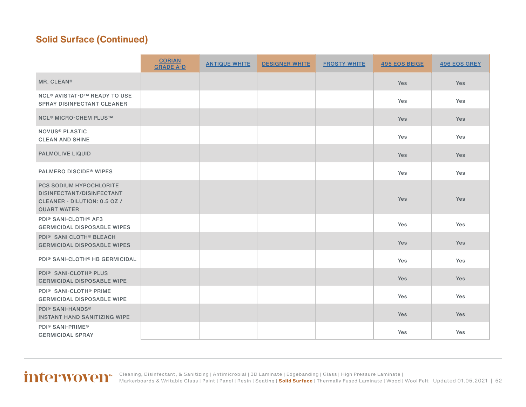|                                                                                                                   | <b>CORIAN</b><br><b>GRADE A-D</b> | <b>ANTIQUE WHITE</b> | <b>DESIGNER WHITE</b> | <b>FROSTY WHITE</b> | <b>495 EOS BEIGE</b> | <b>496 EOS GREY</b> |
|-------------------------------------------------------------------------------------------------------------------|-----------------------------------|----------------------|-----------------------|---------------------|----------------------|---------------------|
| MR. CLEAN®                                                                                                        |                                   |                      |                       |                     | Yes                  | Yes                 |
| <b>NCL<sup>®</sup> AVISTAT-D™ READY TO USE</b><br><b>SPRAY DISINFECTANT CLEANER</b>                               |                                   |                      |                       |                     | Yes                  | Yes                 |
| <b>NCL<sup>®</sup> MICRO-CHEM PLUS™</b>                                                                           |                                   |                      |                       |                     | Yes                  | <b>Yes</b>          |
| <b>NOVUS® PLASTIC</b><br><b>CLEAN AND SHINE</b>                                                                   |                                   |                      |                       |                     | Yes                  | Yes                 |
| <b>PALMOLIVE LIQUID</b>                                                                                           |                                   |                      |                       |                     | Yes                  | Yes                 |
| <b>PALMERO DISCIDE<sup>®</sup> WIPES</b>                                                                          |                                   |                      |                       |                     | Yes                  | Yes                 |
| <b>PCS SODIUM HYPOCHLORITE</b><br>DISINFECTANT/DISINFECTANT<br>CLEANER - DILUTION: 0.5 OZ /<br><b>QUART WATER</b> |                                   |                      |                       |                     | Yes                  | Yes                 |
| PDI® SANI-CLOTH® AF3<br><b>GERMICIDAL DISPOSABLE WIPES</b>                                                        |                                   |                      |                       |                     | Yes                  | Yes                 |
| PDI <sup>®</sup> SANI CLOTH <sup>®</sup> BLEACH<br><b>GERMICIDAL DISPOSABLE WIPES</b>                             |                                   |                      |                       |                     | Yes                  | Yes                 |
| PDI <sup>®</sup> SANI-CLOTH <sup>®</sup> HB GERMICIDAL                                                            |                                   |                      |                       |                     | Yes                  | Yes                 |
| <b>PDI® SANI-CLOTH® PLUS</b><br><b>GERMICIDAL DISPOSABLE WIPE</b>                                                 |                                   |                      |                       |                     | <b>Yes</b>           | Yes                 |
| PDI <sup>®</sup> SANI-CLOTH <sup>®</sup> PRIME<br><b>GERMICIDAL DISPOSABLE WIPE</b>                               |                                   |                      |                       |                     | Yes                  | Yes                 |
| <b>PDI® SANI-HANDS®</b><br><b>INSTANT HAND SANITIZING WIPE</b>                                                    |                                   |                      |                       |                     | Yes                  | Yes                 |
| PDI <sup>®</sup> SANI-PRIME <sup>®</sup><br><b>GERMICIDAL SPRAY</b>                                               |                                   |                      |                       |                     | Yes                  | Yes                 |

#### Updated 01.05.2021 | 52 [Cleaning, Disinfectant, & Sanitizing](#page-2-0) | [Antimicrobial](#page-3-0) | [3D Laminate](#page-4-0) | [Edgebanding](#page-8-0) | [Glass](#page-10-0) | [High Pressure Laminate](#page-11-0) | [Markerboards & Writable Glass](#page-23-0) | [Paint](#page-24-0) | [Panel](#page-27-0) | [Resin](#page-27-0) | [Seating](#page-33-0) | **[Solid Surface](#page-44-0)** | [Thermally Fused Laminate](#page-54-0) | [Wood](#page-58-0) | [Wool Felt](#page-60-0)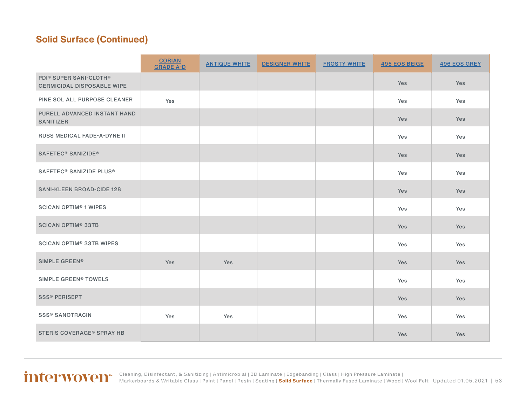|                                                                                     | <b>CORIAN</b><br><b>GRADE A-D</b> | <b>ANTIQUE WHITE</b> | <b>DESIGNER WHITE</b> | <b>FROSTY WHITE</b> | <b>495 EOS BEIGE</b> | <b>496 EOS GREY</b> |
|-------------------------------------------------------------------------------------|-----------------------------------|----------------------|-----------------------|---------------------|----------------------|---------------------|
| PDI <sup>®</sup> SUPER SANI-CLOTH <sup>®</sup><br><b>GERMICIDAL DISPOSABLE WIPE</b> |                                   |                      |                       |                     | Yes                  | Yes                 |
| PINE SOL ALL PURPOSE CLEANER                                                        | Yes                               |                      |                       |                     | Yes                  | Yes                 |
| PURELL ADVANCED INSTANT HAND<br><b>SANITIZER</b>                                    |                                   |                      |                       |                     | Yes                  | Yes                 |
| RUSS MEDICAL FADE-A-DYNE II                                                         |                                   |                      |                       |                     | Yes                  | Yes                 |
| SAFETEC <sup>®</sup> SANIZIDE <sup>®</sup>                                          |                                   |                      |                       |                     | Yes                  | Yes                 |
| SAFETEC <sup>®</sup> SANIZIDE PLUS <sup>®</sup>                                     |                                   |                      |                       |                     | Yes                  | Yes                 |
| <b>SANI-KLEEN BROAD-CIDE 128</b>                                                    |                                   |                      |                       |                     | Yes                  | Yes                 |
| <b>SCICAN OPTIM<sup>®</sup> 1 WIPES</b>                                             |                                   |                      |                       |                     | Yes                  | Yes                 |
| <b>SCICAN OPTIM® 33TB</b>                                                           |                                   |                      |                       |                     | Yes                  | Yes                 |
| <b>SCICAN OPTIM® 33TB WIPES</b>                                                     |                                   |                      |                       |                     | Yes                  | Yes                 |
| SIMPLE GREEN®                                                                       | Yes                               | Yes                  |                       |                     | Yes                  | Yes                 |
| SIMPLE GREEN® TOWELS                                                                |                                   |                      |                       |                     | Yes                  | Yes                 |
| <b>SSS® PERISEPT</b>                                                                |                                   |                      |                       |                     | Yes                  | Yes                 |
| <b>SSS® SANOTRACIN</b>                                                              | Yes                               | Yes                  |                       |                     | Yes                  | Yes                 |
| <b>STERIS COVERAGE® SPRAY HB</b>                                                    |                                   |                      |                       |                     | Yes                  | Yes                 |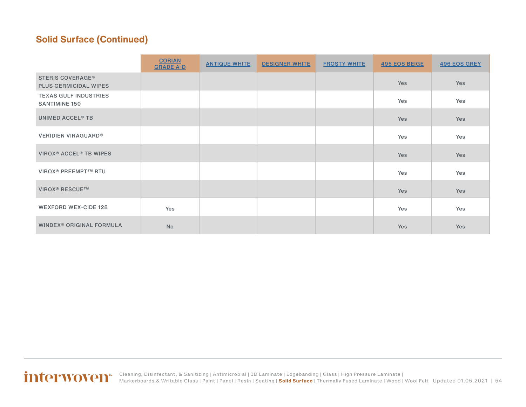|                                                         | <b>CORIAN</b><br><b>GRADE A-D</b> | <b>ANTIQUE WHITE</b> | <b>DESIGNER WHITE</b> | <b>FROSTY WHITE</b> | <b>495 EOS BEIGE</b> | <b>496 EOS GREY</b> |
|---------------------------------------------------------|-----------------------------------|----------------------|-----------------------|---------------------|----------------------|---------------------|
| <b>STERIS COVERAGE®</b><br><b>PLUS GERMICIDAL WIPES</b> |                                   |                      |                       |                     | Yes                  | Yes                 |
| <b>TEXAS GULF INDUSTRIES</b><br><b>SANTIMINE 150</b>    |                                   |                      |                       |                     | Yes                  | Yes                 |
| <b>UNIMED ACCEL<sup>®</sup> TB</b>                      |                                   |                      |                       |                     | Yes                  | Yes                 |
| <b>VERIDIEN VIRAGUARD®</b>                              |                                   |                      |                       |                     | Yes                  | Yes                 |
| VIROX <sup>®</sup> ACCEL <sup>®</sup> TB WIPES          |                                   |                      |                       |                     | Yes                  | Yes                 |
| <b>VIROX<sup>®</sup> PREEMPT™ RTU</b>                   |                                   |                      |                       |                     | Yes                  | Yes                 |
| <b>VIROX<sup>®</sup> RESCUE™</b>                        |                                   |                      |                       |                     | Yes                  | Yes                 |
| <b>WEXFORD WEX-CIDE 128</b>                             | Yes                               |                      |                       |                     | Yes                  | Yes                 |
| WINDEX <sup>®</sup> ORIGINAL FORMULA                    | <b>No</b>                         |                      |                       |                     | Yes                  | Yes                 |

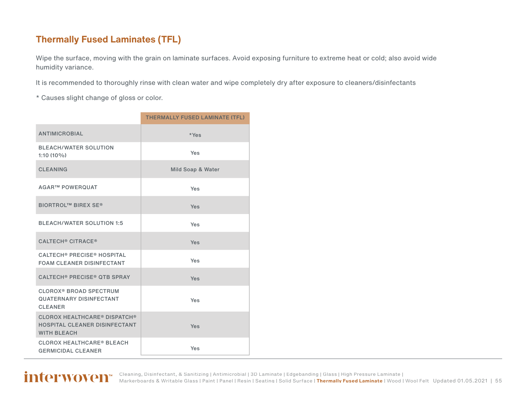#### <span id="page-54-0"></span>**Thermally Fused Laminates (TFL)**

Wipe the surface, moving with the grain on laminate surfaces. Avoid exposing furniture to extreme heat or cold; also avoid wide humidity variance.

It is recommended to thoroughly rinse with clean water and wipe completely dry after exposure to cleaners/disinfectants

\* Causes slight change of gloss or color.

|                                                                                              | <b>THERMALLY FUSED LAMINATE (TFL)</b> |
|----------------------------------------------------------------------------------------------|---------------------------------------|
| <b>ANTIMICROBIAL</b>                                                                         | *Yes                                  |
| <b>BLEACH/WATER SOLUTION</b><br>$1:10(10\%)$                                                 | Yes                                   |
| <b>CLEANING</b>                                                                              | Mild Soap & Water                     |
| <b>AGAR™ POWERQUAT</b>                                                                       | Yes                                   |
| <b>BIORTROL™ BIREX SE®</b>                                                                   | Yes                                   |
| <b>BLEACH/WATER SOLUTION 1:5</b>                                                             | Yes                                   |
| <b>CALTECH<sup>®</sup> CITRACE<sup>®</sup></b>                                               | Yes                                   |
| <b>CALTECH® PRECISE® HOSPITAL</b><br><b>FOAM CLEANER DISINFECTANT</b>                        | Yes                                   |
| <b>CALTECH<sup>®</sup> PRECISE<sup>®</sup> QTB SPRAY</b>                                     | Yes                                   |
| <b>CLOROX<sup>®</sup> BROAD SPECTRUM</b><br><b>QUATERNARY DISINFECTANT</b><br><b>CLEANER</b> | Yes                                   |
| <b>CLOROX HEALTHCARE® DISPATCH®</b><br>HOSPITAL CLEANER DISINFECTANT<br><b>WITH BLEACH</b>   | Yes                                   |
| <b>CLOROX HEALTHCARE® BLEACH</b><br><b>GERMICIDAL CLEANER</b>                                | Yes                                   |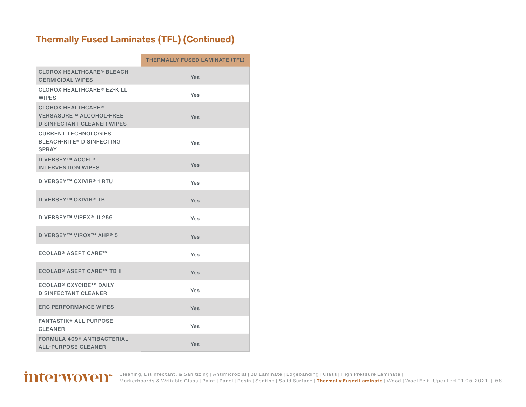### **Thermally Fused Laminates (TFL) (Continued)**

|                                                                                           | <b>THERMALLY FUSED LAMINATE (TFL)</b> |
|-------------------------------------------------------------------------------------------|---------------------------------------|
| <b>CLOROX HEALTHCARE® BLEACH</b><br><b>GERMICIDAL WIPES</b>                               | Yes                                   |
| <b>CLOROX HEALTHCARE® EZ-KILL</b><br><b>WIPES</b>                                         | Yes                                   |
| <b>CLOROX HEALTHCARE®</b><br>VERSASURE™ ALCOHOL-FREE<br><b>DISINFECTANT CLEANER WIPES</b> | Yes                                   |
| <b>CURRENT TECHNOLOGIES</b><br><b>BLEACH-RITE® DISINFECTING</b><br><b>SPRAY</b>           | Yes                                   |
| <b>DIVERSEY™ ACCEL<sup>®</sup></b><br><b>INTERVENTION WIPES</b>                           | Yes                                   |
| <b>DIVERSEY™ OXIVIR® 1 RTU</b>                                                            | Yes                                   |
| <b>DIVERSEY™ OXIVIR® TB</b>                                                               | <b>Yes</b>                            |
| DIVERSEY™ VIREX <sup>®</sup> II 256                                                       | Yes                                   |
| <b>DIVERSEY™ VIROX™ AHP® 5</b>                                                            | Yes                                   |
| <b>ECOLAB® ASEPTICARE™</b>                                                                | Yes                                   |
| <b>ECOLAB® ASEPTICARE™ TB II</b>                                                          | Yes                                   |
| ECOLAB® OXYCIDE™ DAILY<br><b>DISINFECTANT CLEANER</b>                                     | Yes                                   |
| <b>ERC PERFORMANCE WIPES</b>                                                              | Yes                                   |
| <b>FANTASTIK® ALL PURPOSE</b><br><b>CLEANER</b>                                           | Yes                                   |
| FORMULA 409 <sup>®</sup> ANTIBACTERIAL<br><b>ALL-PURPOSE CLEANER</b>                      | Yes                                   |

Updated 01.05.2021 | 56 [Cleaning, Disinfectant, & Sanitizing](#page-2-0) | [Antimicrobial](#page-3-0) | [3D Laminate](#page-4-0) | [Edgebanding](#page-8-0) | [Glass](#page-10-0) | [High Pressure Laminate](#page-11-0) | [Markerboards & Writable Glass](#page-23-0) | [Paint](#page-24-0) | [Panel](#page-27-0) | [Resin](#page-27-0) | [Seating](#page-33-0) | [Solid Surface](#page-44-0) | **[Thermally Fused Laminate](#page-54-0)** | [Wood](#page-58-0) | [Wool Felt](#page-60-0)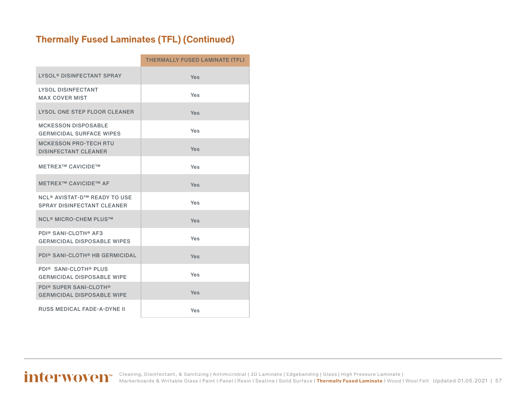### **Thermally Fused Laminates (TFL) (Continued)**

|                                                                                     | <b>THERMALLY FUSED LAMINATE (TFL)</b> |
|-------------------------------------------------------------------------------------|---------------------------------------|
| LYSOL® DISINFECTANT SPRAY                                                           | Yes                                   |
| <b>LYSOL DISINFECTANT</b><br><b>MAX COVER MIST</b>                                  | Yes                                   |
| LYSOL ONE STEP FLOOR CLEANER                                                        | Yes                                   |
| <b>MCKESSON DISPOSABLE</b><br><b>GERMICIDAL SURFACE WIPES</b>                       | Yes                                   |
| <b>MCKESSON PRO-TECH RTU</b><br><b>DISINFECTANT CLEANER</b>                         | Yes                                   |
| <b>METREX™ CAVICIDE™</b>                                                            | Yes                                   |
| <b>METREX™ CAVICIDE™ AF</b>                                                         | Yes                                   |
| <b>NCL<sup>®</sup> AVISTAT-D™ READY TO USE</b><br><b>SPRAY DISINFECTANT CLEANER</b> | Yes                                   |
| <b>NCL<sup>®</sup> MICRO-CHEM PLUS™</b>                                             | Yes                                   |
| <b>PDI® SANI-CLOTH® AF3</b><br><b>GERMICIDAL DISPOSABLE WIPES</b>                   | Yes                                   |
| <b>PDI® SANI-CLOTH® HB GERMICIDAL</b>                                               | Yes                                   |
| PDI <sup>®</sup> SANI-CLOTH <sup>®</sup> PLUS<br><b>GERMICIDAL DISPOSABLE WIPE</b>  | Yes                                   |
| <b>PDI® SUPER SANI-CLOTH®</b><br><b>GERMICIDAL DISPOSABLE WIPE</b>                  | Yes                                   |
| <b>RUSS MEDICAL FADE-A-DYNE II</b>                                                  | Yes                                   |

Updated 01.05.2021 | 57 [Cleaning, Disinfectant, & Sanitizing](#page-2-0) | [Antimicrobial](#page-3-0) | [3D Laminate](#page-4-0) | [Edgebanding](#page-8-0) | [Glass](#page-10-0) | [High Pressure Laminate](#page-11-0) | [Markerboards & Writable Glass](#page-23-0) | [Paint](#page-24-0) | [Panel](#page-27-0) | [Resin](#page-27-0) | [Seating](#page-33-0) | [Solid Surface](#page-44-0) | **[Thermally Fused Laminate](#page-54-0)** | [Wood](#page-58-0) | [Wool Felt](#page-60-0)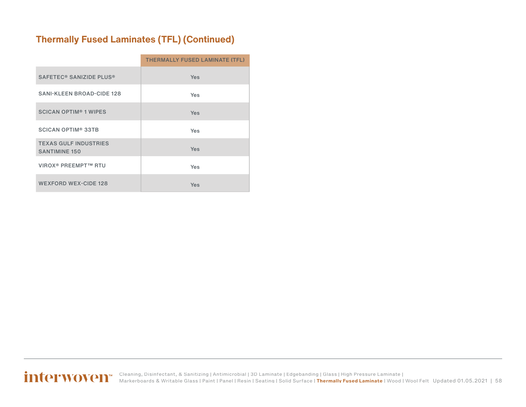### **Thermally Fused Laminates (TFL) (Continued)**

|                                                      | THERMALLY FUSED LAMINATE (TFL) |
|------------------------------------------------------|--------------------------------|
| SAFETEC <sup>®</sup> SANIZIDE PLUS <sup>®</sup>      | <b>Yes</b>                     |
| <b>SANI-KLEEN BROAD-CIDE 128</b>                     | <b>Yes</b>                     |
| <b>SCICAN OPTIM<sup>®</sup> 1 WIPES</b>              | <b>Yes</b>                     |
| <b>SCICAN OPTIM® 33TB</b>                            | <b>Yes</b>                     |
| <b>TEXAS GULF INDUSTRIES</b><br><b>SANTIMINE 150</b> | <b>Yes</b>                     |
| <b>VIROX<sup>®</sup> PREEMPT™ RTU</b>                | <b>Yes</b>                     |
| <b>WEXFORD WEX-CIDE 128</b>                          | Yes                            |

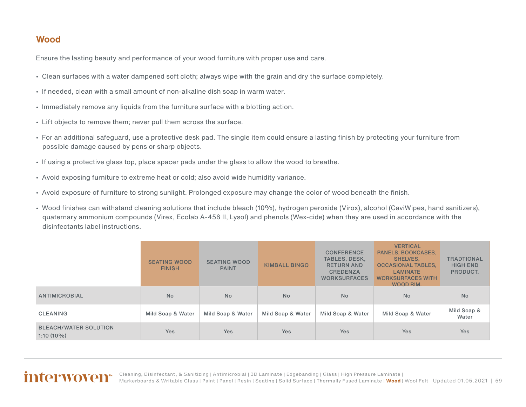#### <span id="page-58-0"></span>**Wood**

Ensure the lasting beauty and performance of your wood furniture with proper use and care.

- Clean surfaces with a water dampened soft cloth; always wipe with the grain and dry the surface completely.
- If needed, clean with a small amount of non-alkaline dish soap in warm water.
- Immediately remove any liquids from the furniture surface with a blotting action.
- Lift objects to remove them; never pull them across the surface.
- For an additional safeguard, use a protective desk pad. The single item could ensure a lasting finish by protecting your furniture from possible damage caused by pens or sharp objects.
- If using a protective glass top, place spacer pads under the glass to allow the wood to breathe.
- Avoid exposing furniture to extreme heat or cold; also avoid wide humidity variance.
- Avoid exposure of furniture to strong sunlight. Prolonged exposure may change the color of wood beneath the finish.
- Wood finishes can withstand cleaning solutions that include bleach (10%), hydrogen peroxide (Virox), alcohol (CaviWipes, hand sanitizers), quaternary ammonium compounds (Virex, Ecolab A-456 II, Lysol) and phenols (Wex-cide) when they are used in accordance with the disinfectants label instructions.

|                                              | <b>SEATING WOOD</b><br><b>FINISH</b> | <b>SEATING WOOD</b><br><b>PAINT</b> | <b>KIMBALL BINGO</b> | <b>CONFERENCE</b><br><b>TABLES, DESK,</b><br><b>RETURN AND</b><br><b>CREDENZA</b><br><b>WORKSURFACES</b> | <b>VERTICAL</b><br>PANELS, BOOKCASES,<br>SHELVES.<br><b>OCCASIONAL TABLES,</b><br><b>LAMINATE</b><br><b>WORKSURFACES WITH</b><br>WOOD RIM. | <b>TRADTIONAL</b><br><b>HIGH END</b><br>PRODUCT. |
|----------------------------------------------|--------------------------------------|-------------------------------------|----------------------|----------------------------------------------------------------------------------------------------------|--------------------------------------------------------------------------------------------------------------------------------------------|--------------------------------------------------|
| <b>ANTIMICROBIAL</b>                         | <b>No</b>                            | <b>No</b>                           | <b>No</b>            | <b>No</b>                                                                                                | <b>No</b>                                                                                                                                  | <b>No</b>                                        |
| <b>CLEANING</b>                              | Mild Soap & Water                    | Mild Soap & Water                   | Mild Soap & Water    | Mild Soap & Water                                                                                        | Mild Soap & Water                                                                                                                          | Mild Soap &<br>Water                             |
| <b>BLEACH/WATER SOLUTION</b><br>$1:10(10\%)$ | <b>Yes</b>                           | <b>Yes</b>                          | <b>Yes</b>           | Yes                                                                                                      | <b>Yes</b>                                                                                                                                 | Yes                                              |

#### Updated 01.05.2021 | 59 [Cleaning, Disinfectant, & Sanitizing](#page-2-0) | [Antimicrobial](#page-3-0) | [3D Laminate](#page-4-0) | [Edgebanding](#page-8-0) | [Glass](#page-10-0) | [High Pressure Laminate](#page-11-0) | [Markerboards & Writable Glass](#page-23-0) | [Paint](#page-24-0) | [Panel](#page-27-0) | [Resin](#page-27-0) | [Seating](#page-33-0) | [Solid Surface](#page-44-0) | [Thermally Fused Laminate](#page-54-0) | **Wood** | [Wool Felt](#page-60-0)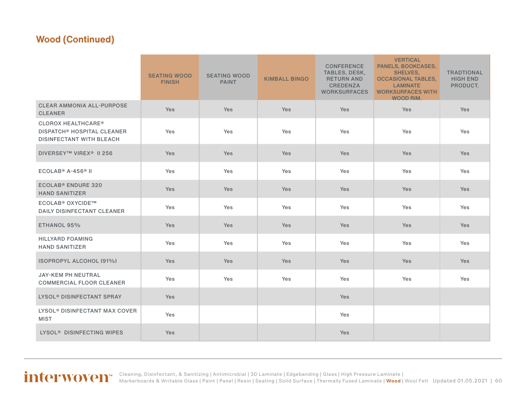### **Wood (Continued)**

|                                                                                                              | <b>SEATING WOOD</b><br><b>FINISH</b> | <b>SEATING WOOD</b><br><b>PAINT</b> | <b>KIMBALL BINGO</b> | <b>CONFERENCE</b><br>TABLES, DESK,<br><b>RETURN AND</b><br><b>CREDENZA</b><br><b>WORKSURFACES</b> | <b>VERTICAL</b><br><b>PANELS, BOOKCASES,</b><br>SHELVES,<br><b>OCCASIONAL TABLES,</b><br><b>LAMINATE</b><br><b>WORKSURFACES WITH</b><br><b>WOOD RIM.</b> | <b>TRADTIONAL</b><br><b>HIGH END</b><br>PRODUCT. |
|--------------------------------------------------------------------------------------------------------------|--------------------------------------|-------------------------------------|----------------------|---------------------------------------------------------------------------------------------------|----------------------------------------------------------------------------------------------------------------------------------------------------------|--------------------------------------------------|
| <b>CLEAR AMMONIA ALL-PURPOSE</b><br><b>CLEANER</b>                                                           | <b>Yes</b>                           | <b>Yes</b>                          | <b>Yes</b>           | Yes                                                                                               | <b>Yes</b>                                                                                                                                               | <b>Yes</b>                                       |
| <b>CLOROX HEALTHCARE®</b><br><b>DISPATCH<sup>®</sup> HOSPITAL CLEANER</b><br><b>DISINFECTANT WITH BLEACH</b> | Yes                                  | Yes                                 | Yes                  | Yes                                                                                               | Yes                                                                                                                                                      | Yes                                              |
| <b>DIVERSEY™ VIREX<sup>®</sup> II 256</b>                                                                    | <b>Yes</b>                           | <b>Yes</b>                          | <b>Yes</b>           | <b>Yes</b>                                                                                        | <b>Yes</b>                                                                                                                                               | <b>Yes</b>                                       |
| ECOLAB <sup>®</sup> A-456 <sup>®</sup> II                                                                    | Yes                                  | Yes                                 | Yes                  | Yes                                                                                               | Yes                                                                                                                                                      | Yes                                              |
| <b>ECOLAB<sup>®</sup> ENDURE 320</b><br><b>HAND SANITIZER</b>                                                | <b>Yes</b>                           | <b>Yes</b>                          | <b>Yes</b>           | Yes                                                                                               | <b>Yes</b>                                                                                                                                               | <b>Yes</b>                                       |
| <b>ECOLAB<sup>®</sup> OXYCIDE™</b><br><b>DAILY DISINFECTANT CLEANER</b>                                      | Yes                                  | Yes                                 | Yes                  | Yes                                                                                               | Yes                                                                                                                                                      | Yes                                              |
| ETHANOL 95%                                                                                                  | Yes                                  | Yes                                 | <b>Yes</b>           | Yes                                                                                               | Yes                                                                                                                                                      | <b>Yes</b>                                       |
| <b>HILLYARD FOAMING</b><br><b>HAND SANITIZER</b>                                                             | Yes                                  | Yes                                 | Yes                  | Yes                                                                                               | Yes                                                                                                                                                      | Yes                                              |
| <b>ISOPROPYL ALCOHOL (91%)</b>                                                                               | <b>Yes</b>                           | <b>Yes</b>                          | <b>Yes</b>           | <b>Yes</b>                                                                                        | <b>Yes</b>                                                                                                                                               | <b>Yes</b>                                       |
| <b>JAY-KEM PH NEUTRAL</b><br><b>COMMERCIAL FLOOR CLEANER</b>                                                 | Yes                                  | Yes                                 | Yes                  | Yes                                                                                               | Yes                                                                                                                                                      | Yes                                              |
| <b>LYSOL<sup>®</sup> DISINFECTANT SPRAY</b>                                                                  | Yes                                  |                                     |                      | Yes                                                                                               |                                                                                                                                                          |                                                  |
| LYSOL <sup>®</sup> DISINFECTANT MAX COVER<br><b>MIST</b>                                                     | Yes                                  |                                     |                      | Yes                                                                                               |                                                                                                                                                          |                                                  |
| LYSOL <sup>®</sup> DISINFECTING WIPES                                                                        | <b>Yes</b>                           |                                     |                      | Yes                                                                                               |                                                                                                                                                          |                                                  |

#### Updated 01.05.2021 | 60 [Cleaning, Disinfectant, & Sanitizing](#page-2-0) | [Antimicrobial](#page-3-0) | [3D Laminate](#page-4-0) | [Edgebanding](#page-8-0) | [Glass](#page-10-0) | [High Pressure Laminate](#page-11-0) | [Markerboards & Writable Glass](#page-23-0) | [Paint](#page-24-0) | [Panel](#page-27-0) | [Resin](#page-27-0) | [Seating](#page-33-0) | [Solid Surface](#page-44-0) | [Thermally Fused Laminate](#page-54-0) | **[Wood](#page-58-0)** | [Wool Felt](#page-60-0)